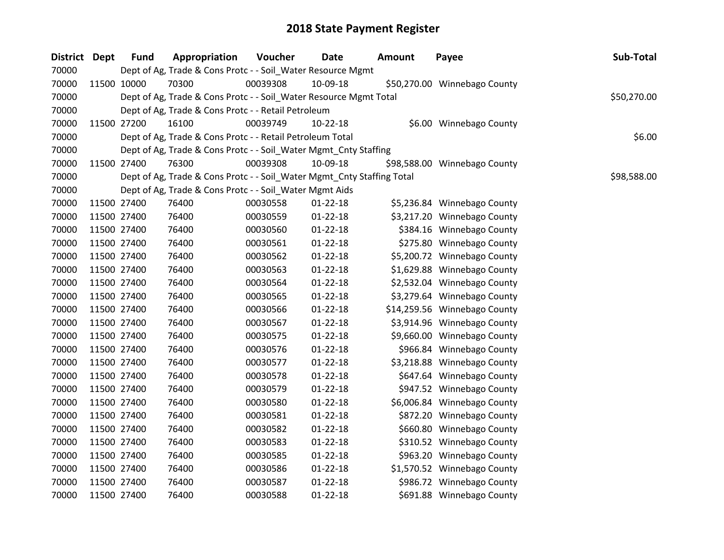| District Dept | <b>Fund</b> | Appropriation                                                          | Voucher  | <b>Date</b>    | <b>Amount</b> | Payee                        | Sub-Total   |
|---------------|-------------|------------------------------------------------------------------------|----------|----------------|---------------|------------------------------|-------------|
| 70000         |             | Dept of Ag, Trade & Cons Protc - - Soil_Water Resource Mgmt            |          |                |               |                              |             |
| 70000         | 11500 10000 | 70300                                                                  | 00039308 | 10-09-18       |               | \$50,270.00 Winnebago County |             |
| 70000         |             | Dept of Ag, Trade & Cons Protc - - Soil_Water Resource Mgmt Total      |          |                |               |                              | \$50,270.00 |
| 70000         |             | Dept of Ag, Trade & Cons Protc - - Retail Petroleum                    |          |                |               |                              |             |
| 70000         | 11500 27200 | 16100                                                                  | 00039749 | 10-22-18       |               | \$6.00 Winnebago County      |             |
| 70000         |             | Dept of Ag, Trade & Cons Protc - - Retail Petroleum Total              |          |                |               |                              | \$6.00      |
| 70000         |             | Dept of Ag, Trade & Cons Protc - - Soil_Water Mgmt_Cnty Staffing       |          |                |               |                              |             |
| 70000         | 11500 27400 | 76300                                                                  | 00039308 | 10-09-18       |               | \$98,588.00 Winnebago County |             |
| 70000         |             | Dept of Ag, Trade & Cons Protc - - Soil_Water Mgmt_Cnty Staffing Total |          |                |               |                              | \$98,588.00 |
| 70000         |             | Dept of Ag, Trade & Cons Protc - - Soil_Water Mgmt Aids                |          |                |               |                              |             |
| 70000         | 11500 27400 | 76400                                                                  | 00030558 | $01 - 22 - 18$ |               | \$5,236.84 Winnebago County  |             |
| 70000         | 11500 27400 | 76400                                                                  | 00030559 | $01 - 22 - 18$ |               | \$3,217.20 Winnebago County  |             |
| 70000         | 11500 27400 | 76400                                                                  | 00030560 | $01 - 22 - 18$ |               | \$384.16 Winnebago County    |             |
| 70000         | 11500 27400 | 76400                                                                  | 00030561 | $01 - 22 - 18$ |               | \$275.80 Winnebago County    |             |
| 70000         | 11500 27400 | 76400                                                                  | 00030562 | $01 - 22 - 18$ |               | \$5,200.72 Winnebago County  |             |
| 70000         | 11500 27400 | 76400                                                                  | 00030563 | $01 - 22 - 18$ |               | \$1,629.88 Winnebago County  |             |
| 70000         | 11500 27400 | 76400                                                                  | 00030564 | $01 - 22 - 18$ |               | \$2,532.04 Winnebago County  |             |
| 70000         | 11500 27400 | 76400                                                                  | 00030565 | $01 - 22 - 18$ |               | \$3,279.64 Winnebago County  |             |
| 70000         | 11500 27400 | 76400                                                                  | 00030566 | $01 - 22 - 18$ |               | \$14,259.56 Winnebago County |             |
| 70000         | 11500 27400 | 76400                                                                  | 00030567 | $01 - 22 - 18$ |               | \$3,914.96 Winnebago County  |             |
| 70000         | 11500 27400 | 76400                                                                  | 00030575 | $01 - 22 - 18$ |               | \$9,660.00 Winnebago County  |             |
| 70000         | 11500 27400 | 76400                                                                  | 00030576 | $01 - 22 - 18$ |               | \$966.84 Winnebago County    |             |
| 70000         | 11500 27400 | 76400                                                                  | 00030577 | $01 - 22 - 18$ |               | \$3,218.88 Winnebago County  |             |
| 70000         | 11500 27400 | 76400                                                                  | 00030578 | $01 - 22 - 18$ |               | \$647.64 Winnebago County    |             |
| 70000         | 11500 27400 | 76400                                                                  | 00030579 | $01 - 22 - 18$ |               | \$947.52 Winnebago County    |             |
| 70000         | 11500 27400 | 76400                                                                  | 00030580 | $01 - 22 - 18$ |               | \$6,006.84 Winnebago County  |             |
| 70000         | 11500 27400 | 76400                                                                  | 00030581 | $01 - 22 - 18$ |               | \$872.20 Winnebago County    |             |
| 70000         | 11500 27400 | 76400                                                                  | 00030582 | $01 - 22 - 18$ |               | \$660.80 Winnebago County    |             |
| 70000         | 11500 27400 | 76400                                                                  | 00030583 | $01 - 22 - 18$ |               | \$310.52 Winnebago County    |             |
| 70000         | 11500 27400 | 76400                                                                  | 00030585 | $01 - 22 - 18$ |               | \$963.20 Winnebago County    |             |
| 70000         | 11500 27400 | 76400                                                                  | 00030586 | $01 - 22 - 18$ |               | \$1,570.52 Winnebago County  |             |
| 70000         | 11500 27400 | 76400                                                                  | 00030587 | $01 - 22 - 18$ |               | \$986.72 Winnebago County    |             |
| 70000         | 11500 27400 | 76400                                                                  | 00030588 | $01 - 22 - 18$ |               | \$691.88 Winnebago County    |             |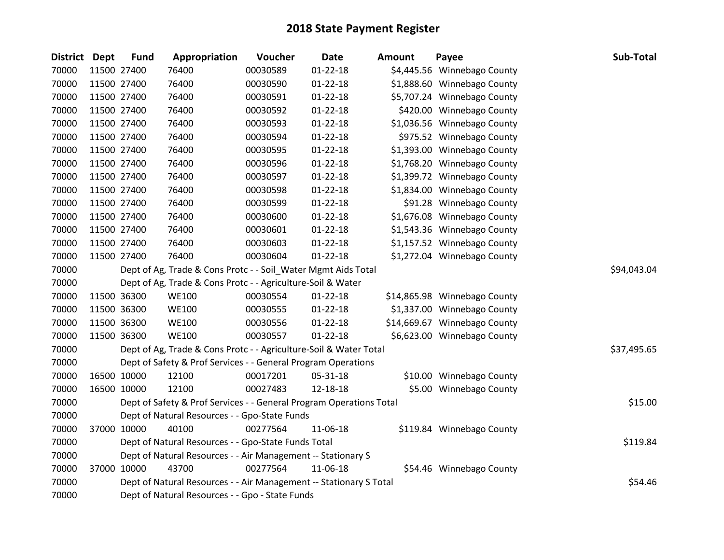| <b>District Dept</b> | <b>Fund</b> | Appropriation                                                       | Voucher  | <b>Date</b>    | <b>Amount</b> | Payee                        | Sub-Total   |
|----------------------|-------------|---------------------------------------------------------------------|----------|----------------|---------------|------------------------------|-------------|
| 70000                | 11500 27400 | 76400                                                               | 00030589 | $01 - 22 - 18$ |               | \$4,445.56 Winnebago County  |             |
| 70000                | 11500 27400 | 76400                                                               | 00030590 | $01 - 22 - 18$ |               | \$1,888.60 Winnebago County  |             |
| 70000                | 11500 27400 | 76400                                                               | 00030591 | $01 - 22 - 18$ |               | \$5,707.24 Winnebago County  |             |
| 70000                | 11500 27400 | 76400                                                               | 00030592 | $01 - 22 - 18$ |               | \$420.00 Winnebago County    |             |
| 70000                | 11500 27400 | 76400                                                               | 00030593 | $01 - 22 - 18$ |               | \$1,036.56 Winnebago County  |             |
| 70000                | 11500 27400 | 76400                                                               | 00030594 | $01 - 22 - 18$ |               | \$975.52 Winnebago County    |             |
| 70000                | 11500 27400 | 76400                                                               | 00030595 | $01 - 22 - 18$ |               | \$1,393.00 Winnebago County  |             |
| 70000                | 11500 27400 | 76400                                                               | 00030596 | $01 - 22 - 18$ |               | \$1,768.20 Winnebago County  |             |
| 70000                | 11500 27400 | 76400                                                               | 00030597 | $01 - 22 - 18$ |               | \$1,399.72 Winnebago County  |             |
| 70000                | 11500 27400 | 76400                                                               | 00030598 | $01 - 22 - 18$ |               | \$1,834.00 Winnebago County  |             |
| 70000                | 11500 27400 | 76400                                                               | 00030599 | $01 - 22 - 18$ |               | \$91.28 Winnebago County     |             |
| 70000                | 11500 27400 | 76400                                                               | 00030600 | $01 - 22 - 18$ |               | \$1,676.08 Winnebago County  |             |
| 70000                | 11500 27400 | 76400                                                               | 00030601 | $01 - 22 - 18$ |               | \$1,543.36 Winnebago County  |             |
| 70000                | 11500 27400 | 76400                                                               | 00030603 | $01 - 22 - 18$ |               | \$1,157.52 Winnebago County  |             |
| 70000                | 11500 27400 | 76400                                                               | 00030604 | $01 - 22 - 18$ |               | \$1,272.04 Winnebago County  |             |
| 70000                |             | Dept of Ag, Trade & Cons Protc - - Soil_Water Mgmt Aids Total       |          |                |               |                              | \$94,043.04 |
| 70000                |             | Dept of Ag, Trade & Cons Protc - - Agriculture-Soil & Water         |          |                |               |                              |             |
| 70000                | 11500 36300 | <b>WE100</b>                                                        | 00030554 | $01 - 22 - 18$ |               | \$14,865.98 Winnebago County |             |
| 70000                | 11500 36300 | <b>WE100</b>                                                        | 00030555 | $01 - 22 - 18$ |               | \$1,337.00 Winnebago County  |             |
| 70000                | 11500 36300 | <b>WE100</b>                                                        | 00030556 | $01 - 22 - 18$ |               | \$14,669.67 Winnebago County |             |
| 70000                | 11500 36300 | <b>WE100</b>                                                        | 00030557 | $01 - 22 - 18$ |               | \$6,623.00 Winnebago County  |             |
| 70000                |             | Dept of Ag, Trade & Cons Protc - - Agriculture-Soil & Water Total   |          |                |               |                              | \$37,495.65 |
| 70000                |             | Dept of Safety & Prof Services - - General Program Operations       |          |                |               |                              |             |
| 70000                | 16500 10000 | 12100                                                               | 00017201 | 05-31-18       |               | \$10.00 Winnebago County     |             |
| 70000                | 16500 10000 | 12100                                                               | 00027483 | 12-18-18       |               | \$5.00 Winnebago County      |             |
| 70000                |             | Dept of Safety & Prof Services - - General Program Operations Total |          |                |               |                              | \$15.00     |
| 70000                |             | Dept of Natural Resources - - Gpo-State Funds                       |          |                |               |                              |             |
| 70000                | 37000 10000 | 40100                                                               | 00277564 | 11-06-18       |               | \$119.84 Winnebago County    |             |
| 70000                |             | Dept of Natural Resources - - Gpo-State Funds Total                 |          |                |               |                              | \$119.84    |
| 70000                |             | Dept of Natural Resources - - Air Management -- Stationary S        |          |                |               |                              |             |
| 70000                | 37000 10000 | 43700                                                               | 00277564 | 11-06-18       |               | \$54.46 Winnebago County     |             |
| 70000                |             | Dept of Natural Resources - - Air Management -- Stationary S Total  |          | \$54.46        |               |                              |             |
| 70000                |             | Dept of Natural Resources - - Gpo - State Funds                     |          |                |               |                              |             |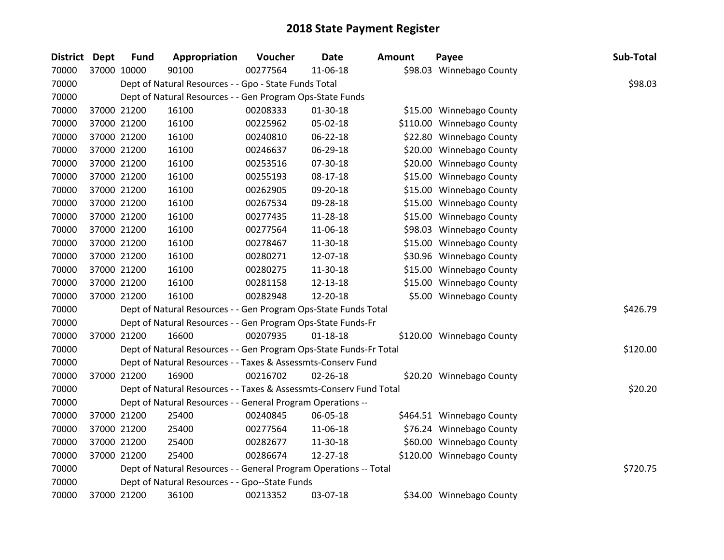| District Dept | <b>Fund</b> | Appropriation                                                      | Voucher  | <b>Date</b>    | <b>Amount</b> | Payee                     | Sub-Total |
|---------------|-------------|--------------------------------------------------------------------|----------|----------------|---------------|---------------------------|-----------|
| 70000         | 37000 10000 | 90100                                                              | 00277564 | 11-06-18       |               | \$98.03 Winnebago County  |           |
| 70000         |             | Dept of Natural Resources - - Gpo - State Funds Total              |          |                |               |                           | \$98.03   |
| 70000         |             | Dept of Natural Resources - - Gen Program Ops-State Funds          |          |                |               |                           |           |
| 70000         | 37000 21200 | 16100                                                              | 00208333 | 01-30-18       |               | \$15.00 Winnebago County  |           |
| 70000         | 37000 21200 | 16100                                                              | 00225962 | 05-02-18       |               | \$110.00 Winnebago County |           |
| 70000         | 37000 21200 | 16100                                                              | 00240810 | 06-22-18       |               | \$22.80 Winnebago County  |           |
| 70000         | 37000 21200 | 16100                                                              | 00246637 | 06-29-18       |               | \$20.00 Winnebago County  |           |
| 70000         | 37000 21200 | 16100                                                              | 00253516 | 07-30-18       |               | \$20.00 Winnebago County  |           |
| 70000         | 37000 21200 | 16100                                                              | 00255193 | $08-17-18$     |               | \$15.00 Winnebago County  |           |
| 70000         | 37000 21200 | 16100                                                              | 00262905 | 09-20-18       |               | \$15.00 Winnebago County  |           |
| 70000         | 37000 21200 | 16100                                                              | 00267534 | 09-28-18       |               | \$15.00 Winnebago County  |           |
| 70000         | 37000 21200 | 16100                                                              | 00277435 | 11-28-18       |               | \$15.00 Winnebago County  |           |
| 70000         | 37000 21200 | 16100                                                              | 00277564 | 11-06-18       |               | \$98.03 Winnebago County  |           |
| 70000         | 37000 21200 | 16100                                                              | 00278467 | 11-30-18       |               | \$15.00 Winnebago County  |           |
| 70000         | 37000 21200 | 16100                                                              | 00280271 | 12-07-18       |               | \$30.96 Winnebago County  |           |
| 70000         | 37000 21200 | 16100                                                              | 00280275 | 11-30-18       |               | \$15.00 Winnebago County  |           |
| 70000         | 37000 21200 | 16100                                                              | 00281158 | 12-13-18       |               | \$15.00 Winnebago County  |           |
| 70000         | 37000 21200 | 16100                                                              | 00282948 | 12-20-18       |               | \$5.00 Winnebago County   |           |
| 70000         |             | Dept of Natural Resources - - Gen Program Ops-State Funds Total    |          |                |               |                           | \$426.79  |
| 70000         |             | Dept of Natural Resources - - Gen Program Ops-State Funds-Fr       |          |                |               |                           |           |
| 70000         | 37000 21200 | 16600                                                              | 00207935 | $01 - 18 - 18$ |               | \$120.00 Winnebago County |           |
| 70000         |             | Dept of Natural Resources - - Gen Program Ops-State Funds-Fr Total |          |                |               |                           | \$120.00  |
| 70000         |             | Dept of Natural Resources - - Taxes & Assessmts-Conserv Fund       |          |                |               |                           |           |
| 70000         | 37000 21200 | 16900                                                              | 00216702 | $02 - 26 - 18$ |               | \$20.20 Winnebago County  |           |
| 70000         |             | Dept of Natural Resources - - Taxes & Assessmts-Conserv Fund Total |          |                |               |                           | \$20.20   |
| 70000         |             | Dept of Natural Resources - - General Program Operations --        |          |                |               |                           |           |
| 70000         | 37000 21200 | 25400                                                              | 00240845 | 06-05-18       |               | \$464.51 Winnebago County |           |
| 70000         | 37000 21200 | 25400                                                              | 00277564 | 11-06-18       |               | \$76.24 Winnebago County  |           |
| 70000         | 37000 21200 | 25400                                                              | 00282677 | 11-30-18       |               | \$60.00 Winnebago County  |           |
| 70000         | 37000 21200 | 25400                                                              | 00286674 | 12-27-18       |               | \$120.00 Winnebago County |           |
| 70000         |             | Dept of Natural Resources - - General Program Operations -- Total  |          |                |               |                           | \$720.75  |
| 70000         |             | Dept of Natural Resources - - Gpo--State Funds                     |          |                |               |                           |           |
| 70000         | 37000 21200 | 36100                                                              | 00213352 | 03-07-18       |               | \$34.00 Winnebago County  |           |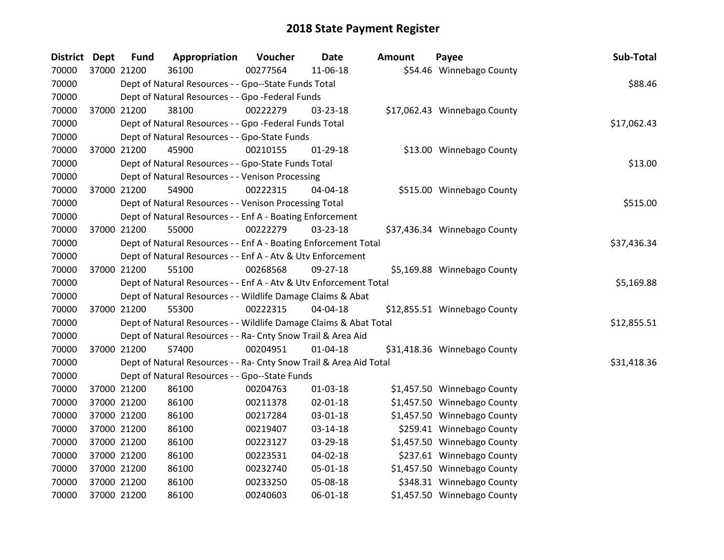| <b>District</b> | <b>Dept</b> | <b>Fund</b> | Appropriation                                                      | Voucher  | <b>Date</b>    | <b>Amount</b> | Payee                        | Sub-Total   |
|-----------------|-------------|-------------|--------------------------------------------------------------------|----------|----------------|---------------|------------------------------|-------------|
| 70000           |             | 37000 21200 | 36100                                                              | 00277564 | 11-06-18       |               | \$54.46 Winnebago County     |             |
| 70000           |             |             | Dept of Natural Resources - - Gpo--State Funds Total               |          |                |               |                              | \$88.46     |
| 70000           |             |             | Dept of Natural Resources - - Gpo -Federal Funds                   |          |                |               |                              |             |
| 70000           |             | 37000 21200 | 38100                                                              | 00222279 | 03-23-18       |               | \$17,062.43 Winnebago County |             |
| 70000           |             |             | Dept of Natural Resources - - Gpo -Federal Funds Total             |          |                |               |                              | \$17,062.43 |
| 70000           |             |             | Dept of Natural Resources - - Gpo-State Funds                      |          |                |               |                              |             |
| 70000           |             | 37000 21200 | 45900                                                              | 00210155 | 01-29-18       |               | \$13.00 Winnebago County     |             |
| 70000           |             |             | Dept of Natural Resources - - Gpo-State Funds Total                |          |                |               |                              | \$13.00     |
| 70000           |             |             | Dept of Natural Resources - - Venison Processing                   |          |                |               |                              |             |
| 70000           |             | 37000 21200 | 54900                                                              | 00222315 | 04-04-18       |               | \$515.00 Winnebago County    |             |
| 70000           |             |             | Dept of Natural Resources - - Venison Processing Total             |          |                |               |                              | \$515.00    |
| 70000           |             |             | Dept of Natural Resources - - Enf A - Boating Enforcement          |          |                |               |                              |             |
| 70000           |             | 37000 21200 | 55000                                                              | 00222279 | 03-23-18       |               | \$37,436.34 Winnebago County |             |
| 70000           |             |             | Dept of Natural Resources - - Enf A - Boating Enforcement Total    |          |                |               |                              | \$37,436.34 |
| 70000           |             |             | Dept of Natural Resources - - Enf A - Atv & Utv Enforcement        |          |                |               |                              |             |
| 70000           |             | 37000 21200 | 55100                                                              | 00268568 | 09-27-18       |               | \$5,169.88 Winnebago County  |             |
| 70000           |             |             | Dept of Natural Resources - - Enf A - Atv & Utv Enforcement Total  |          |                |               |                              | \$5,169.88  |
| 70000           |             |             | Dept of Natural Resources - - Wildlife Damage Claims & Abat        |          |                |               |                              |             |
| 70000           |             | 37000 21200 | 55300                                                              | 00222315 | 04-04-18       |               | \$12,855.51 Winnebago County |             |
| 70000           |             |             | Dept of Natural Resources - - Wildlife Damage Claims & Abat Total  |          |                |               |                              | \$12,855.51 |
| 70000           |             |             | Dept of Natural Resources - - Ra- Cnty Snow Trail & Area Aid       |          |                |               |                              |             |
| 70000           |             | 37000 21200 | 57400                                                              | 00204951 | $01 - 04 - 18$ |               | \$31,418.36 Winnebago County |             |
| 70000           |             |             | Dept of Natural Resources - - Ra- Cnty Snow Trail & Area Aid Total |          |                |               |                              | \$31,418.36 |
| 70000           |             |             | Dept of Natural Resources - - Gpo--State Funds                     |          |                |               |                              |             |
| 70000           |             | 37000 21200 | 86100                                                              | 00204763 | $01 - 03 - 18$ |               | \$1,457.50 Winnebago County  |             |
| 70000           |             | 37000 21200 | 86100                                                              | 00211378 | $02 - 01 - 18$ |               | \$1,457.50 Winnebago County  |             |
| 70000           |             | 37000 21200 | 86100                                                              | 00217284 | 03-01-18       |               | \$1,457.50 Winnebago County  |             |
| 70000           |             | 37000 21200 | 86100                                                              | 00219407 | $03 - 14 - 18$ |               | \$259.41 Winnebago County    |             |
| 70000           |             | 37000 21200 | 86100                                                              | 00223127 | 03-29-18       |               | \$1,457.50 Winnebago County  |             |
| 70000           |             | 37000 21200 | 86100                                                              | 00223531 | 04-02-18       |               | \$237.61 Winnebago County    |             |
| 70000           |             | 37000 21200 | 86100                                                              | 00232740 | 05-01-18       |               | \$1,457.50 Winnebago County  |             |
| 70000           |             | 37000 21200 | 86100                                                              | 00233250 | 05-08-18       |               | \$348.31 Winnebago County    |             |
| 70000           |             | 37000 21200 | 86100                                                              | 00240603 | 06-01-18       |               | \$1,457.50 Winnebago County  |             |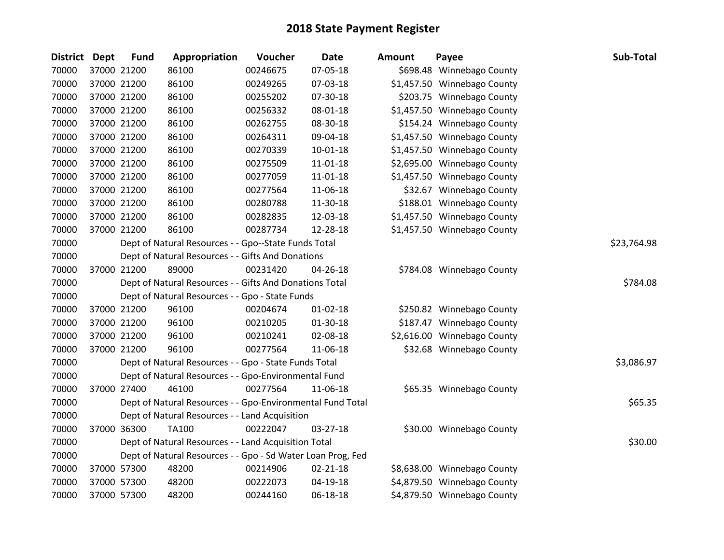| District Dept | <b>Fund</b> | Appropriation                                               | Voucher  | <b>Date</b>    | <b>Amount</b> | Payee                       | Sub-Total   |
|---------------|-------------|-------------------------------------------------------------|----------|----------------|---------------|-----------------------------|-------------|
| 70000         | 37000 21200 | 86100                                                       | 00246675 | 07-05-18       |               | \$698.48 Winnebago County   |             |
| 70000         | 37000 21200 | 86100                                                       | 00249265 | 07-03-18       |               | \$1,457.50 Winnebago County |             |
| 70000         | 37000 21200 | 86100                                                       | 00255202 | 07-30-18       |               | \$203.75 Winnebago County   |             |
| 70000         | 37000 21200 | 86100                                                       | 00256332 | 08-01-18       |               | \$1,457.50 Winnebago County |             |
| 70000         | 37000 21200 | 86100                                                       | 00262755 | 08-30-18       |               | \$154.24 Winnebago County   |             |
| 70000         | 37000 21200 | 86100                                                       | 00264311 | 09-04-18       |               | \$1,457.50 Winnebago County |             |
| 70000         | 37000 21200 | 86100                                                       | 00270339 | $10-01-18$     |               | \$1,457.50 Winnebago County |             |
| 70000         | 37000 21200 | 86100                                                       | 00275509 | 11-01-18       |               | \$2,695.00 Winnebago County |             |
| 70000         | 37000 21200 | 86100                                                       | 00277059 | $11 - 01 - 18$ |               | \$1,457.50 Winnebago County |             |
| 70000         | 37000 21200 | 86100                                                       | 00277564 | 11-06-18       |               | \$32.67 Winnebago County    |             |
| 70000         | 37000 21200 | 86100                                                       | 00280788 | 11-30-18       |               | \$188.01 Winnebago County   |             |
| 70000         | 37000 21200 | 86100                                                       | 00282835 | 12-03-18       |               | \$1,457.50 Winnebago County |             |
| 70000         | 37000 21200 | 86100                                                       | 00287734 | 12-28-18       |               | \$1,457.50 Winnebago County |             |
| 70000         |             | Dept of Natural Resources - - Gpo--State Funds Total        |          |                |               |                             | \$23,764.98 |
| 70000         |             | Dept of Natural Resources - - Gifts And Donations           |          |                |               |                             |             |
| 70000         | 37000 21200 | 89000                                                       | 00231420 | 04-26-18       |               | \$784.08 Winnebago County   |             |
| 70000         |             | Dept of Natural Resources - - Gifts And Donations Total     |          |                |               |                             | \$784.08    |
| 70000         |             | Dept of Natural Resources - - Gpo - State Funds             |          |                |               |                             |             |
| 70000         | 37000 21200 | 96100                                                       | 00204674 | $01 - 02 - 18$ |               | \$250.82 Winnebago County   |             |
| 70000         | 37000 21200 | 96100                                                       | 00210205 | $01-30-18$     |               | \$187.47 Winnebago County   |             |
| 70000         | 37000 21200 | 96100                                                       | 00210241 | 02-08-18       |               | \$2,616.00 Winnebago County |             |
| 70000         | 37000 21200 | 96100                                                       | 00277564 | 11-06-18       |               | \$32.68 Winnebago County    |             |
| 70000         |             | Dept of Natural Resources - - Gpo - State Funds Total       |          |                |               |                             | \$3,086.97  |
| 70000         |             | Dept of Natural Resources - - Gpo-Environmental Fund        |          |                |               |                             |             |
| 70000         | 37000 27400 | 46100                                                       | 00277564 | 11-06-18       |               | \$65.35 Winnebago County    |             |
| 70000         |             | Dept of Natural Resources - - Gpo-Environmental Fund Total  |          |                |               |                             | \$65.35     |
| 70000         |             | Dept of Natural Resources - - Land Acquisition              |          |                |               |                             |             |
| 70000         | 37000 36300 | <b>TA100</b>                                                | 00222047 | 03-27-18       |               | \$30.00 Winnebago County    |             |
| 70000         |             | Dept of Natural Resources - - Land Acquisition Total        |          |                |               |                             | \$30.00     |
| 70000         |             | Dept of Natural Resources - - Gpo - Sd Water Loan Prog, Fed |          |                |               |                             |             |
| 70000         | 37000 57300 | 48200                                                       | 00214906 | $02 - 21 - 18$ |               | \$8,638.00 Winnebago County |             |
| 70000         | 37000 57300 | 48200                                                       | 00222073 | 04-19-18       |               | \$4,879.50 Winnebago County |             |
| 70000         | 37000 57300 | 48200                                                       | 00244160 | 06-18-18       |               | \$4,879.50 Winnebago County |             |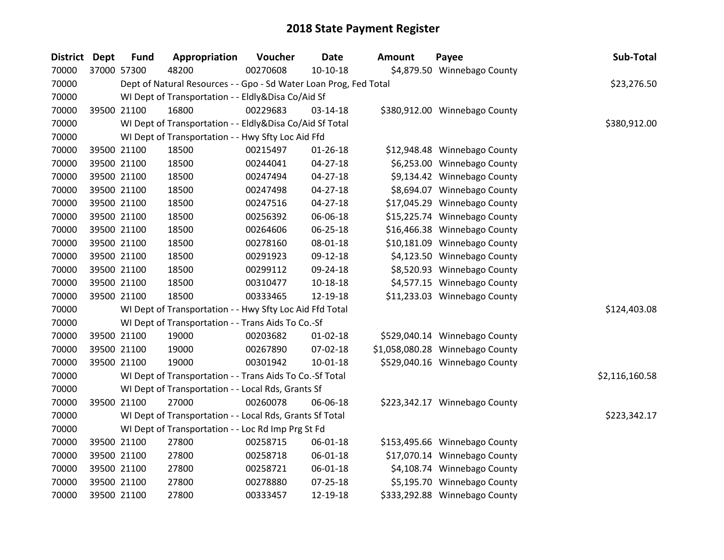| District Dept | <b>Fund</b> | Appropriation                                                     | Voucher  | <b>Date</b>    | <b>Amount</b> | Payee                           | Sub-Total      |
|---------------|-------------|-------------------------------------------------------------------|----------|----------------|---------------|---------------------------------|----------------|
| 70000         | 37000 57300 | 48200                                                             | 00270608 | $10-10-18$     |               | \$4,879.50 Winnebago County     |                |
| 70000         |             | Dept of Natural Resources - - Gpo - Sd Water Loan Prog, Fed Total |          |                |               |                                 | \$23,276.50    |
| 70000         |             | WI Dept of Transportation - - Eldly&Disa Co/Aid Sf                |          |                |               |                                 |                |
| 70000         | 39500 21100 | 16800                                                             | 00229683 | 03-14-18       |               | \$380,912.00 Winnebago County   |                |
| 70000         |             | WI Dept of Transportation - - Eldly&Disa Co/Aid Sf Total          |          |                |               |                                 | \$380,912.00   |
| 70000         |             | WI Dept of Transportation - - Hwy Sfty Loc Aid Ffd                |          |                |               |                                 |                |
| 70000         | 39500 21100 | 18500                                                             | 00215497 | $01 - 26 - 18$ |               | \$12,948.48 Winnebago County    |                |
| 70000         | 39500 21100 | 18500                                                             | 00244041 | $04 - 27 - 18$ |               | \$6,253.00 Winnebago County     |                |
| 70000         | 39500 21100 | 18500                                                             | 00247494 | $04 - 27 - 18$ |               | \$9,134.42 Winnebago County     |                |
| 70000         | 39500 21100 | 18500                                                             | 00247498 | $04 - 27 - 18$ |               | \$8,694.07 Winnebago County     |                |
| 70000         | 39500 21100 | 18500                                                             | 00247516 | $04 - 27 - 18$ |               | \$17,045.29 Winnebago County    |                |
| 70000         | 39500 21100 | 18500                                                             | 00256392 | 06-06-18       |               | \$15,225.74 Winnebago County    |                |
| 70000         | 39500 21100 | 18500                                                             | 00264606 | 06-25-18       |               | \$16,466.38 Winnebago County    |                |
| 70000         | 39500 21100 | 18500                                                             | 00278160 | 08-01-18       |               | \$10,181.09 Winnebago County    |                |
| 70000         | 39500 21100 | 18500                                                             | 00291923 | 09-12-18       |               | \$4,123.50 Winnebago County     |                |
| 70000         | 39500 21100 | 18500                                                             | 00299112 | 09-24-18       |               | \$8,520.93 Winnebago County     |                |
| 70000         | 39500 21100 | 18500                                                             | 00310477 | $10 - 18 - 18$ |               | \$4,577.15 Winnebago County     |                |
| 70000         | 39500 21100 | 18500                                                             | 00333465 | 12-19-18       |               | \$11,233.03 Winnebago County    |                |
| 70000         |             | WI Dept of Transportation - - Hwy Sfty Loc Aid Ffd Total          |          |                |               |                                 | \$124,403.08   |
| 70000         |             | WI Dept of Transportation - - Trans Aids To Co.-Sf                |          |                |               |                                 |                |
| 70000         | 39500 21100 | 19000                                                             | 00203682 | $01 - 02 - 18$ |               | \$529,040.14 Winnebago County   |                |
| 70000         | 39500 21100 | 19000                                                             | 00267890 | 07-02-18       |               | \$1,058,080.28 Winnebago County |                |
| 70000         | 39500 21100 | 19000                                                             | 00301942 | $10 - 01 - 18$ |               | \$529,040.16 Winnebago County   |                |
| 70000         |             | WI Dept of Transportation - - Trans Aids To Co.-Sf Total          |          |                |               |                                 | \$2,116,160.58 |
| 70000         |             | WI Dept of Transportation - - Local Rds, Grants Sf                |          |                |               |                                 |                |
| 70000         | 39500 21100 | 27000                                                             | 00260078 | 06-06-18       |               | \$223,342.17 Winnebago County   |                |
| 70000         |             | WI Dept of Transportation - - Local Rds, Grants Sf Total          |          |                |               |                                 | \$223,342.17   |
| 70000         |             | WI Dept of Transportation - - Loc Rd Imp Prg St Fd                |          |                |               |                                 |                |
| 70000         | 39500 21100 | 27800                                                             | 00258715 | 06-01-18       |               | \$153,495.66 Winnebago County   |                |
| 70000         | 39500 21100 | 27800                                                             | 00258718 | 06-01-18       |               | \$17,070.14 Winnebago County    |                |
| 70000         | 39500 21100 | 27800                                                             | 00258721 | 06-01-18       |               | \$4,108.74 Winnebago County     |                |
| 70000         | 39500 21100 | 27800                                                             | 00278880 | $07 - 25 - 18$ |               | \$5,195.70 Winnebago County     |                |
| 70000         | 39500 21100 | 27800                                                             | 00333457 | 12-19-18       |               | \$333,292.88 Winnebago County   |                |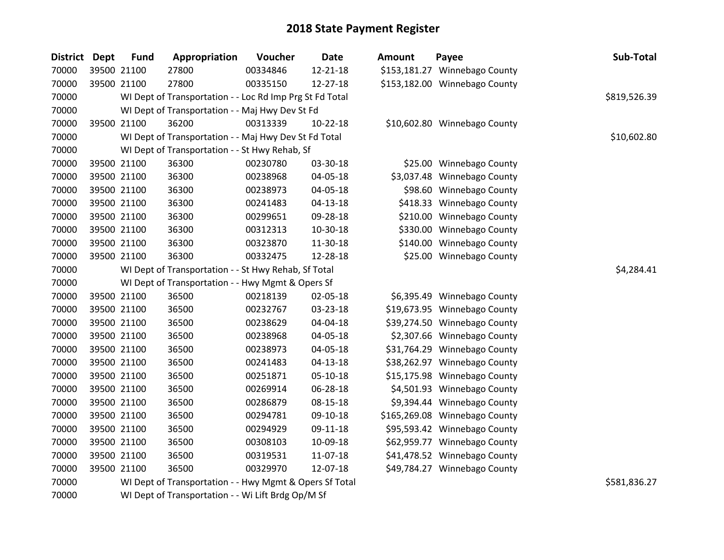| District Dept | <b>Fund</b> | Appropriation                                            | Voucher  | <b>Date</b> | <b>Amount</b> | Payee                         | Sub-Total    |
|---------------|-------------|----------------------------------------------------------|----------|-------------|---------------|-------------------------------|--------------|
| 70000         | 39500 21100 | 27800                                                    | 00334846 | 12-21-18    |               | \$153,181.27 Winnebago County |              |
| 70000         | 39500 21100 | 27800                                                    | 00335150 | 12-27-18    |               | \$153,182.00 Winnebago County |              |
| 70000         |             | WI Dept of Transportation - - Loc Rd Imp Prg St Fd Total |          |             |               |                               | \$819,526.39 |
| 70000         |             | WI Dept of Transportation - - Maj Hwy Dev St Fd          |          |             |               |                               |              |
| 70000         | 39500 21100 | 36200                                                    | 00313339 | 10-22-18    |               | \$10,602.80 Winnebago County  |              |
| 70000         |             | WI Dept of Transportation - - Maj Hwy Dev St Fd Total    |          |             |               |                               | \$10,602.80  |
| 70000         |             | WI Dept of Transportation - - St Hwy Rehab, Sf           |          |             |               |                               |              |
| 70000         | 39500 21100 | 36300                                                    | 00230780 | 03-30-18    |               | \$25.00 Winnebago County      |              |
| 70000         | 39500 21100 | 36300                                                    | 00238968 | 04-05-18    |               | \$3,037.48 Winnebago County   |              |
| 70000         | 39500 21100 | 36300                                                    | 00238973 | 04-05-18    |               | \$98.60 Winnebago County      |              |
| 70000         | 39500 21100 | 36300                                                    | 00241483 | 04-13-18    |               | \$418.33 Winnebago County     |              |
| 70000         | 39500 21100 | 36300                                                    | 00299651 | 09-28-18    |               | \$210.00 Winnebago County     |              |
| 70000         | 39500 21100 | 36300                                                    | 00312313 | 10-30-18    |               | \$330.00 Winnebago County     |              |
| 70000         | 39500 21100 | 36300                                                    | 00323870 | 11-30-18    |               | \$140.00 Winnebago County     |              |
| 70000         | 39500 21100 | 36300                                                    | 00332475 | 12-28-18    |               | \$25.00 Winnebago County      |              |
| 70000         |             | WI Dept of Transportation - - St Hwy Rehab, Sf Total     |          |             |               |                               | \$4,284.41   |
| 70000         |             | WI Dept of Transportation - - Hwy Mgmt & Opers Sf        |          |             |               |                               |              |
| 70000         | 39500 21100 | 36500                                                    | 00218139 | 02-05-18    |               | \$6,395.49 Winnebago County   |              |
| 70000         | 39500 21100 | 36500                                                    | 00232767 | 03-23-18    |               | \$19,673.95 Winnebago County  |              |
| 70000         | 39500 21100 | 36500                                                    | 00238629 | 04-04-18    |               | \$39,274.50 Winnebago County  |              |
| 70000         | 39500 21100 | 36500                                                    | 00238968 | 04-05-18    |               | \$2,307.66 Winnebago County   |              |
| 70000         | 39500 21100 | 36500                                                    | 00238973 | 04-05-18    |               | \$31,764.29 Winnebago County  |              |
| 70000         | 39500 21100 | 36500                                                    | 00241483 | 04-13-18    |               | \$38,262.97 Winnebago County  |              |
| 70000         | 39500 21100 | 36500                                                    | 00251871 | 05-10-18    |               | \$15,175.98 Winnebago County  |              |
| 70000         | 39500 21100 | 36500                                                    | 00269914 | 06-28-18    |               | \$4,501.93 Winnebago County   |              |
| 70000         | 39500 21100 | 36500                                                    | 00286879 | 08-15-18    |               | \$9,394.44 Winnebago County   |              |
| 70000         | 39500 21100 | 36500                                                    | 00294781 | 09-10-18    |               | \$165,269.08 Winnebago County |              |
| 70000         | 39500 21100 | 36500                                                    | 00294929 | 09-11-18    |               | \$95,593.42 Winnebago County  |              |
| 70000         | 39500 21100 | 36500                                                    | 00308103 | 10-09-18    |               | \$62,959.77 Winnebago County  |              |
| 70000         | 39500 21100 | 36500                                                    | 00319531 | 11-07-18    |               | \$41,478.52 Winnebago County  |              |
| 70000         | 39500 21100 | 36500                                                    | 00329970 | 12-07-18    |               | \$49,784.27 Winnebago County  |              |
| 70000         |             | WI Dept of Transportation - - Hwy Mgmt & Opers Sf Total  |          |             |               |                               | \$581,836.27 |
| 70000         |             | WI Dept of Transportation - - Wi Lift Brdg Op/M Sf       |          |             |               |                               |              |

| Sub-Total    | Payee                   |          |
|--------------|-------------------------|----------|
|              | 1.27 Winnebago County   |          |
|              | 2.00 Winnebago County   |          |
| \$819,526.39 |                         |          |
|              |                         |          |
|              | 2.80 Winnebago County   |          |
| \$10,602.80  |                         |          |
|              | 5.00 Winnebago County   |          |
|              | <b>Winnebago County</b> | 7.48     |
|              | Winnebago County        | 8.60     |
|              | <b>Winnebago County</b> | 8.33     |
|              | <b>Winnebago County</b> | $0.00\,$ |
|              | Winnebago County        | 0.00     |
|              | <b>Winnebago County</b> | 0.00     |
|              | Winnebago County        | 5.00     |
| \$4,284.41   |                         |          |
|              |                         |          |
|              | <b>Winnebago County</b> | 5.49     |
|              | 3.95 Winnebago County   |          |
|              | <b>Winnebago County</b> | 4.50     |
|              | Winnebago County        | 7.66     |
|              | <b>Winnebago County</b> | 4.29     |
|              | <b>Winnebago County</b> | 2.97     |
|              | Winnebago County        | 5.98     |
|              | Winnebago County        | 1.93     |
|              | Winnebago County        | 4.44     |
|              | Winnebago County        | 9.08     |
|              | Winnebago County        | 3.42     |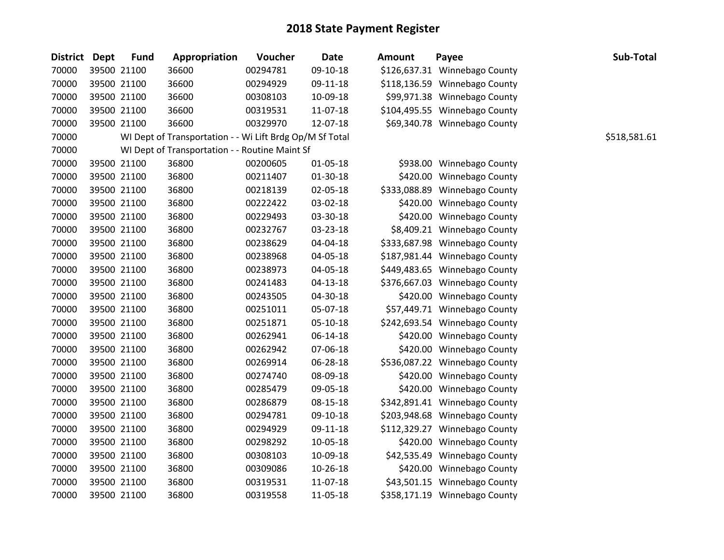| District Dept | <b>Fund</b> | Appropriation                                            | Voucher  | <b>Date</b>    | <b>Amount</b> | Payee                         | Sub-Total    |
|---------------|-------------|----------------------------------------------------------|----------|----------------|---------------|-------------------------------|--------------|
| 70000         | 39500 21100 | 36600                                                    | 00294781 | 09-10-18       |               | \$126,637.31 Winnebago County |              |
| 70000         | 39500 21100 | 36600                                                    | 00294929 | 09-11-18       |               | \$118,136.59 Winnebago County |              |
| 70000         | 39500 21100 | 36600                                                    | 00308103 | 10-09-18       |               | \$99,971.38 Winnebago County  |              |
| 70000         | 39500 21100 | 36600                                                    | 00319531 | 11-07-18       |               | \$104,495.55 Winnebago County |              |
| 70000         | 39500 21100 | 36600                                                    | 00329970 | 12-07-18       |               | \$69,340.78 Winnebago County  |              |
| 70000         |             | WI Dept of Transportation - - Wi Lift Brdg Op/M Sf Total |          |                |               |                               | \$518,581.61 |
| 70000         |             | WI Dept of Transportation - - Routine Maint Sf           |          |                |               |                               |              |
| 70000         | 39500 21100 | 36800                                                    | 00200605 | 01-05-18       |               | \$938.00 Winnebago County     |              |
| 70000         | 39500 21100 | 36800                                                    | 00211407 | $01 - 30 - 18$ |               | \$420.00 Winnebago County     |              |
| 70000         | 39500 21100 | 36800                                                    | 00218139 | 02-05-18       |               | \$333,088.89 Winnebago County |              |
| 70000         | 39500 21100 | 36800                                                    | 00222422 | 03-02-18       |               | \$420.00 Winnebago County     |              |
| 70000         | 39500 21100 | 36800                                                    | 00229493 | 03-30-18       |               | \$420.00 Winnebago County     |              |
| 70000         | 39500 21100 | 36800                                                    | 00232767 | 03-23-18       |               | \$8,409.21 Winnebago County   |              |
| 70000         | 39500 21100 | 36800                                                    | 00238629 | 04-04-18       |               | \$333,687.98 Winnebago County |              |
| 70000         | 39500 21100 | 36800                                                    | 00238968 | 04-05-18       |               | \$187,981.44 Winnebago County |              |
| 70000         | 39500 21100 | 36800                                                    | 00238973 | 04-05-18       |               | \$449,483.65 Winnebago County |              |
| 70000         | 39500 21100 | 36800                                                    | 00241483 | $04 - 13 - 18$ |               | \$376,667.03 Winnebago County |              |
| 70000         | 39500 21100 | 36800                                                    | 00243505 | 04-30-18       |               | \$420.00 Winnebago County     |              |
| 70000         | 39500 21100 | 36800                                                    | 00251011 | 05-07-18       |               | \$57,449.71 Winnebago County  |              |
| 70000         | 39500 21100 | 36800                                                    | 00251871 | 05-10-18       |               | \$242,693.54 Winnebago County |              |
| 70000         | 39500 21100 | 36800                                                    | 00262941 | $06 - 14 - 18$ |               | \$420.00 Winnebago County     |              |
| 70000         | 39500 21100 | 36800                                                    | 00262942 | 07-06-18       |               | \$420.00 Winnebago County     |              |
| 70000         | 39500 21100 | 36800                                                    | 00269914 | 06-28-18       |               | \$536,087.22 Winnebago County |              |
| 70000         | 39500 21100 | 36800                                                    | 00274740 | 08-09-18       |               | \$420.00 Winnebago County     |              |
| 70000         | 39500 21100 | 36800                                                    | 00285479 | 09-05-18       |               | \$420.00 Winnebago County     |              |
| 70000         | 39500 21100 | 36800                                                    | 00286879 | 08-15-18       |               | \$342,891.41 Winnebago County |              |
| 70000         | 39500 21100 | 36800                                                    | 00294781 | 09-10-18       |               | \$203,948.68 Winnebago County |              |
| 70000         | 39500 21100 | 36800                                                    | 00294929 | 09-11-18       |               | \$112,329.27 Winnebago County |              |
| 70000         | 39500 21100 | 36800                                                    | 00298292 | 10-05-18       |               | \$420.00 Winnebago County     |              |
| 70000         | 39500 21100 | 36800                                                    | 00308103 | 10-09-18       |               | \$42,535.49 Winnebago County  |              |
| 70000         | 39500 21100 | 36800                                                    | 00309086 | 10-26-18       |               | \$420.00 Winnebago County     |              |
| 70000         | 39500 21100 | 36800                                                    | 00319531 | 11-07-18       |               | \$43,501.15 Winnebago County  |              |
| 70000         | 39500 21100 | 36800                                                    | 00319558 | 11-05-18       |               | \$358,171.19 Winnebago County |              |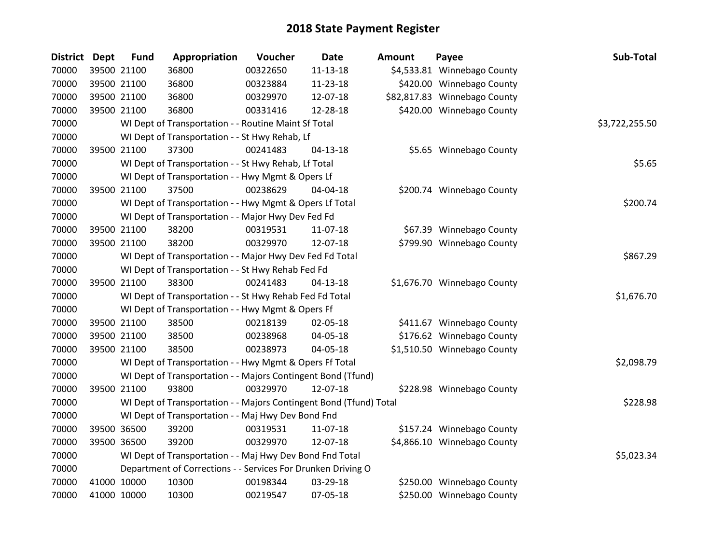| <b>District</b> | <b>Dept</b> | <b>Fund</b> | Appropriation                                                      | Voucher  | Date           | <b>Amount</b> | Payee                        | Sub-Total      |
|-----------------|-------------|-------------|--------------------------------------------------------------------|----------|----------------|---------------|------------------------------|----------------|
| 70000           |             | 39500 21100 | 36800                                                              | 00322650 | $11 - 13 - 18$ |               | \$4,533.81 Winnebago County  |                |
| 70000           |             | 39500 21100 | 36800                                                              | 00323884 | 11-23-18       |               | \$420.00 Winnebago County    |                |
| 70000           |             | 39500 21100 | 36800                                                              | 00329970 | 12-07-18       |               | \$82,817.83 Winnebago County |                |
| 70000           |             | 39500 21100 | 36800                                                              | 00331416 | 12-28-18       |               | \$420.00 Winnebago County    |                |
| 70000           |             |             | WI Dept of Transportation - - Routine Maint Sf Total               |          |                |               |                              | \$3,722,255.50 |
| 70000           |             |             | WI Dept of Transportation - - St Hwy Rehab, Lf                     |          |                |               |                              |                |
| 70000           |             | 39500 21100 | 37300                                                              | 00241483 | $04 - 13 - 18$ |               | \$5.65 Winnebago County      |                |
| 70000           |             |             | WI Dept of Transportation - - St Hwy Rehab, Lf Total               |          |                |               |                              | \$5.65         |
| 70000           |             |             | WI Dept of Transportation - - Hwy Mgmt & Opers Lf                  |          |                |               |                              |                |
| 70000           |             | 39500 21100 | 37500                                                              | 00238629 | 04-04-18       |               | \$200.74 Winnebago County    |                |
| 70000           |             |             | WI Dept of Transportation - - Hwy Mgmt & Opers Lf Total            |          |                |               |                              | \$200.74       |
| 70000           |             |             | WI Dept of Transportation - - Major Hwy Dev Fed Fd                 |          |                |               |                              |                |
| 70000           |             | 39500 21100 | 38200                                                              | 00319531 | 11-07-18       |               | \$67.39 Winnebago County     |                |
| 70000           |             | 39500 21100 | 38200                                                              | 00329970 | 12-07-18       |               | \$799.90 Winnebago County    |                |
| 70000           |             |             | WI Dept of Transportation - - Major Hwy Dev Fed Fd Total           |          |                |               |                              | \$867.29       |
| 70000           |             |             | WI Dept of Transportation - - St Hwy Rehab Fed Fd                  |          |                |               |                              |                |
| 70000           |             | 39500 21100 | 38300                                                              | 00241483 | $04 - 13 - 18$ |               | \$1,676.70 Winnebago County  |                |
| 70000           |             |             | WI Dept of Transportation - - St Hwy Rehab Fed Fd Total            |          |                |               |                              | \$1,676.70     |
| 70000           |             |             | WI Dept of Transportation - - Hwy Mgmt & Opers Ff                  |          |                |               |                              |                |
| 70000           |             | 39500 21100 | 38500                                                              | 00218139 | 02-05-18       |               | \$411.67 Winnebago County    |                |
| 70000           |             | 39500 21100 | 38500                                                              | 00238968 | 04-05-18       |               | \$176.62 Winnebago County    |                |
| 70000           |             | 39500 21100 | 38500                                                              | 00238973 | 04-05-18       |               | \$1,510.50 Winnebago County  |                |
| 70000           |             |             | WI Dept of Transportation - - Hwy Mgmt & Opers Ff Total            |          |                |               |                              | \$2,098.79     |
| 70000           |             |             | WI Dept of Transportation - - Majors Contingent Bond (Tfund)       |          |                |               |                              |                |
| 70000           |             | 39500 21100 | 93800                                                              | 00329970 | 12-07-18       |               | \$228.98 Winnebago County    |                |
| 70000           |             |             | WI Dept of Transportation - - Majors Contingent Bond (Tfund) Total |          |                |               |                              | \$228.98       |
| 70000           |             |             | WI Dept of Transportation - - Maj Hwy Dev Bond Fnd                 |          |                |               |                              |                |
| 70000           |             | 39500 36500 | 39200                                                              | 00319531 | 11-07-18       |               | \$157.24 Winnebago County    |                |
| 70000           |             | 39500 36500 | 39200                                                              | 00329970 | 12-07-18       |               | \$4,866.10 Winnebago County  |                |
| 70000           |             |             | WI Dept of Transportation - - Maj Hwy Dev Bond Fnd Total           |          |                |               |                              | \$5,023.34     |
| 70000           |             |             | Department of Corrections - - Services For Drunken Driving O       |          |                |               |                              |                |
| 70000           |             | 41000 10000 | 10300                                                              | 00198344 | 03-29-18       |               | \$250.00 Winnebago County    |                |
| 70000           | 41000 10000 |             | 10300                                                              | 00219547 | 07-05-18       |               | \$250.00 Winnebago County    |                |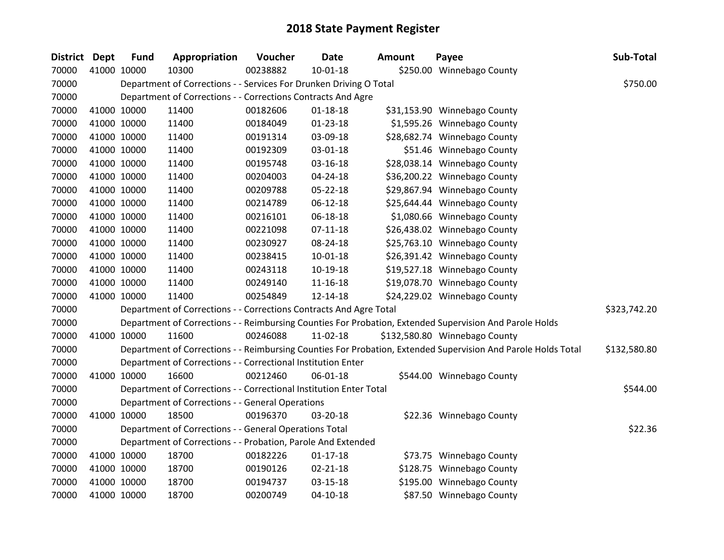| <b>District Dept</b> | <b>Fund</b> | Appropriation                                                      | Voucher  | Date           | <b>Amount</b> | Payee                                                                                                         | Sub-Total    |
|----------------------|-------------|--------------------------------------------------------------------|----------|----------------|---------------|---------------------------------------------------------------------------------------------------------------|--------------|
| 70000                | 41000 10000 | 10300                                                              | 00238882 | $10-01-18$     |               | \$250.00 Winnebago County                                                                                     |              |
| 70000                |             | Department of Corrections - - Services For Drunken Driving O Total |          |                |               |                                                                                                               | \$750.00     |
| 70000                |             | Department of Corrections - - Corrections Contracts And Agre       |          |                |               |                                                                                                               |              |
| 70000                | 41000 10000 | 11400                                                              | 00182606 | $01 - 18 - 18$ |               | \$31,153.90 Winnebago County                                                                                  |              |
| 70000                | 41000 10000 | 11400                                                              | 00184049 | $01 - 23 - 18$ |               | \$1,595.26 Winnebago County                                                                                   |              |
| 70000                | 41000 10000 | 11400                                                              | 00191314 | 03-09-18       |               | \$28,682.74 Winnebago County                                                                                  |              |
| 70000                | 41000 10000 | 11400                                                              | 00192309 | 03-01-18       |               | \$51.46 Winnebago County                                                                                      |              |
| 70000                | 41000 10000 | 11400                                                              | 00195748 | 03-16-18       |               | \$28,038.14 Winnebago County                                                                                  |              |
| 70000                | 41000 10000 | 11400                                                              | 00204003 | $04 - 24 - 18$ |               | \$36,200.22 Winnebago County                                                                                  |              |
| 70000                | 41000 10000 | 11400                                                              | 00209788 | 05-22-18       |               | \$29,867.94 Winnebago County                                                                                  |              |
| 70000                | 41000 10000 | 11400                                                              | 00214789 | $06 - 12 - 18$ |               | \$25,644.44 Winnebago County                                                                                  |              |
| 70000                | 41000 10000 | 11400                                                              | 00216101 | 06-18-18       |               | \$1,080.66 Winnebago County                                                                                   |              |
| 70000                | 41000 10000 | 11400                                                              | 00221098 | $07 - 11 - 18$ |               | \$26,438.02 Winnebago County                                                                                  |              |
| 70000                | 41000 10000 | 11400                                                              | 00230927 | 08-24-18       |               | \$25,763.10 Winnebago County                                                                                  |              |
| 70000                | 41000 10000 | 11400                                                              | 00238415 | $10 - 01 - 18$ |               | \$26,391.42 Winnebago County                                                                                  |              |
| 70000                | 41000 10000 | 11400                                                              | 00243118 | 10-19-18       |               | \$19,527.18 Winnebago County                                                                                  |              |
| 70000                | 41000 10000 | 11400                                                              | 00249140 | $11 - 16 - 18$ |               | \$19,078.70 Winnebago County                                                                                  |              |
| 70000                | 41000 10000 | 11400                                                              | 00254849 | 12-14-18       |               | \$24,229.02 Winnebago County                                                                                  |              |
| 70000                |             | Department of Corrections - - Corrections Contracts And Agre Total |          |                |               |                                                                                                               | \$323,742.20 |
| 70000                |             |                                                                    |          |                |               | Department of Corrections - - Reimbursing Counties For Probation, Extended Supervision And Parole Holds       |              |
| 70000                | 41000 10000 | 11600                                                              | 00246088 | $11-02-18$     |               | \$132,580.80 Winnebago County                                                                                 |              |
| 70000                |             |                                                                    |          |                |               | Department of Corrections - - Reimbursing Counties For Probation, Extended Supervision And Parole Holds Total | \$132,580.80 |
| 70000                |             | Department of Corrections - - Correctional Institution Enter       |          |                |               |                                                                                                               |              |
| 70000                | 41000 10000 | 16600                                                              | 00212460 | 06-01-18       |               | \$544.00 Winnebago County                                                                                     |              |
| 70000                |             | Department of Corrections - - Correctional Institution Enter Total |          |                |               |                                                                                                               | \$544.00     |
| 70000                |             | Department of Corrections - - General Operations                   |          |                |               |                                                                                                               |              |
| 70000                | 41000 10000 | 18500                                                              | 00196370 | 03-20-18       |               | \$22.36 Winnebago County                                                                                      |              |
| 70000                |             | Department of Corrections - - General Operations Total             |          |                |               |                                                                                                               | \$22.36      |
| 70000                |             | Department of Corrections - - Probation, Parole And Extended       |          |                |               |                                                                                                               |              |
| 70000                | 41000 10000 | 18700                                                              | 00182226 | $01-17-18$     |               | \$73.75 Winnebago County                                                                                      |              |
| 70000                | 41000 10000 | 18700                                                              | 00190126 | $02 - 21 - 18$ |               | \$128.75 Winnebago County                                                                                     |              |
| 70000                | 41000 10000 | 18700                                                              | 00194737 | 03-15-18       |               | \$195.00 Winnebago County                                                                                     |              |
| 70000                | 41000 10000 | 18700                                                              | 00200749 | $04 - 10 - 18$ |               | \$87.50 Winnebago County                                                                                      |              |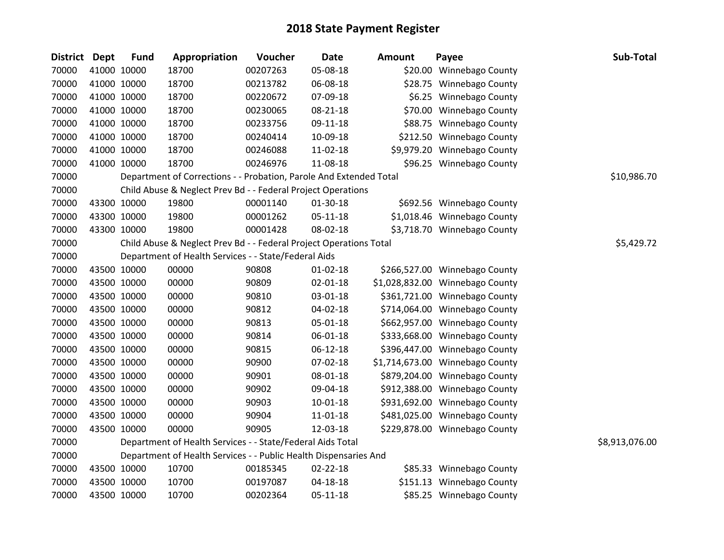| <b>District</b> | Dept        | <b>Fund</b> | Appropriation                                                      | Voucher  | <b>Date</b>    | <b>Amount</b> | Payee                           | Sub-Total      |
|-----------------|-------------|-------------|--------------------------------------------------------------------|----------|----------------|---------------|---------------------------------|----------------|
| 70000           |             | 41000 10000 | 18700                                                              | 00207263 | 05-08-18       |               | \$20.00 Winnebago County        |                |
| 70000           | 41000 10000 |             | 18700                                                              | 00213782 | 06-08-18       |               | \$28.75 Winnebago County        |                |
| 70000           | 41000 10000 |             | 18700                                                              | 00220672 | 07-09-18       |               | \$6.25 Winnebago County         |                |
| 70000           | 41000 10000 |             | 18700                                                              | 00230065 | 08-21-18       |               | \$70.00 Winnebago County        |                |
| 70000           | 41000 10000 |             | 18700                                                              | 00233756 | 09-11-18       |               | \$88.75 Winnebago County        |                |
| 70000           | 41000 10000 |             | 18700                                                              | 00240414 | 10-09-18       |               | \$212.50 Winnebago County       |                |
| 70000           |             | 41000 10000 | 18700                                                              | 00246088 | 11-02-18       |               | \$9,979.20 Winnebago County     |                |
| 70000           |             | 41000 10000 | 18700                                                              | 00246976 | 11-08-18       |               | \$96.25 Winnebago County        |                |
| 70000           |             |             | Department of Corrections - - Probation, Parole And Extended Total |          |                |               |                                 | \$10,986.70    |
| 70000           |             |             | Child Abuse & Neglect Prev Bd - - Federal Project Operations       |          |                |               |                                 |                |
| 70000           | 43300 10000 |             | 19800                                                              | 00001140 | 01-30-18       |               | \$692.56 Winnebago County       |                |
| 70000           | 43300 10000 |             | 19800                                                              | 00001262 | $05 - 11 - 18$ |               | \$1,018.46 Winnebago County     |                |
| 70000           | 43300 10000 |             | 19800                                                              | 00001428 | 08-02-18       |               | \$3,718.70 Winnebago County     |                |
| 70000           |             |             | Child Abuse & Neglect Prev Bd - - Federal Project Operations Total |          |                |               |                                 | \$5,429.72     |
| 70000           |             |             | Department of Health Services - - State/Federal Aids               |          |                |               |                                 |                |
| 70000           |             | 43500 10000 | 00000                                                              | 90808    | $01 - 02 - 18$ |               | \$266,527.00 Winnebago County   |                |
| 70000           |             | 43500 10000 | 00000                                                              | 90809    | 02-01-18       |               | \$1,028,832.00 Winnebago County |                |
| 70000           | 43500 10000 |             | 00000                                                              | 90810    | 03-01-18       |               | \$361,721.00 Winnebago County   |                |
| 70000           | 43500 10000 |             | 00000                                                              | 90812    | 04-02-18       |               | \$714,064.00 Winnebago County   |                |
| 70000           | 43500 10000 |             | 00000                                                              | 90813    | 05-01-18       |               | \$662,957.00 Winnebago County   |                |
| 70000           |             | 43500 10000 | 00000                                                              | 90814    | 06-01-18       |               | \$333,668.00 Winnebago County   |                |
| 70000           |             | 43500 10000 | 00000                                                              | 90815    | $06 - 12 - 18$ |               | \$396,447.00 Winnebago County   |                |
| 70000           | 43500 10000 |             | 00000                                                              | 90900    | 07-02-18       |               | \$1,714,673.00 Winnebago County |                |
| 70000           |             | 43500 10000 | 00000                                                              | 90901    | 08-01-18       |               | \$879,204.00 Winnebago County   |                |
| 70000           |             | 43500 10000 | 00000                                                              | 90902    | 09-04-18       |               | \$912,388.00 Winnebago County   |                |
| 70000           |             | 43500 10000 | 00000                                                              | 90903    | 10-01-18       |               | \$931,692.00 Winnebago County   |                |
| 70000           |             | 43500 10000 | 00000                                                              | 90904    | 11-01-18       |               | \$481,025.00 Winnebago County   |                |
| 70000           |             | 43500 10000 | 00000                                                              | 90905    | 12-03-18       |               | \$229,878.00 Winnebago County   |                |
| 70000           |             |             | Department of Health Services - - State/Federal Aids Total         |          |                |               |                                 | \$8,913,076.00 |
| 70000           |             |             | Department of Health Services - - Public Health Dispensaries And   |          |                |               |                                 |                |
| 70000           |             | 43500 10000 | 10700                                                              | 00185345 | $02 - 22 - 18$ |               | \$85.33 Winnebago County        |                |
| 70000           |             | 43500 10000 | 10700                                                              | 00197087 | 04-18-18       |               | \$151.13 Winnebago County       |                |
| 70000           | 43500 10000 |             | 10700                                                              | 00202364 | 05-11-18       |               | \$85.25 Winnebago County        |                |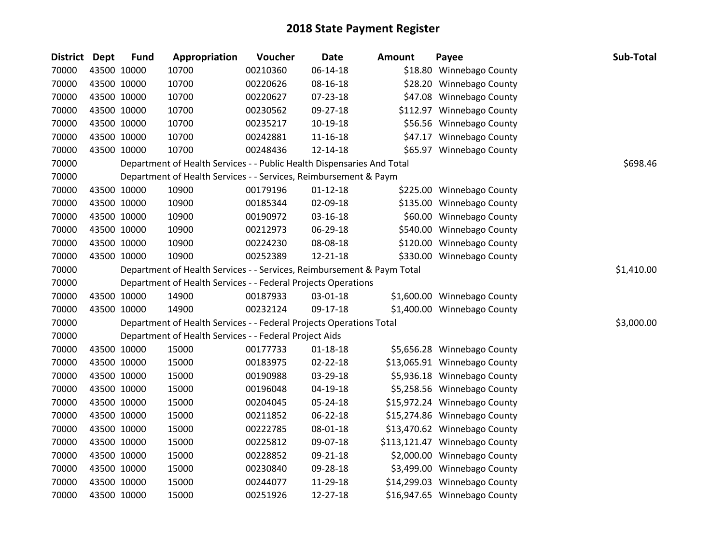| District Dept | <b>Fund</b> | Appropriation                                                          | Voucher  | <b>Date</b>    | <b>Amount</b> | Payee                         | Sub-Total  |
|---------------|-------------|------------------------------------------------------------------------|----------|----------------|---------------|-------------------------------|------------|
| 70000         | 43500 10000 | 10700                                                                  | 00210360 | $06 - 14 - 18$ |               | \$18.80 Winnebago County      |            |
| 70000         | 43500 10000 | 10700                                                                  | 00220626 | 08-16-18       |               | \$28.20 Winnebago County      |            |
| 70000         | 43500 10000 | 10700                                                                  | 00220627 | 07-23-18       |               | \$47.08 Winnebago County      |            |
| 70000         | 43500 10000 | 10700                                                                  | 00230562 | 09-27-18       |               | \$112.97 Winnebago County     |            |
| 70000         | 43500 10000 | 10700                                                                  | 00235217 | 10-19-18       |               | \$56.56 Winnebago County      |            |
| 70000         | 43500 10000 | 10700                                                                  | 00242881 | $11 - 16 - 18$ |               | \$47.17 Winnebago County      |            |
| 70000         | 43500 10000 | 10700                                                                  | 00248436 | 12-14-18       |               | \$65.97 Winnebago County      |            |
| 70000         |             | Department of Health Services - - Public Health Dispensaries And Total |          |                |               |                               | \$698.46   |
| 70000         |             | Department of Health Services - - Services, Reimbursement & Paym       |          |                |               |                               |            |
| 70000         | 43500 10000 | 10900                                                                  | 00179196 | $01 - 12 - 18$ |               | \$225.00 Winnebago County     |            |
| 70000         | 43500 10000 | 10900                                                                  | 00185344 | 02-09-18       |               | \$135.00 Winnebago County     |            |
| 70000         | 43500 10000 | 10900                                                                  | 00190972 | 03-16-18       |               | \$60.00 Winnebago County      |            |
| 70000         | 43500 10000 | 10900                                                                  | 00212973 | 06-29-18       |               | \$540.00 Winnebago County     |            |
| 70000         | 43500 10000 | 10900                                                                  | 00224230 | 08-08-18       |               | \$120.00 Winnebago County     |            |
| 70000         | 43500 10000 | 10900                                                                  | 00252389 | 12-21-18       |               | \$330.00 Winnebago County     |            |
| 70000         |             | Department of Health Services - - Services, Reimbursement & Paym Total |          |                |               |                               | \$1,410.00 |
| 70000         |             | Department of Health Services - - Federal Projects Operations          |          |                |               |                               |            |
| 70000         | 43500 10000 | 14900                                                                  | 00187933 | 03-01-18       |               | \$1,600.00 Winnebago County   |            |
| 70000         | 43500 10000 | 14900                                                                  | 00232124 | 09-17-18       |               | \$1,400.00 Winnebago County   |            |
| 70000         |             | Department of Health Services - - Federal Projects Operations Total    |          |                |               |                               | \$3,000.00 |
| 70000         |             | Department of Health Services - - Federal Project Aids                 |          |                |               |                               |            |
| 70000         | 43500 10000 | 15000                                                                  | 00177733 | $01 - 18 - 18$ |               | \$5,656.28 Winnebago County   |            |
| 70000         | 43500 10000 | 15000                                                                  | 00183975 | 02-22-18       |               | \$13,065.91 Winnebago County  |            |
| 70000         | 43500 10000 | 15000                                                                  | 00190988 | 03-29-18       |               | \$5,936.18 Winnebago County   |            |
| 70000         | 43500 10000 | 15000                                                                  | 00196048 | 04-19-18       |               | \$5,258.56 Winnebago County   |            |
| 70000         | 43500 10000 | 15000                                                                  | 00204045 | 05-24-18       |               | \$15,972.24 Winnebago County  |            |
| 70000         | 43500 10000 | 15000                                                                  | 00211852 | 06-22-18       |               | \$15,274.86 Winnebago County  |            |
| 70000         | 43500 10000 | 15000                                                                  | 00222785 | 08-01-18       |               | \$13,470.62 Winnebago County  |            |
| 70000         | 43500 10000 | 15000                                                                  | 00225812 | 09-07-18       |               | \$113,121.47 Winnebago County |            |
| 70000         | 43500 10000 | 15000                                                                  | 00228852 | 09-21-18       |               | \$2,000.00 Winnebago County   |            |
| 70000         | 43500 10000 | 15000                                                                  | 00230840 | 09-28-18       |               | \$3,499.00 Winnebago County   |            |
| 70000         | 43500 10000 | 15000                                                                  | 00244077 | 11-29-18       |               | \$14,299.03 Winnebago County  |            |
| 70000         | 43500 10000 | 15000                                                                  | 00251926 | 12-27-18       |               | \$16,947.65 Winnebago County  |            |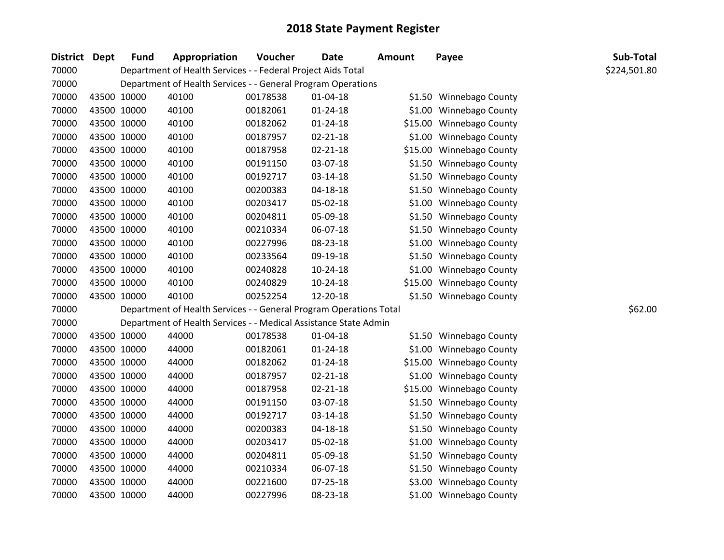| District Dept | <b>Fund</b> | Appropriation                                                      | Voucher  | <b>Date</b>    | <b>Amount</b> | Payee                    | Sub-Total    |
|---------------|-------------|--------------------------------------------------------------------|----------|----------------|---------------|--------------------------|--------------|
| 70000         |             | Department of Health Services - - Federal Project Aids Total       |          |                |               |                          | \$224,501.80 |
| 70000         |             | Department of Health Services - - General Program Operations       |          |                |               |                          |              |
| 70000         | 43500 10000 | 40100                                                              | 00178538 | $01 - 04 - 18$ |               | \$1.50 Winnebago County  |              |
| 70000         | 43500 10000 | 40100                                                              | 00182061 | $01 - 24 - 18$ |               | \$1.00 Winnebago County  |              |
| 70000         | 43500 10000 | 40100                                                              | 00182062 | 01-24-18       |               | \$15.00 Winnebago County |              |
| 70000         | 43500 10000 | 40100                                                              | 00187957 | $02 - 21 - 18$ |               | \$1.00 Winnebago County  |              |
| 70000         | 43500 10000 | 40100                                                              | 00187958 | $02 - 21 - 18$ |               | \$15.00 Winnebago County |              |
| 70000         | 43500 10000 | 40100                                                              | 00191150 | 03-07-18       |               | \$1.50 Winnebago County  |              |
| 70000         | 43500 10000 | 40100                                                              | 00192717 | 03-14-18       |               | \$1.50 Winnebago County  |              |
| 70000         | 43500 10000 | 40100                                                              | 00200383 | $04 - 18 - 18$ |               | \$1.50 Winnebago County  |              |
| 70000         | 43500 10000 | 40100                                                              | 00203417 | 05-02-18       |               | \$1.00 Winnebago County  |              |
| 70000         | 43500 10000 | 40100                                                              | 00204811 | 05-09-18       |               | \$1.50 Winnebago County  |              |
| 70000         | 43500 10000 | 40100                                                              | 00210334 | 06-07-18       |               | \$1.50 Winnebago County  |              |
| 70000         | 43500 10000 | 40100                                                              | 00227996 | 08-23-18       |               | \$1.00 Winnebago County  |              |
| 70000         | 43500 10000 | 40100                                                              | 00233564 | 09-19-18       |               | \$1.50 Winnebago County  |              |
| 70000         | 43500 10000 | 40100                                                              | 00240828 | $10-24-18$     |               | \$1.00 Winnebago County  |              |
| 70000         | 43500 10000 | 40100                                                              | 00240829 | $10-24-18$     |               | \$15.00 Winnebago County |              |
| 70000         | 43500 10000 | 40100                                                              | 00252254 | 12-20-18       |               | \$1.50 Winnebago County  |              |
| 70000         |             | Department of Health Services - - General Program Operations Total |          |                |               |                          | \$62.00      |
| 70000         |             | Department of Health Services - - Medical Assistance State Admin   |          |                |               |                          |              |
| 70000         | 43500 10000 | 44000                                                              | 00178538 | $01 - 04 - 18$ |               | \$1.50 Winnebago County  |              |
| 70000         | 43500 10000 | 44000                                                              | 00182061 | $01 - 24 - 18$ |               | \$1.00 Winnebago County  |              |
| 70000         | 43500 10000 | 44000                                                              | 00182062 | 01-24-18       |               | \$15.00 Winnebago County |              |
| 70000         | 43500 10000 | 44000                                                              | 00187957 | 02-21-18       |               | \$1.00 Winnebago County  |              |
| 70000         | 43500 10000 | 44000                                                              | 00187958 | $02 - 21 - 18$ |               | \$15.00 Winnebago County |              |
| 70000         | 43500 10000 | 44000                                                              | 00191150 | 03-07-18       |               | \$1.50 Winnebago County  |              |
| 70000         | 43500 10000 | 44000                                                              | 00192717 | $03 - 14 - 18$ |               | \$1.50 Winnebago County  |              |
| 70000         | 43500 10000 | 44000                                                              | 00200383 | $04 - 18 - 18$ |               | \$1.50 Winnebago County  |              |
| 70000         | 43500 10000 | 44000                                                              | 00203417 | 05-02-18       |               | \$1.00 Winnebago County  |              |
| 70000         | 43500 10000 | 44000                                                              | 00204811 | 05-09-18       |               | \$1.50 Winnebago County  |              |
| 70000         | 43500 10000 | 44000                                                              | 00210334 | 06-07-18       |               | \$1.50 Winnebago County  |              |
| 70000         | 43500 10000 | 44000                                                              | 00221600 | 07-25-18       |               | \$3.00 Winnebago County  |              |
| 70000         | 43500 10000 | 44000                                                              | 00227996 | 08-23-18       |               | \$1.00 Winnebago County  |              |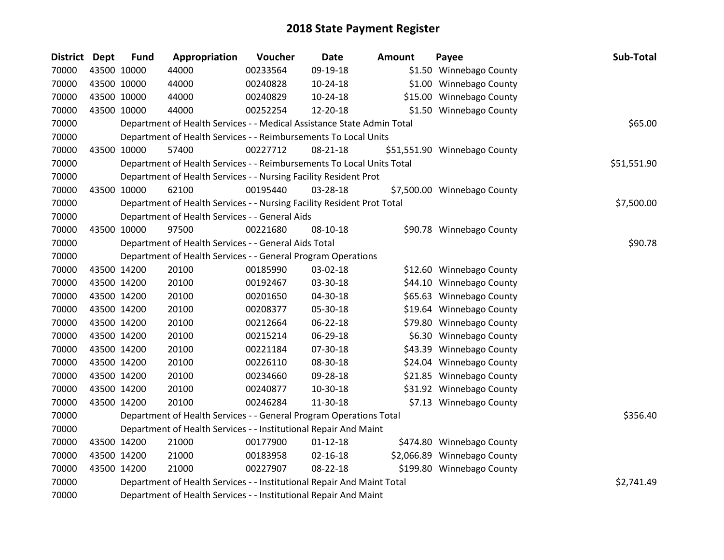| District Dept |             | <b>Fund</b> | Appropriation                                                          | Voucher  | <b>Date</b>    | Amount | Payee                        | Sub-Total   |
|---------------|-------------|-------------|------------------------------------------------------------------------|----------|----------------|--------|------------------------------|-------------|
| 70000         | 43500 10000 |             | 44000                                                                  | 00233564 | 09-19-18       |        | \$1.50 Winnebago County      |             |
| 70000         |             | 43500 10000 | 44000                                                                  | 00240828 | $10-24-18$     |        | \$1.00 Winnebago County      |             |
| 70000         | 43500 10000 |             | 44000                                                                  | 00240829 | 10-24-18       |        | \$15.00 Winnebago County     |             |
| 70000         | 43500 10000 |             | 44000                                                                  | 00252254 | 12-20-18       |        | \$1.50 Winnebago County      |             |
| 70000         |             |             | Department of Health Services - - Medical Assistance State Admin Total |          |                |        |                              | \$65.00     |
| 70000         |             |             | Department of Health Services - - Reimbursements To Local Units        |          |                |        |                              |             |
| 70000         | 43500 10000 |             | 57400                                                                  | 00227712 | 08-21-18       |        | \$51,551.90 Winnebago County |             |
| 70000         |             |             | Department of Health Services - - Reimbursements To Local Units Total  |          |                |        |                              | \$51,551.90 |
| 70000         |             |             | Department of Health Services - - Nursing Facility Resident Prot       |          |                |        |                              |             |
| 70000         | 43500 10000 |             | 62100                                                                  | 00195440 | 03-28-18       |        | \$7,500.00 Winnebago County  |             |
| 70000         |             |             | Department of Health Services - - Nursing Facility Resident Prot Total |          |                |        |                              | \$7,500.00  |
| 70000         |             |             | Department of Health Services - - General Aids                         |          |                |        |                              |             |
| 70000         | 43500 10000 |             | 97500                                                                  | 00221680 | 08-10-18       |        | \$90.78 Winnebago County     |             |
| 70000         |             |             | Department of Health Services - - General Aids Total                   |          |                |        |                              | \$90.78     |
| 70000         |             |             | Department of Health Services - - General Program Operations           |          |                |        |                              |             |
| 70000         |             | 43500 14200 | 20100                                                                  | 00185990 | 03-02-18       |        | \$12.60 Winnebago County     |             |
| 70000         | 43500 14200 |             | 20100                                                                  | 00192467 | 03-30-18       |        | \$44.10 Winnebago County     |             |
| 70000         | 43500 14200 |             | 20100                                                                  | 00201650 | 04-30-18       |        | \$65.63 Winnebago County     |             |
| 70000         | 43500 14200 |             | 20100                                                                  | 00208377 | 05-30-18       |        | \$19.64 Winnebago County     |             |
| 70000         | 43500 14200 |             | 20100                                                                  | 00212664 | 06-22-18       |        | \$79.80 Winnebago County     |             |
| 70000         |             | 43500 14200 | 20100                                                                  | 00215214 | 06-29-18       |        | \$6.30 Winnebago County      |             |
| 70000         | 43500 14200 |             | 20100                                                                  | 00221184 | 07-30-18       |        | \$43.39 Winnebago County     |             |
| 70000         | 43500 14200 |             | 20100                                                                  | 00226110 | 08-30-18       |        | \$24.04 Winnebago County     |             |
| 70000         | 43500 14200 |             | 20100                                                                  | 00234660 | 09-28-18       |        | \$21.85 Winnebago County     |             |
| 70000         |             | 43500 14200 | 20100                                                                  | 00240877 | 10-30-18       |        | \$31.92 Winnebago County     |             |
| 70000         |             | 43500 14200 | 20100                                                                  | 00246284 | 11-30-18       |        | \$7.13 Winnebago County      |             |
| 70000         |             |             | Department of Health Services - - General Program Operations Total     |          |                |        |                              | \$356.40    |
| 70000         |             |             | Department of Health Services - - Institutional Repair And Maint       |          |                |        |                              |             |
| 70000         | 43500 14200 |             | 21000                                                                  | 00177900 | $01 - 12 - 18$ |        | \$474.80 Winnebago County    |             |
| 70000         | 43500 14200 |             | 21000                                                                  | 00183958 | $02 - 16 - 18$ |        | \$2,066.89 Winnebago County  |             |
| 70000         |             | 43500 14200 | 21000                                                                  | 00227907 | 08-22-18       |        | \$199.80 Winnebago County    |             |
| 70000         |             |             | Department of Health Services - - Institutional Repair And Maint Total |          |                |        |                              | \$2,741.49  |
| 70000         |             |             | Department of Health Services - - Institutional Repair And Maint       |          |                |        |                              |             |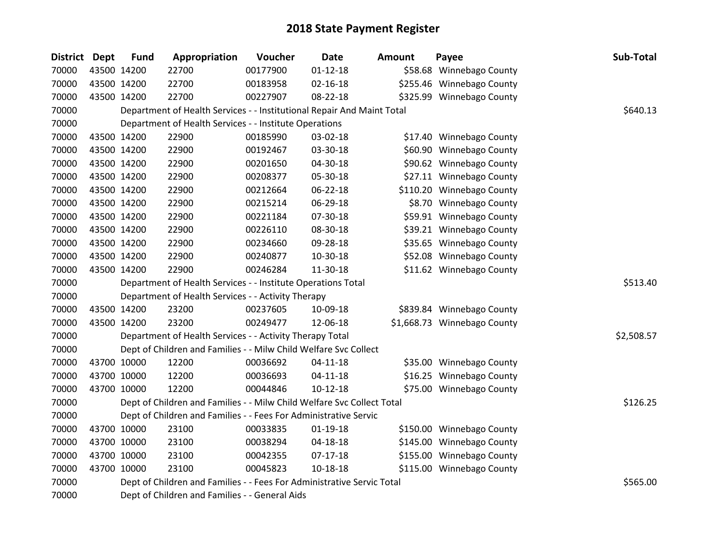| District Dept | <b>Fund</b> | Appropriation                                                          | Voucher  | <b>Date</b>    | <b>Amount</b> | Payee                       | Sub-Total  |
|---------------|-------------|------------------------------------------------------------------------|----------|----------------|---------------|-----------------------------|------------|
| 70000         | 43500 14200 | 22700                                                                  | 00177900 | $01 - 12 - 18$ |               | \$58.68 Winnebago County    |            |
| 70000         | 43500 14200 | 22700                                                                  | 00183958 | $02 - 16 - 18$ |               | \$255.46 Winnebago County   |            |
| 70000         | 43500 14200 | 22700                                                                  | 00227907 | 08-22-18       |               | \$325.99 Winnebago County   |            |
| 70000         |             | Department of Health Services - - Institutional Repair And Maint Total |          |                |               |                             | \$640.13   |
| 70000         |             | Department of Health Services - - Institute Operations                 |          |                |               |                             |            |
| 70000         | 43500 14200 | 22900                                                                  | 00185990 | 03-02-18       |               | \$17.40 Winnebago County    |            |
| 70000         | 43500 14200 | 22900                                                                  | 00192467 | 03-30-18       |               | \$60.90 Winnebago County    |            |
| 70000         | 43500 14200 | 22900                                                                  | 00201650 | 04-30-18       |               | \$90.62 Winnebago County    |            |
| 70000         | 43500 14200 | 22900                                                                  | 00208377 | 05-30-18       |               | \$27.11 Winnebago County    |            |
| 70000         | 43500 14200 | 22900                                                                  | 00212664 | 06-22-18       |               | \$110.20 Winnebago County   |            |
| 70000         | 43500 14200 | 22900                                                                  | 00215214 | 06-29-18       |               | \$8.70 Winnebago County     |            |
| 70000         | 43500 14200 | 22900                                                                  | 00221184 | 07-30-18       |               | \$59.91 Winnebago County    |            |
| 70000         | 43500 14200 | 22900                                                                  | 00226110 | 08-30-18       |               | \$39.21 Winnebago County    |            |
| 70000         | 43500 14200 | 22900                                                                  | 00234660 | 09-28-18       |               | \$35.65 Winnebago County    |            |
| 70000         | 43500 14200 | 22900                                                                  | 00240877 | 10-30-18       |               | \$52.08 Winnebago County    |            |
| 70000         | 43500 14200 | 22900                                                                  | 00246284 | 11-30-18       |               | \$11.62 Winnebago County    |            |
| 70000         |             | Department of Health Services - - Institute Operations Total           |          |                |               |                             | \$513.40   |
| 70000         |             | Department of Health Services - - Activity Therapy                     |          |                |               |                             |            |
| 70000         | 43500 14200 | 23200                                                                  | 00237605 | 10-09-18       |               | \$839.84 Winnebago County   |            |
| 70000         | 43500 14200 | 23200                                                                  | 00249477 | 12-06-18       |               | \$1,668.73 Winnebago County |            |
| 70000         |             | Department of Health Services - - Activity Therapy Total               |          |                |               |                             | \$2,508.57 |
| 70000         |             | Dept of Children and Families - - Milw Child Welfare Svc Collect       |          |                |               |                             |            |
| 70000         | 43700 10000 | 12200                                                                  | 00036692 | $04 - 11 - 18$ |               | \$35.00 Winnebago County    |            |
| 70000         | 43700 10000 | 12200                                                                  | 00036693 | $04 - 11 - 18$ |               | \$16.25 Winnebago County    |            |
| 70000         | 43700 10000 | 12200                                                                  | 00044846 | $10-12-18$     |               | \$75.00 Winnebago County    |            |
| 70000         |             | Dept of Children and Families - - Milw Child Welfare Svc Collect Total |          |                |               |                             | \$126.25   |
| 70000         |             | Dept of Children and Families - - Fees For Administrative Servic       |          |                |               |                             |            |
| 70000         | 43700 10000 | 23100                                                                  | 00033835 | $01 - 19 - 18$ |               | \$150.00 Winnebago County   |            |
| 70000         | 43700 10000 | 23100                                                                  | 00038294 | 04-18-18       |               | \$145.00 Winnebago County   |            |
| 70000         | 43700 10000 | 23100                                                                  | 00042355 | $07-17-18$     |               | \$155.00 Winnebago County   |            |
| 70000         | 43700 10000 | 23100                                                                  | 00045823 | 10-18-18       |               | \$115.00 Winnebago County   |            |
| 70000         |             | Dept of Children and Families - - Fees For Administrative Servic Total |          |                |               |                             | \$565.00   |
| 70000         |             | Dept of Children and Families - - General Aids                         |          |                |               |                             |            |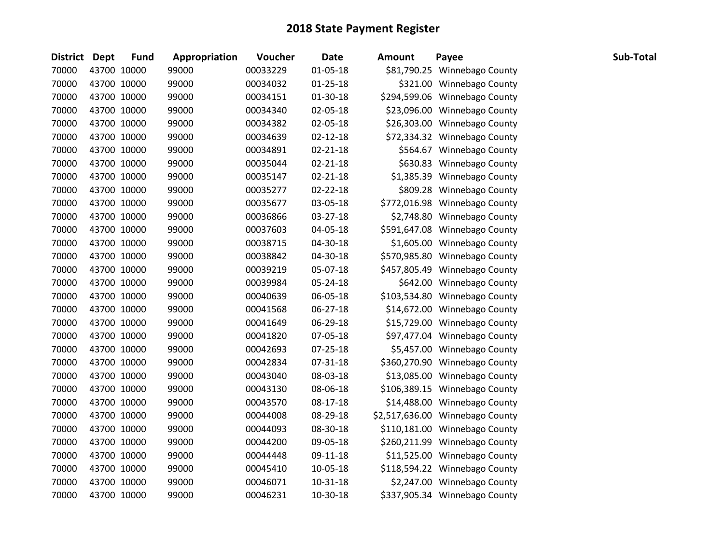| District Dept |             | <b>Fund</b> | Appropriation | Voucher  | <b>Date</b>    | <b>Amount</b> | Payee                           | Sub-Total |
|---------------|-------------|-------------|---------------|----------|----------------|---------------|---------------------------------|-----------|
| 70000         | 43700 10000 |             | 99000         | 00033229 | $01 - 05 - 18$ |               | \$81,790.25 Winnebago County    |           |
| 70000         | 43700 10000 |             | 99000         | 00034032 | $01 - 25 - 18$ |               | \$321.00 Winnebago County       |           |
| 70000         | 43700 10000 |             | 99000         | 00034151 | 01-30-18       |               | \$294,599.06 Winnebago County   |           |
| 70000         | 43700 10000 |             | 99000         | 00034340 | 02-05-18       |               | \$23,096.00 Winnebago County    |           |
| 70000         | 43700 10000 |             | 99000         | 00034382 | 02-05-18       |               | \$26,303.00 Winnebago County    |           |
| 70000         | 43700 10000 |             | 99000         | 00034639 | $02 - 12 - 18$ |               | \$72,334.32 Winnebago County    |           |
| 70000         | 43700 10000 |             | 99000         | 00034891 | $02 - 21 - 18$ |               | \$564.67 Winnebago County       |           |
| 70000         | 43700 10000 |             | 99000         | 00035044 | $02 - 21 - 18$ |               | \$630.83 Winnebago County       |           |
| 70000         | 43700 10000 |             | 99000         | 00035147 | $02 - 21 - 18$ |               | \$1,385.39 Winnebago County     |           |
| 70000         | 43700 10000 |             | 99000         | 00035277 | $02 - 22 - 18$ |               | \$809.28 Winnebago County       |           |
| 70000         | 43700 10000 |             | 99000         | 00035677 | 03-05-18       |               | \$772,016.98 Winnebago County   |           |
| 70000         | 43700 10000 |             | 99000         | 00036866 | 03-27-18       |               | \$2,748.80 Winnebago County     |           |
| 70000         | 43700 10000 |             | 99000         | 00037603 | 04-05-18       |               | \$591,647.08 Winnebago County   |           |
| 70000         | 43700 10000 |             | 99000         | 00038715 | 04-30-18       |               | \$1,605.00 Winnebago County     |           |
| 70000         | 43700 10000 |             | 99000         | 00038842 | 04-30-18       |               | \$570,985.80 Winnebago County   |           |
| 70000         | 43700 10000 |             | 99000         | 00039219 | 05-07-18       |               | \$457,805.49 Winnebago County   |           |
| 70000         | 43700 10000 |             | 99000         | 00039984 | 05-24-18       |               | \$642.00 Winnebago County       |           |
| 70000         | 43700 10000 |             | 99000         | 00040639 | 06-05-18       |               | \$103,534.80 Winnebago County   |           |
| 70000         | 43700 10000 |             | 99000         | 00041568 | $06 - 27 - 18$ |               | \$14,672.00 Winnebago County    |           |
| 70000         | 43700 10000 |             | 99000         | 00041649 | 06-29-18       |               | \$15,729.00 Winnebago County    |           |
| 70000         | 43700 10000 |             | 99000         | 00041820 | 07-05-18       |               | \$97,477.04 Winnebago County    |           |
| 70000         | 43700 10000 |             | 99000         | 00042693 | 07-25-18       |               | \$5,457.00 Winnebago County     |           |
| 70000         | 43700 10000 |             | 99000         | 00042834 | 07-31-18       |               | \$360,270.90 Winnebago County   |           |
| 70000         | 43700 10000 |             | 99000         | 00043040 | 08-03-18       |               | \$13,085.00 Winnebago County    |           |
| 70000         | 43700 10000 |             | 99000         | 00043130 | 08-06-18       |               | \$106,389.15 Winnebago County   |           |
| 70000         | 43700 10000 |             | 99000         | 00043570 | 08-17-18       |               | \$14,488.00 Winnebago County    |           |
| 70000         | 43700 10000 |             | 99000         | 00044008 | 08-29-18       |               | \$2,517,636.00 Winnebago County |           |
| 70000         | 43700 10000 |             | 99000         | 00044093 | 08-30-18       |               | \$110,181.00 Winnebago County   |           |
| 70000         | 43700 10000 |             | 99000         | 00044200 | 09-05-18       |               | \$260,211.99 Winnebago County   |           |
| 70000         | 43700 10000 |             | 99000         | 00044448 | 09-11-18       |               | \$11,525.00 Winnebago County    |           |
| 70000         | 43700 10000 |             | 99000         | 00045410 | 10-05-18       |               | \$118,594.22 Winnebago County   |           |
| 70000         | 43700 10000 |             | 99000         | 00046071 | $10 - 31 - 18$ |               | \$2,247.00 Winnebago County     |           |
| 70000         | 43700 10000 |             | 99000         | 00046231 | 10-30-18       |               | \$337,905.34 Winnebago County   |           |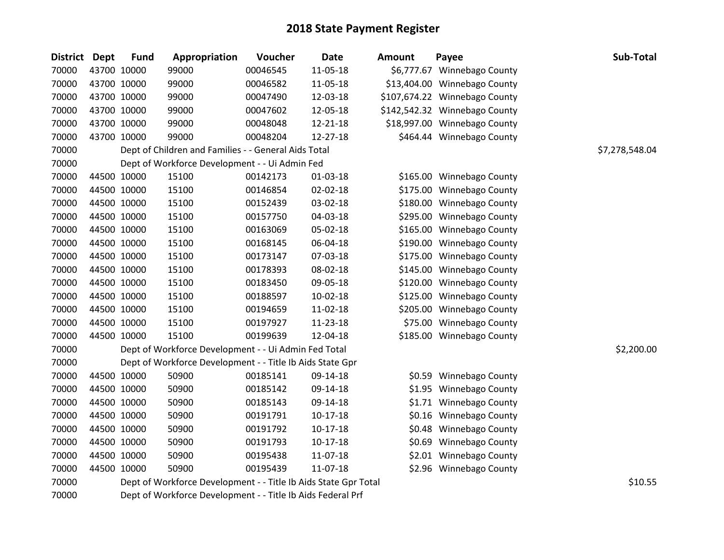| <b>District</b> | Dept | <b>Fund</b> | Appropriation                                                   | Voucher  | <b>Date</b>    | <b>Amount</b> | Payee                         | Sub-Total      |
|-----------------|------|-------------|-----------------------------------------------------------------|----------|----------------|---------------|-------------------------------|----------------|
| 70000           |      | 43700 10000 | 99000                                                           | 00046545 | 11-05-18       |               | \$6,777.67 Winnebago County   |                |
| 70000           |      | 43700 10000 | 99000                                                           | 00046582 | 11-05-18       |               | \$13,404.00 Winnebago County  |                |
| 70000           |      | 43700 10000 | 99000                                                           | 00047490 | 12-03-18       |               | \$107,674.22 Winnebago County |                |
| 70000           |      | 43700 10000 | 99000                                                           | 00047602 | 12-05-18       |               | \$142,542.32 Winnebago County |                |
| 70000           |      | 43700 10000 | 99000                                                           | 00048048 | 12-21-18       |               | \$18,997.00 Winnebago County  |                |
| 70000           |      | 43700 10000 | 99000                                                           | 00048204 | $12 - 27 - 18$ |               | \$464.44 Winnebago County     |                |
| 70000           |      |             | Dept of Children and Families - - General Aids Total            |          |                |               |                               | \$7,278,548.04 |
| 70000           |      |             | Dept of Workforce Development - - Ui Admin Fed                  |          |                |               |                               |                |
| 70000           |      | 44500 10000 | 15100                                                           | 00142173 | $01-03-18$     |               | \$165.00 Winnebago County     |                |
| 70000           |      | 44500 10000 | 15100                                                           | 00146854 | 02-02-18       |               | \$175.00 Winnebago County     |                |
| 70000           |      | 44500 10000 | 15100                                                           | 00152439 | 03-02-18       |               | \$180.00 Winnebago County     |                |
| 70000           |      | 44500 10000 | 15100                                                           | 00157750 | 04-03-18       |               | \$295.00 Winnebago County     |                |
| 70000           |      | 44500 10000 | 15100                                                           | 00163069 | 05-02-18       |               | \$165.00 Winnebago County     |                |
| 70000           |      | 44500 10000 | 15100                                                           | 00168145 | 06-04-18       |               | \$190.00 Winnebago County     |                |
| 70000           |      | 44500 10000 | 15100                                                           | 00173147 | 07-03-18       |               | \$175.00 Winnebago County     |                |
| 70000           |      | 44500 10000 | 15100                                                           | 00178393 | 08-02-18       |               | \$145.00 Winnebago County     |                |
| 70000           |      | 44500 10000 | 15100                                                           | 00183450 | 09-05-18       |               | \$120.00 Winnebago County     |                |
| 70000           |      | 44500 10000 | 15100                                                           | 00188597 | 10-02-18       |               | \$125.00 Winnebago County     |                |
| 70000           |      | 44500 10000 | 15100                                                           | 00194659 | 11-02-18       |               | \$205.00 Winnebago County     |                |
| 70000           |      | 44500 10000 | 15100                                                           | 00197927 | $11 - 23 - 18$ |               | \$75.00 Winnebago County      |                |
| 70000           |      | 44500 10000 | 15100                                                           | 00199639 | 12-04-18       |               | \$185.00 Winnebago County     |                |
| 70000           |      |             | Dept of Workforce Development - - Ui Admin Fed Total            |          |                |               |                               | \$2,200.00     |
| 70000           |      |             | Dept of Workforce Development - - Title Ib Aids State Gpr       |          |                |               |                               |                |
| 70000           |      | 44500 10000 | 50900                                                           | 00185141 | 09-14-18       |               | \$0.59 Winnebago County       |                |
| 70000           |      | 44500 10000 | 50900                                                           | 00185142 | 09-14-18       |               | \$1.95 Winnebago County       |                |
| 70000           |      | 44500 10000 | 50900                                                           | 00185143 | 09-14-18       |               | \$1.71 Winnebago County       |                |
| 70000           |      | 44500 10000 | 50900                                                           | 00191791 | $10-17-18$     |               | \$0.16 Winnebago County       |                |
| 70000           |      | 44500 10000 | 50900                                                           | 00191792 | $10-17-18$     |               | \$0.48 Winnebago County       |                |
| 70000           |      | 44500 10000 | 50900                                                           | 00191793 | $10-17-18$     |               | \$0.69 Winnebago County       |                |
| 70000           |      | 44500 10000 | 50900                                                           | 00195438 | 11-07-18       |               | \$2.01 Winnebago County       |                |
| 70000           |      | 44500 10000 | 50900                                                           | 00195439 | 11-07-18       |               | \$2.96 Winnebago County       |                |
| 70000           |      |             | Dept of Workforce Development - - Title Ib Aids State Gpr Total |          |                |               |                               | \$10.55        |
| 70000           |      |             | Dept of Workforce Development - - Title Ib Aids Federal Prf     |          |                |               |                               |                |

| ount     | Payee                      |       |
|----------|----------------------------|-------|
|          | 6,777.67 Winnebago County  |       |
|          | 3,404.00 Winnebago County  |       |
|          | 17,674.22 Winnebago County |       |
|          | 2,542.32 Winnebago County  |       |
| 8,997.00 | <b>Winnebago County</b>    |       |
|          | \$464.44 Winnebago County  |       |
|          |                            | \$7,: |
|          |                            |       |
|          | \$165.00 Winnebago County  |       |
|          | \$175.00 Winnebago County  |       |
|          | \$180.00 Winnebago County  |       |
| \$295.00 | <b>Winnebago County</b>    |       |
| \$165.00 | Winnebago County           |       |
| \$190.00 | Winnebago County           |       |
| \$175.00 | <b>Winnebago County</b>    |       |
| \$145.00 | <b>Winnebago County</b>    |       |
|          | \$120.00 Winnebago County  |       |
| \$125.00 | <b>Winnebago County</b>    |       |
| \$205.00 | Winnebago County           |       |
| \$75.00  | Winnebago County           |       |
| \$185.00 | <b>Winnebago County</b>    |       |
|          |                            |       |
|          |                            |       |
|          | \$0.59 Winnebago County    |       |
|          | \$1.95 Winnebago County    |       |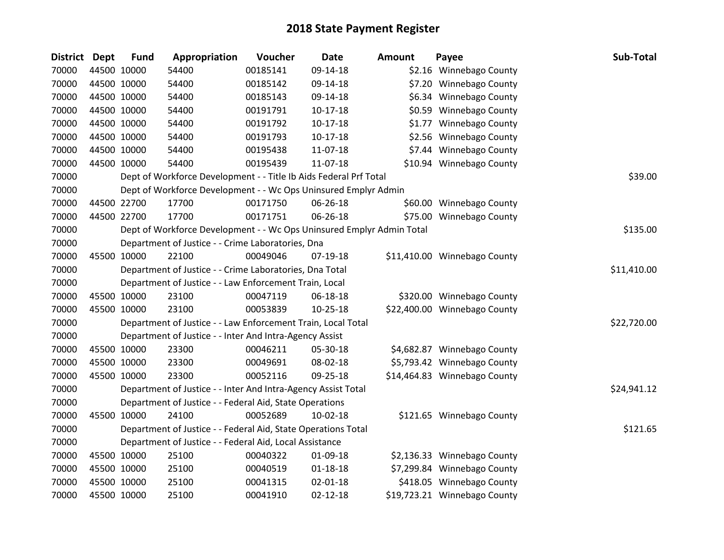| District Dept | <b>Fund</b> | Appropriation                                                         | Voucher  | <b>Date</b>    | <b>Amount</b> | Payee                        | Sub-Total   |
|---------------|-------------|-----------------------------------------------------------------------|----------|----------------|---------------|------------------------------|-------------|
| 70000         | 44500 10000 | 54400                                                                 | 00185141 | 09-14-18       |               | \$2.16 Winnebago County      |             |
| 70000         | 44500 10000 | 54400                                                                 | 00185142 | 09-14-18       |               | \$7.20 Winnebago County      |             |
| 70000         | 44500 10000 | 54400                                                                 | 00185143 | 09-14-18       |               | \$6.34 Winnebago County      |             |
| 70000         | 44500 10000 | 54400                                                                 | 00191791 | $10-17-18$     |               | \$0.59 Winnebago County      |             |
| 70000         | 44500 10000 | 54400                                                                 | 00191792 | $10-17-18$     |               | \$1.77 Winnebago County      |             |
| 70000         | 44500 10000 | 54400                                                                 | 00191793 | $10-17-18$     |               | \$2.56 Winnebago County      |             |
| 70000         | 44500 10000 | 54400                                                                 | 00195438 | 11-07-18       |               | \$7.44 Winnebago County      |             |
| 70000         | 44500 10000 | 54400                                                                 | 00195439 | 11-07-18       |               | \$10.94 Winnebago County     |             |
| 70000         |             | Dept of Workforce Development - - Title Ib Aids Federal Prf Total     |          |                |               |                              | \$39.00     |
| 70000         |             | Dept of Workforce Development - - Wc Ops Uninsured Emplyr Admin       |          |                |               |                              |             |
| 70000         | 44500 22700 | 17700                                                                 | 00171750 | 06-26-18       |               | \$60.00 Winnebago County     |             |
| 70000         | 44500 22700 | 17700                                                                 | 00171751 | 06-26-18       |               | \$75.00 Winnebago County     |             |
| 70000         |             | Dept of Workforce Development - - Wc Ops Uninsured Emplyr Admin Total |          |                |               |                              | \$135.00    |
| 70000         |             | Department of Justice - - Crime Laboratories, Dna                     |          |                |               |                              |             |
| 70000         | 45500 10000 | 22100                                                                 | 00049046 | 07-19-18       |               | \$11,410.00 Winnebago County |             |
| 70000         |             | Department of Justice - - Crime Laboratories, Dna Total               |          |                |               |                              | \$11,410.00 |
| 70000         |             | Department of Justice - - Law Enforcement Train, Local                |          |                |               |                              |             |
| 70000         | 45500 10000 | 23100                                                                 | 00047119 | 06-18-18       |               | \$320.00 Winnebago County    |             |
| 70000         | 45500 10000 | 23100                                                                 | 00053839 | $10 - 25 - 18$ |               | \$22,400.00 Winnebago County |             |
| 70000         |             | Department of Justice - - Law Enforcement Train, Local Total          |          |                |               |                              | \$22,720.00 |
| 70000         |             | Department of Justice - - Inter And Intra-Agency Assist               |          |                |               |                              |             |
| 70000         | 45500 10000 | 23300                                                                 | 00046211 | 05-30-18       |               | \$4,682.87 Winnebago County  |             |
| 70000         | 45500 10000 | 23300                                                                 | 00049691 | 08-02-18       |               | \$5,793.42 Winnebago County  |             |
| 70000         | 45500 10000 | 23300                                                                 | 00052116 | 09-25-18       |               | \$14,464.83 Winnebago County |             |
| 70000         |             | Department of Justice - - Inter And Intra-Agency Assist Total         |          |                |               |                              | \$24,941.12 |
| 70000         |             | Department of Justice - - Federal Aid, State Operations               |          |                |               |                              |             |
| 70000         | 45500 10000 | 24100                                                                 | 00052689 | $10-02-18$     |               | \$121.65 Winnebago County    |             |
| 70000         |             | Department of Justice - - Federal Aid, State Operations Total         |          |                |               |                              | \$121.65    |
| 70000         |             | Department of Justice - - Federal Aid, Local Assistance               |          |                |               |                              |             |
| 70000         | 45500 10000 | 25100                                                                 | 00040322 | 01-09-18       |               | \$2,136.33 Winnebago County  |             |
| 70000         | 45500 10000 | 25100                                                                 | 00040519 | $01 - 18 - 18$ |               | \$7,299.84 Winnebago County  |             |
| 70000         | 45500 10000 | 25100                                                                 | 00041315 | $02 - 01 - 18$ |               | \$418.05 Winnebago County    |             |
| 70000         | 45500 10000 | 25100                                                                 | 00041910 | $02 - 12 - 18$ |               | \$19,723.21 Winnebago County |             |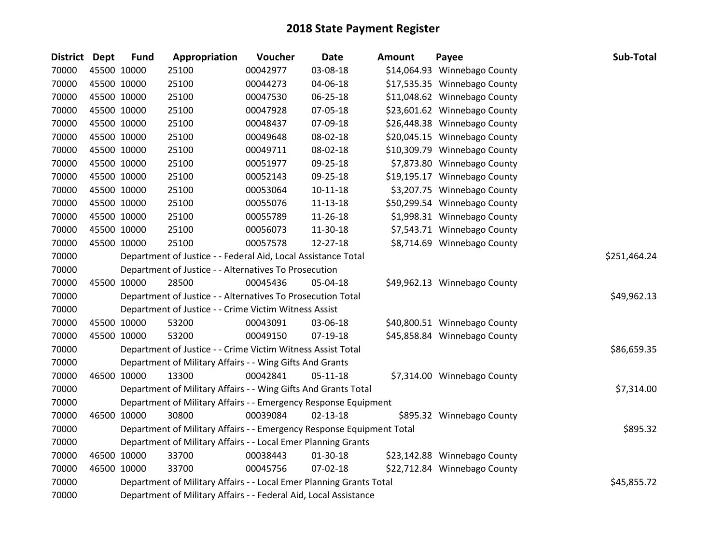| District Dept | <b>Fund</b> | Appropriation                                                         | Voucher      | <b>Date</b>    | <b>Amount</b> | Payee                        | Sub-Total   |
|---------------|-------------|-----------------------------------------------------------------------|--------------|----------------|---------------|------------------------------|-------------|
| 70000         | 45500 10000 | 25100                                                                 | 00042977     | 03-08-18       |               | \$14,064.93 Winnebago County |             |
| 70000         | 45500 10000 | 25100                                                                 | 00044273     | 04-06-18       |               | \$17,535.35 Winnebago County |             |
| 70000         | 45500 10000 | 25100                                                                 | 00047530     | 06-25-18       |               | \$11,048.62 Winnebago County |             |
| 70000         | 45500 10000 | 25100                                                                 | 00047928     | 07-05-18       |               | \$23,601.62 Winnebago County |             |
| 70000         | 45500 10000 | 25100                                                                 | 00048437     | 07-09-18       |               | \$26,448.38 Winnebago County |             |
| 70000         | 45500 10000 | 25100                                                                 | 00049648     | 08-02-18       |               | \$20,045.15 Winnebago County |             |
| 70000         | 45500 10000 | 25100                                                                 | 00049711     | 08-02-18       |               | \$10,309.79 Winnebago County |             |
| 70000         | 45500 10000 | 25100                                                                 | 00051977     | 09-25-18       |               | \$7,873.80 Winnebago County  |             |
| 70000         | 45500 10000 | 25100                                                                 | 00052143     | 09-25-18       |               | \$19,195.17 Winnebago County |             |
| 70000         | 45500 10000 | 25100                                                                 | 00053064     | $10 - 11 - 18$ |               | \$3,207.75 Winnebago County  |             |
| 70000         | 45500 10000 | 25100                                                                 | 00055076     | 11-13-18       |               | \$50,299.54 Winnebago County |             |
| 70000         | 45500 10000 | 25100                                                                 | 00055789     | 11-26-18       |               | \$1,998.31 Winnebago County  |             |
| 70000         | 45500 10000 | 25100                                                                 | 00056073     | 11-30-18       |               | \$7,543.71 Winnebago County  |             |
| 70000         | 45500 10000 | 25100                                                                 | 00057578     | 12-27-18       |               | \$8,714.69 Winnebago County  |             |
| 70000         |             | Department of Justice - - Federal Aid, Local Assistance Total         | \$251,464.24 |                |               |                              |             |
| 70000         |             | Department of Justice - - Alternatives To Prosecution                 |              |                |               |                              |             |
| 70000         | 45500 10000 | 28500                                                                 | 00045436     | 05-04-18       |               | \$49,962.13 Winnebago County |             |
| 70000         |             | Department of Justice - - Alternatives To Prosecution Total           |              |                |               |                              | \$49,962.13 |
| 70000         |             | Department of Justice - - Crime Victim Witness Assist                 |              |                |               |                              |             |
| 70000         | 45500 10000 | 53200                                                                 | 00043091     | 03-06-18       |               | \$40,800.51 Winnebago County |             |
| 70000         | 45500 10000 | 53200                                                                 | 00049150     | 07-19-18       |               | \$45,858.84 Winnebago County |             |
| 70000         |             | Department of Justice - - Crime Victim Witness Assist Total           |              |                |               |                              | \$86,659.35 |
| 70000         |             | Department of Military Affairs - - Wing Gifts And Grants              |              |                |               |                              |             |
| 70000         | 46500 10000 | 13300                                                                 | 00042841     | $05 - 11 - 18$ |               | \$7,314.00 Winnebago County  |             |
| 70000         |             | Department of Military Affairs - - Wing Gifts And Grants Total        |              |                |               |                              | \$7,314.00  |
| 70000         |             | Department of Military Affairs - - Emergency Response Equipment       |              |                |               |                              |             |
| 70000         | 46500 10000 | 30800                                                                 | 00039084     | $02 - 13 - 18$ |               | \$895.32 Winnebago County    |             |
| 70000         |             | Department of Military Affairs - - Emergency Response Equipment Total |              |                |               |                              | \$895.32    |
| 70000         |             | Department of Military Affairs - - Local Emer Planning Grants         |              |                |               |                              |             |
| 70000         | 46500 10000 | 33700                                                                 | 00038443     | 01-30-18       |               | \$23,142.88 Winnebago County |             |
| 70000         | 46500 10000 | 33700                                                                 | 00045756     | $07 - 02 - 18$ |               | \$22,712.84 Winnebago County |             |
| 70000         |             | Department of Military Affairs - - Local Emer Planning Grants Total   |              |                |               |                              | \$45,855.72 |
| 70000         |             | Department of Military Affairs - - Federal Aid, Local Assistance      |              |                |               |                              |             |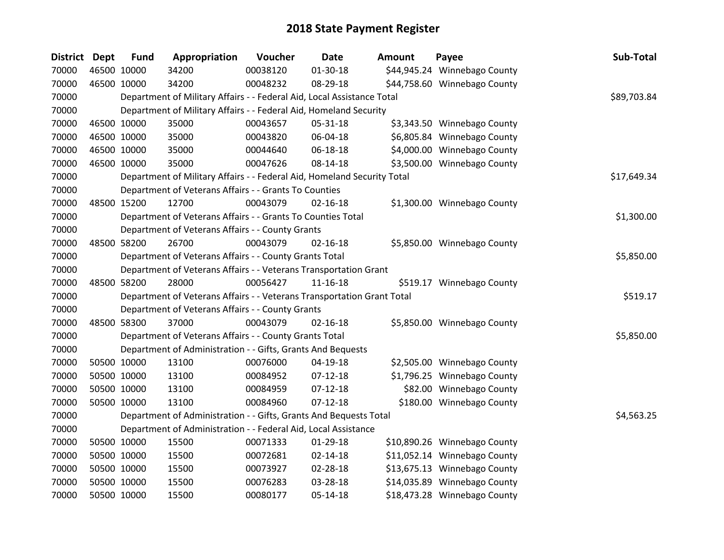| <b>District</b> | <b>Dept</b> | <b>Fund</b> | Appropriation                                                           | Voucher  | Date           | <b>Amount</b> | Payee                        | Sub-Total   |
|-----------------|-------------|-------------|-------------------------------------------------------------------------|----------|----------------|---------------|------------------------------|-------------|
| 70000           | 46500 10000 |             | 34200                                                                   | 00038120 | 01-30-18       |               | \$44,945.24 Winnebago County |             |
| 70000           | 46500 10000 |             | 34200                                                                   | 00048232 | 08-29-18       |               | \$44,758.60 Winnebago County |             |
| 70000           |             |             | Department of Military Affairs - - Federal Aid, Local Assistance Total  |          |                |               |                              | \$89,703.84 |
| 70000           |             |             | Department of Military Affairs - - Federal Aid, Homeland Security       |          |                |               |                              |             |
| 70000           | 46500 10000 |             | 35000                                                                   | 00043657 | 05-31-18       |               | \$3,343.50 Winnebago County  |             |
| 70000           | 46500 10000 |             | 35000                                                                   | 00043820 | 06-04-18       |               | \$6,805.84 Winnebago County  |             |
| 70000           | 46500 10000 |             | 35000                                                                   | 00044640 | 06-18-18       |               | \$4,000.00 Winnebago County  |             |
| 70000           | 46500 10000 |             | 35000                                                                   | 00047626 | $08 - 14 - 18$ |               | \$3,500.00 Winnebago County  |             |
| 70000           |             |             | Department of Military Affairs - - Federal Aid, Homeland Security Total |          |                |               |                              | \$17,649.34 |
| 70000           |             |             | Department of Veterans Affairs - - Grants To Counties                   |          |                |               |                              |             |
| 70000           | 48500 15200 |             | 12700                                                                   | 00043079 | $02 - 16 - 18$ |               | \$1,300.00 Winnebago County  |             |
| 70000           |             |             | Department of Veterans Affairs - - Grants To Counties Total             |          |                |               |                              | \$1,300.00  |
| 70000           |             |             | Department of Veterans Affairs - - County Grants                        |          |                |               |                              |             |
| 70000           | 48500 58200 |             | 26700                                                                   | 00043079 | $02 - 16 - 18$ |               | \$5,850.00 Winnebago County  |             |
| 70000           |             |             | Department of Veterans Affairs - - County Grants Total                  |          |                |               |                              | \$5,850.00  |
| 70000           |             |             | Department of Veterans Affairs - - Veterans Transportation Grant        |          |                |               |                              |             |
| 70000           | 48500 58200 |             | 28000                                                                   | 00056427 | $11 - 16 - 18$ |               | \$519.17 Winnebago County    |             |
| 70000           |             |             | Department of Veterans Affairs - - Veterans Transportation Grant Total  |          |                |               |                              | \$519.17    |
| 70000           |             |             | Department of Veterans Affairs - - County Grants                        |          |                |               |                              |             |
| 70000           | 48500 58300 |             | 37000                                                                   | 00043079 | $02 - 16 - 18$ |               | \$5,850.00 Winnebago County  |             |
| 70000           |             |             | Department of Veterans Affairs - - County Grants Total                  |          |                |               |                              | \$5,850.00  |
| 70000           |             |             | Department of Administration - - Gifts, Grants And Bequests             |          |                |               |                              |             |
| 70000           | 50500 10000 |             | 13100                                                                   | 00076000 | 04-19-18       |               | \$2,505.00 Winnebago County  |             |
| 70000           | 50500 10000 |             | 13100                                                                   | 00084952 | $07-12-18$     |               | \$1,796.25 Winnebago County  |             |
| 70000           | 50500 10000 |             | 13100                                                                   | 00084959 | $07 - 12 - 18$ |               | \$82.00 Winnebago County     |             |
| 70000           | 50500 10000 |             | 13100                                                                   | 00084960 | $07-12-18$     |               | \$180.00 Winnebago County    |             |
| 70000           |             |             | Department of Administration - - Gifts, Grants And Bequests Total       |          |                |               |                              | \$4,563.25  |
| 70000           |             |             | Department of Administration - - Federal Aid, Local Assistance          |          |                |               |                              |             |
| 70000           | 50500 10000 |             | 15500                                                                   | 00071333 | $01 - 29 - 18$ |               | \$10,890.26 Winnebago County |             |
| 70000           | 50500 10000 |             | 15500                                                                   | 00072681 | $02 - 14 - 18$ |               | \$11,052.14 Winnebago County |             |
| 70000           | 50500 10000 |             | 15500                                                                   | 00073927 | 02-28-18       |               | \$13,675.13 Winnebago County |             |
| 70000           | 50500 10000 |             | 15500                                                                   | 00076283 | 03-28-18       |               | \$14,035.89 Winnebago County |             |
| 70000           | 50500 10000 |             | 15500                                                                   | 00080177 | 05-14-18       |               | \$18,473.28 Winnebago County |             |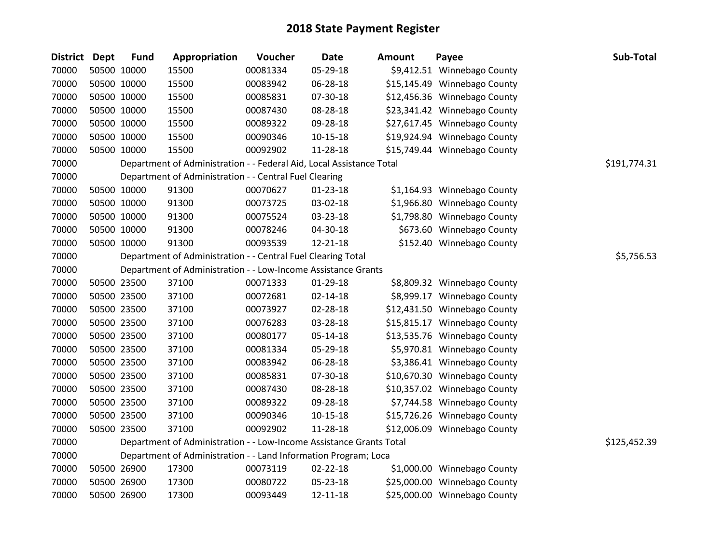| District Dept |             | <b>Fund</b> | Appropriation                                                        | Voucher  | <b>Date</b>    | <b>Amount</b> | Payee                        | Sub-Total    |
|---------------|-------------|-------------|----------------------------------------------------------------------|----------|----------------|---------------|------------------------------|--------------|
| 70000         |             | 50500 10000 | 15500                                                                | 00081334 | 05-29-18       |               | \$9,412.51 Winnebago County  |              |
| 70000         |             | 50500 10000 | 15500                                                                | 00083942 | 06-28-18       |               | \$15,145.49 Winnebago County |              |
| 70000         |             | 50500 10000 | 15500                                                                | 00085831 | 07-30-18       |               | \$12,456.36 Winnebago County |              |
| 70000         | 50500 10000 |             | 15500                                                                | 00087430 | 08-28-18       |               | \$23,341.42 Winnebago County |              |
| 70000         | 50500 10000 |             | 15500                                                                | 00089322 | 09-28-18       |               | \$27,617.45 Winnebago County |              |
| 70000         |             | 50500 10000 | 15500                                                                | 00090346 | $10 - 15 - 18$ |               | \$19,924.94 Winnebago County |              |
| 70000         |             | 50500 10000 | 15500                                                                | 00092902 | 11-28-18       |               | \$15,749.44 Winnebago County |              |
| 70000         |             |             | Department of Administration - - Federal Aid, Local Assistance Total |          |                |               |                              | \$191,774.31 |
| 70000         |             |             | Department of Administration - - Central Fuel Clearing               |          |                |               |                              |              |
| 70000         |             | 50500 10000 | 91300                                                                | 00070627 | $01 - 23 - 18$ |               | \$1,164.93 Winnebago County  |              |
| 70000         |             | 50500 10000 | 91300                                                                | 00073725 | 03-02-18       |               | \$1,966.80 Winnebago County  |              |
| 70000         |             | 50500 10000 | 91300                                                                | 00075524 | 03-23-18       |               | \$1,798.80 Winnebago County  |              |
| 70000         |             | 50500 10000 | 91300                                                                | 00078246 | 04-30-18       |               | \$673.60 Winnebago County    |              |
| 70000         |             | 50500 10000 | 91300                                                                | 00093539 | 12-21-18       |               | \$152.40 Winnebago County    |              |
| 70000         |             |             | Department of Administration - - Central Fuel Clearing Total         |          |                |               |                              | \$5,756.53   |
| 70000         |             |             | Department of Administration - - Low-Income Assistance Grants        |          |                |               |                              |              |
| 70000         |             | 50500 23500 | 37100                                                                | 00071333 | 01-29-18       |               | \$8,809.32 Winnebago County  |              |
| 70000         |             | 50500 23500 | 37100                                                                | 00072681 | $02 - 14 - 18$ |               | \$8,999.17 Winnebago County  |              |
| 70000         |             | 50500 23500 | 37100                                                                | 00073927 | 02-28-18       |               | \$12,431.50 Winnebago County |              |
| 70000         |             | 50500 23500 | 37100                                                                | 00076283 | 03-28-18       |               | \$15,815.17 Winnebago County |              |
| 70000         |             | 50500 23500 | 37100                                                                | 00080177 | $05 - 14 - 18$ |               | \$13,535.76 Winnebago County |              |
| 70000         |             | 50500 23500 | 37100                                                                | 00081334 | 05-29-18       |               | \$5,970.81 Winnebago County  |              |
| 70000         |             | 50500 23500 | 37100                                                                | 00083942 | 06-28-18       |               | \$3,386.41 Winnebago County  |              |
| 70000         |             | 50500 23500 | 37100                                                                | 00085831 | 07-30-18       |               | \$10,670.30 Winnebago County |              |
| 70000         |             | 50500 23500 | 37100                                                                | 00087430 | 08-28-18       |               | \$10,357.02 Winnebago County |              |
| 70000         |             | 50500 23500 | 37100                                                                | 00089322 | 09-28-18       |               | \$7,744.58 Winnebago County  |              |
| 70000         |             | 50500 23500 | 37100                                                                | 00090346 | $10 - 15 - 18$ |               | \$15,726.26 Winnebago County |              |
| 70000         |             | 50500 23500 | 37100                                                                | 00092902 | 11-28-18       |               | \$12,006.09 Winnebago County |              |
| 70000         |             |             | Department of Administration - - Low-Income Assistance Grants Total  |          |                |               |                              | \$125,452.39 |
| 70000         |             |             | Department of Administration - - Land Information Program; Loca      |          |                |               |                              |              |
| 70000         |             | 50500 26900 | 17300                                                                | 00073119 | $02 - 22 - 18$ |               | \$1,000.00 Winnebago County  |              |
| 70000         |             | 50500 26900 | 17300                                                                | 00080722 | 05-23-18       |               | \$25,000.00 Winnebago County |              |
| 70000         | 50500 26900 |             | 17300                                                                | 00093449 | 12-11-18       |               | \$25,000.00 Winnebago County |              |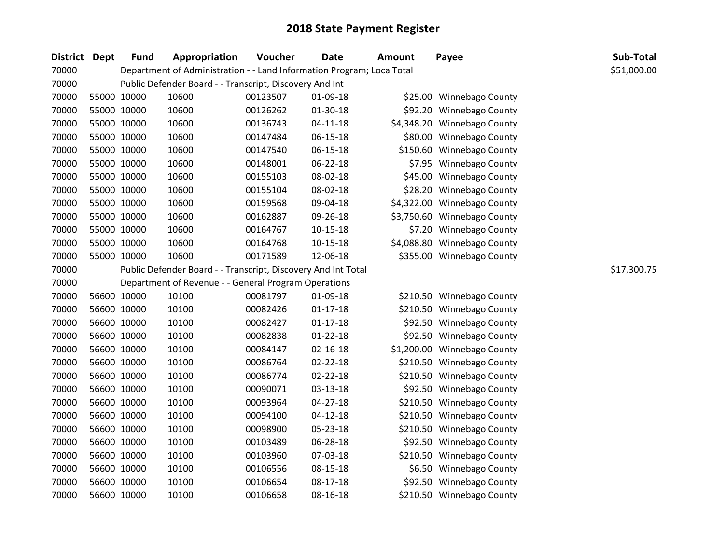| District Dept |             | <b>Fund</b> | Appropriation                                                         | Voucher  | <b>Date</b>    | <b>Amount</b> | Payee                       | Sub-Total   |
|---------------|-------------|-------------|-----------------------------------------------------------------------|----------|----------------|---------------|-----------------------------|-------------|
| 70000         |             |             | Department of Administration - - Land Information Program; Loca Total |          |                |               |                             | \$51,000.00 |
| 70000         |             |             | Public Defender Board - - Transcript, Discovery And Int               |          |                |               |                             |             |
| 70000         |             | 55000 10000 | 10600                                                                 | 00123507 | 01-09-18       |               | \$25.00 Winnebago County    |             |
| 70000         | 55000 10000 |             | 10600                                                                 | 00126262 | 01-30-18       |               | \$92.20 Winnebago County    |             |
| 70000         | 55000 10000 |             | 10600                                                                 | 00136743 | $04 - 11 - 18$ |               | \$4,348.20 Winnebago County |             |
| 70000         |             | 55000 10000 | 10600                                                                 | 00147484 | $06 - 15 - 18$ |               | \$80.00 Winnebago County    |             |
| 70000         | 55000 10000 |             | 10600                                                                 | 00147540 | 06-15-18       |               | \$150.60 Winnebago County   |             |
| 70000         |             | 55000 10000 | 10600                                                                 | 00148001 | 06-22-18       |               | \$7.95 Winnebago County     |             |
| 70000         |             | 55000 10000 | 10600                                                                 | 00155103 | 08-02-18       |               | \$45.00 Winnebago County    |             |
| 70000         |             | 55000 10000 | 10600                                                                 | 00155104 | 08-02-18       |               | \$28.20 Winnebago County    |             |
| 70000         |             | 55000 10000 | 10600                                                                 | 00159568 | 09-04-18       |               | \$4,322.00 Winnebago County |             |
| 70000         | 55000 10000 |             | 10600                                                                 | 00162887 | 09-26-18       |               | \$3,750.60 Winnebago County |             |
| 70000         | 55000 10000 |             | 10600                                                                 | 00164767 | $10 - 15 - 18$ |               | \$7.20 Winnebago County     |             |
| 70000         |             | 55000 10000 | 10600                                                                 | 00164768 | $10 - 15 - 18$ |               | \$4,088.80 Winnebago County |             |
| 70000         |             | 55000 10000 | 10600                                                                 | 00171589 | 12-06-18       |               | \$355.00 Winnebago County   |             |
| 70000         |             |             | Public Defender Board - - Transcript, Discovery And Int Total         |          |                |               |                             | \$17,300.75 |
| 70000         |             |             | Department of Revenue - - General Program Operations                  |          |                |               |                             |             |
| 70000         |             | 56600 10000 | 10100                                                                 | 00081797 | 01-09-18       |               | \$210.50 Winnebago County   |             |
| 70000         |             | 56600 10000 | 10100                                                                 | 00082426 | $01 - 17 - 18$ |               | \$210.50 Winnebago County   |             |
| 70000         |             | 56600 10000 | 10100                                                                 | 00082427 | $01 - 17 - 18$ |               | \$92.50 Winnebago County    |             |
| 70000         |             | 56600 10000 | 10100                                                                 | 00082838 | $01 - 22 - 18$ |               | \$92.50 Winnebago County    |             |
| 70000         |             | 56600 10000 | 10100                                                                 | 00084147 | $02 - 16 - 18$ |               | \$1,200.00 Winnebago County |             |
| 70000         |             | 56600 10000 | 10100                                                                 | 00086764 | $02 - 22 - 18$ |               | \$210.50 Winnebago County   |             |
| 70000         |             | 56600 10000 | 10100                                                                 | 00086774 | 02-22-18       |               | \$210.50 Winnebago County   |             |
| 70000         |             | 56600 10000 | 10100                                                                 | 00090071 | $03 - 13 - 18$ |               | \$92.50 Winnebago County    |             |
| 70000         |             | 56600 10000 | 10100                                                                 | 00093964 | 04-27-18       |               | \$210.50 Winnebago County   |             |
| 70000         |             | 56600 10000 | 10100                                                                 | 00094100 | $04 - 12 - 18$ |               | \$210.50 Winnebago County   |             |
| 70000         |             | 56600 10000 | 10100                                                                 | 00098900 | 05-23-18       |               | \$210.50 Winnebago County   |             |
| 70000         | 56600 10000 |             | 10100                                                                 | 00103489 | 06-28-18       |               | \$92.50 Winnebago County    |             |
| 70000         |             | 56600 10000 | 10100                                                                 | 00103960 | 07-03-18       |               | \$210.50 Winnebago County   |             |
| 70000         |             | 56600 10000 | 10100                                                                 | 00106556 | 08-15-18       |               | \$6.50 Winnebago County     |             |
| 70000         |             | 56600 10000 | 10100                                                                 | 00106654 | 08-17-18       |               | \$92.50 Winnebago County    |             |
| 70000         |             | 56600 10000 | 10100                                                                 | 00106658 | 08-16-18       |               | \$210.50 Winnebago County   |             |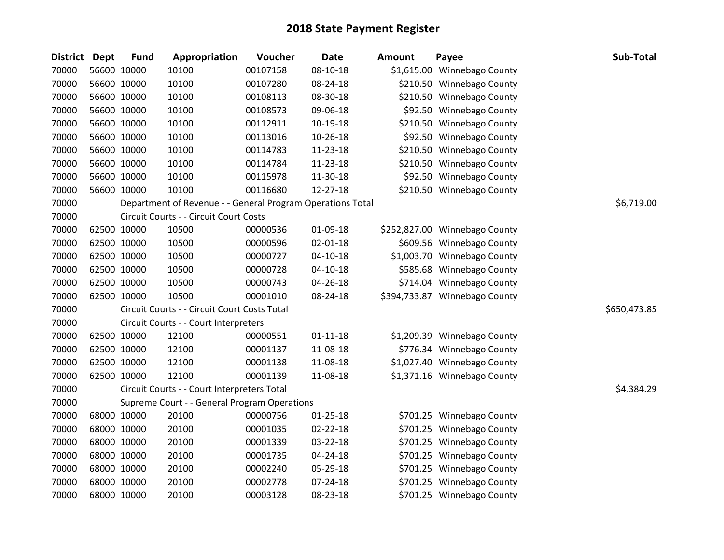| District Dept |             | <b>Fund</b> | Appropriation                                              | Voucher  | <b>Date</b>    | <b>Amount</b> | Payee                         | Sub-Total    |
|---------------|-------------|-------------|------------------------------------------------------------|----------|----------------|---------------|-------------------------------|--------------|
| 70000         |             | 56600 10000 | 10100                                                      | 00107158 | $08 - 10 - 18$ |               | \$1,615.00 Winnebago County   |              |
| 70000         | 56600 10000 |             | 10100                                                      | 00107280 | 08-24-18       |               | \$210.50 Winnebago County     |              |
| 70000         | 56600 10000 |             | 10100                                                      | 00108113 | 08-30-18       |               | \$210.50 Winnebago County     |              |
| 70000         | 56600 10000 |             | 10100                                                      | 00108573 | 09-06-18       |               | \$92.50 Winnebago County      |              |
| 70000         | 56600 10000 |             | 10100                                                      | 00112911 | $10-19-18$     |               | \$210.50 Winnebago County     |              |
| 70000         |             | 56600 10000 | 10100                                                      | 00113016 | $10-26-18$     |               | \$92.50 Winnebago County      |              |
| 70000         |             | 56600 10000 | 10100                                                      | 00114783 | 11-23-18       |               | \$210.50 Winnebago County     |              |
| 70000         |             | 56600 10000 | 10100                                                      | 00114784 | 11-23-18       |               | \$210.50 Winnebago County     |              |
| 70000         |             | 56600 10000 | 10100                                                      | 00115978 | 11-30-18       |               | \$92.50 Winnebago County      |              |
| 70000         | 56600 10000 |             | 10100                                                      | 00116680 | 12-27-18       |               | \$210.50 Winnebago County     |              |
| 70000         |             |             | Department of Revenue - - General Program Operations Total |          |                |               |                               | \$6,719.00   |
| 70000         |             |             | Circuit Courts - - Circuit Court Costs                     |          |                |               |                               |              |
| 70000         |             | 62500 10000 | 10500                                                      | 00000536 | $01-09-18$     |               | \$252,827.00 Winnebago County |              |
| 70000         | 62500 10000 |             | 10500                                                      | 00000596 | $02 - 01 - 18$ |               | \$609.56 Winnebago County     |              |
| 70000         | 62500 10000 |             | 10500                                                      | 00000727 | $04-10-18$     |               | \$1,003.70 Winnebago County   |              |
| 70000         | 62500 10000 |             | 10500                                                      | 00000728 | $04-10-18$     |               | \$585.68 Winnebago County     |              |
| 70000         | 62500 10000 |             | 10500                                                      | 00000743 | 04-26-18       |               | \$714.04 Winnebago County     |              |
| 70000         | 62500 10000 |             | 10500                                                      | 00001010 | 08-24-18       |               | \$394,733.87 Winnebago County |              |
| 70000         |             |             | Circuit Courts - - Circuit Court Costs Total               |          |                |               |                               | \$650,473.85 |
| 70000         |             |             | Circuit Courts - - Court Interpreters                      |          |                |               |                               |              |
| 70000         |             | 62500 10000 | 12100                                                      | 00000551 | $01 - 11 - 18$ |               | \$1,209.39 Winnebago County   |              |
| 70000         | 62500 10000 |             | 12100                                                      | 00001137 | 11-08-18       |               | \$776.34 Winnebago County     |              |
| 70000         | 62500 10000 |             | 12100                                                      | 00001138 | 11-08-18       |               | \$1,027.40 Winnebago County   |              |
| 70000         | 62500 10000 |             | 12100                                                      | 00001139 | 11-08-18       |               | \$1,371.16 Winnebago County   |              |
| 70000         |             |             | Circuit Courts - - Court Interpreters Total                |          |                |               |                               | \$4,384.29   |
| 70000         |             |             | Supreme Court - - General Program Operations               |          |                |               |                               |              |
| 70000         |             | 68000 10000 | 20100                                                      | 00000756 | $01 - 25 - 18$ |               | \$701.25 Winnebago County     |              |
| 70000         | 68000 10000 |             | 20100                                                      | 00001035 | $02 - 22 - 18$ |               | \$701.25 Winnebago County     |              |
| 70000         | 68000 10000 |             | 20100                                                      | 00001339 | 03-22-18       |               | \$701.25 Winnebago County     |              |
| 70000         | 68000 10000 |             | 20100                                                      | 00001735 | $04 - 24 - 18$ |               | \$701.25 Winnebago County     |              |
| 70000         |             | 68000 10000 | 20100                                                      | 00002240 | 05-29-18       |               | \$701.25 Winnebago County     |              |
| 70000         |             | 68000 10000 | 20100                                                      | 00002778 | $07 - 24 - 18$ |               | \$701.25 Winnebago County     |              |
| 70000         | 68000 10000 |             | 20100                                                      | 00003128 | 08-23-18       |               | \$701.25 Winnebago County     |              |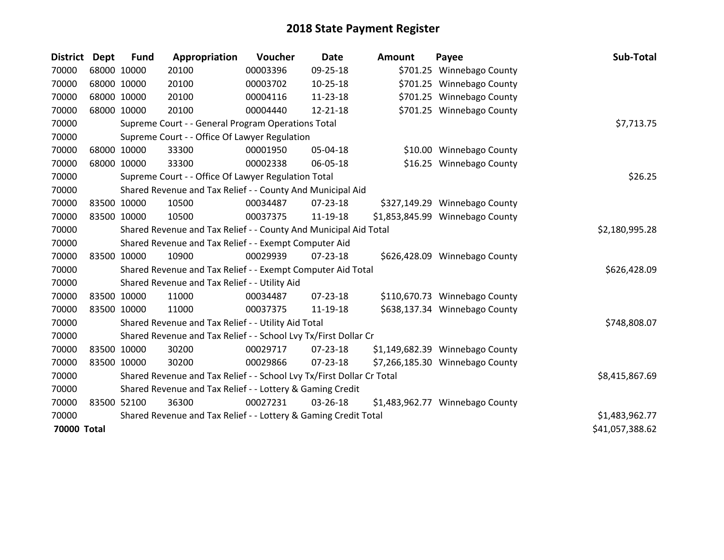| District           | <b>Dept</b> | <b>Fund</b> | Appropriation                                                         | Voucher  | <b>Date</b>    | <b>Amount</b> | Payee                           | Sub-Total       |
|--------------------|-------------|-------------|-----------------------------------------------------------------------|----------|----------------|---------------|---------------------------------|-----------------|
| 70000              |             | 68000 10000 | 20100                                                                 | 00003396 | 09-25-18       |               | \$701.25 Winnebago County       |                 |
| 70000              |             | 68000 10000 | 20100                                                                 | 00003702 | $10-25-18$     |               | \$701.25 Winnebago County       |                 |
| 70000              | 68000 10000 |             | 20100                                                                 | 00004116 | 11-23-18       |               | \$701.25 Winnebago County       |                 |
| 70000              |             | 68000 10000 | 20100                                                                 | 00004440 | 12-21-18       |               | \$701.25 Winnebago County       |                 |
| 70000              |             |             | Supreme Court - - General Program Operations Total                    |          |                |               |                                 | \$7,713.75      |
| 70000              |             |             | Supreme Court - - Office Of Lawyer Regulation                         |          |                |               |                                 |                 |
| 70000              |             | 68000 10000 | 33300                                                                 | 00001950 | 05-04-18       |               | \$10.00 Winnebago County        |                 |
| 70000              |             | 68000 10000 | 33300                                                                 | 00002338 | 06-05-18       |               | \$16.25 Winnebago County        |                 |
| 70000              |             |             | Supreme Court - - Office Of Lawyer Regulation Total                   |          |                |               |                                 | \$26.25         |
| 70000              |             |             | Shared Revenue and Tax Relief - - County And Municipal Aid            |          |                |               |                                 |                 |
| 70000              | 83500 10000 |             | 10500                                                                 | 00034487 | $07 - 23 - 18$ |               | \$327,149.29 Winnebago County   |                 |
| 70000              |             | 83500 10000 | 10500                                                                 | 00037375 | 11-19-18       |               | \$1,853,845.99 Winnebago County |                 |
| 70000              |             |             | Shared Revenue and Tax Relief - - County And Municipal Aid Total      |          | \$2,180,995.28 |               |                                 |                 |
| 70000              |             |             | Shared Revenue and Tax Relief - - Exempt Computer Aid                 |          |                |               |                                 |                 |
| 70000              |             | 83500 10000 | 10900                                                                 | 00029939 | 07-23-18       |               | \$626,428.09 Winnebago County   |                 |
| 70000              |             |             | Shared Revenue and Tax Relief - - Exempt Computer Aid Total           |          |                |               |                                 | \$626,428.09    |
| 70000              |             |             | Shared Revenue and Tax Relief - - Utility Aid                         |          |                |               |                                 |                 |
| 70000              |             | 83500 10000 | 11000                                                                 | 00034487 | 07-23-18       |               | \$110,670.73 Winnebago County   |                 |
| 70000              |             | 83500 10000 | 11000                                                                 | 00037375 | 11-19-18       |               | \$638,137.34 Winnebago County   |                 |
| 70000              |             |             | Shared Revenue and Tax Relief - - Utility Aid Total                   |          |                |               |                                 | \$748,808.07    |
| 70000              |             |             | Shared Revenue and Tax Relief - - School Lvy Tx/First Dollar Cr       |          |                |               |                                 |                 |
| 70000              |             | 83500 10000 | 30200                                                                 | 00029717 | 07-23-18       |               | \$1,149,682.39 Winnebago County |                 |
| 70000              | 83500 10000 |             | 30200                                                                 | 00029866 | 07-23-18       |               | \$7,266,185.30 Winnebago County |                 |
| 70000              |             |             | Shared Revenue and Tax Relief - - School Lvy Tx/First Dollar Cr Total |          |                |               |                                 | \$8,415,867.69  |
| 70000              |             |             | Shared Revenue and Tax Relief - - Lottery & Gaming Credit             |          |                |               |                                 |                 |
| 70000              | 83500 52100 |             | 36300                                                                 | 00027231 | 03-26-18       |               | \$1,483,962.77 Winnebago County |                 |
| 70000              |             |             | Shared Revenue and Tax Relief - - Lottery & Gaming Credit Total       |          |                |               |                                 | \$1,483,962.77  |
| <b>70000 Total</b> |             |             |                                                                       |          |                |               |                                 | \$41,057,388.62 |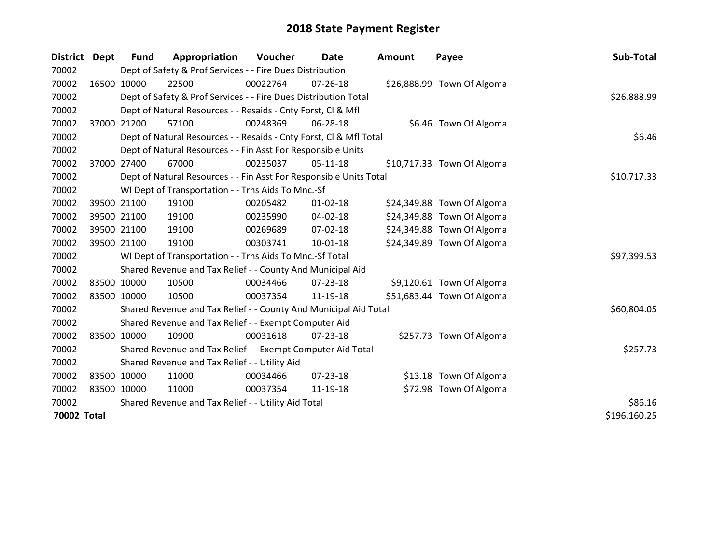| District Dept | <b>Fund</b> | Appropriation                                                      | Voucher  | Date           | <b>Amount</b> | Payee                      | Sub-Total    |
|---------------|-------------|--------------------------------------------------------------------|----------|----------------|---------------|----------------------------|--------------|
| 70002         |             | Dept of Safety & Prof Services - - Fire Dues Distribution          |          |                |               |                            |              |
| 70002         | 16500 10000 | 22500                                                              | 00022764 | $07 - 26 - 18$ |               | \$26,888.99 Town Of Algoma |              |
| 70002         |             | Dept of Safety & Prof Services - - Fire Dues Distribution Total    |          |                |               |                            | \$26,888.99  |
| 70002         |             | Dept of Natural Resources - - Resaids - Cnty Forst, CI & Mfl       |          |                |               |                            |              |
| 70002         | 37000 21200 | 57100                                                              | 00248369 | 06-28-18       |               | \$6.46 Town Of Algoma      |              |
| 70002         |             | Dept of Natural Resources - - Resaids - Cnty Forst, Cl & Mfl Total | \$6.46   |                |               |                            |              |
| 70002         |             | Dept of Natural Resources - - Fin Asst For Responsible Units       |          |                |               |                            |              |
| 70002         | 37000 27400 | 67000                                                              | 00235037 | $05-11-18$     |               | \$10,717.33 Town Of Algoma |              |
| 70002         |             | Dept of Natural Resources - - Fin Asst For Responsible Units Total |          |                |               |                            | \$10,717.33  |
| 70002         |             | WI Dept of Transportation - - Trns Aids To Mnc.-Sf                 |          |                |               |                            |              |
| 70002         | 39500 21100 | 19100                                                              | 00205482 | $01 - 02 - 18$ |               | \$24,349.88 Town Of Algoma |              |
| 70002         | 39500 21100 | 19100                                                              | 00235990 | $04 - 02 - 18$ |               | \$24,349.88 Town Of Algoma |              |
| 70002         | 39500 21100 | 19100                                                              | 00269689 | 07-02-18       |               | \$24,349.88 Town Of Algoma |              |
| 70002         | 39500 21100 | 19100                                                              | 00303741 | $10 - 01 - 18$ |               | \$24,349.89 Town Of Algoma |              |
| 70002         |             | WI Dept of Transportation - - Trns Aids To Mnc.-Sf Total           |          |                |               |                            | \$97,399.53  |
| 70002         |             | Shared Revenue and Tax Relief - - County And Municipal Aid         |          |                |               |                            |              |
| 70002         | 83500 10000 | 10500                                                              | 00034466 | $07 - 23 - 18$ |               | \$9,120.61 Town Of Algoma  |              |
| 70002         | 83500 10000 | 10500                                                              | 00037354 | 11-19-18       |               | \$51,683.44 Town Of Algoma |              |
| 70002         |             | Shared Revenue and Tax Relief - - County And Municipal Aid Total   |          |                |               |                            | \$60,804.05  |
| 70002         |             | Shared Revenue and Tax Relief - - Exempt Computer Aid              |          |                |               |                            |              |
| 70002         | 83500 10000 | 10900                                                              | 00031618 | $07 - 23 - 18$ |               | \$257.73 Town Of Algoma    |              |
| 70002         |             | Shared Revenue and Tax Relief - - Exempt Computer Aid Total        |          |                |               |                            | \$257.73     |
| 70002         |             | Shared Revenue and Tax Relief - - Utility Aid                      |          |                |               |                            |              |
| 70002         | 83500 10000 | 11000                                                              | 00034466 | $07 - 23 - 18$ |               | \$13.18 Town Of Algoma     |              |
| 70002         | 83500 10000 | 11000                                                              | 00037354 | 11-19-18       |               | \$72.98 Town Of Algoma     |              |
| 70002         |             | Shared Revenue and Tax Relief - - Utility Aid Total                |          |                |               |                            | \$86.16      |
| 70002 Total   |             |                                                                    |          |                |               |                            | \$196,160.25 |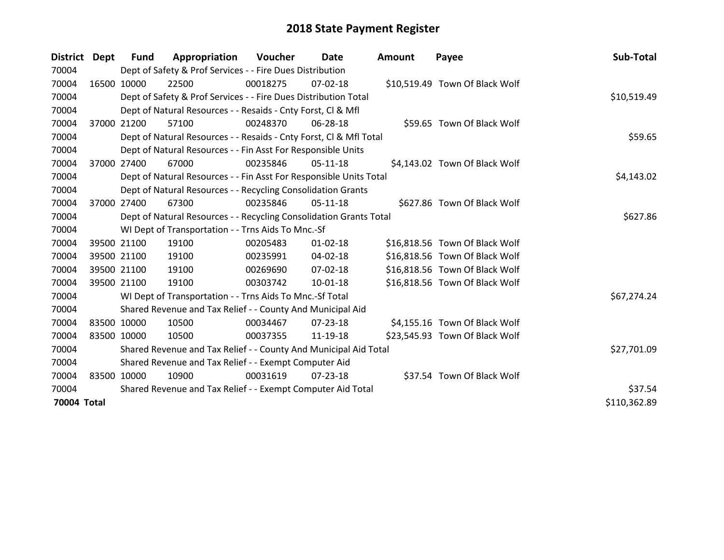| District Dept |             | <b>Fund</b> | Appropriation                                                      | Voucher  | Date           | Amount | Payee                          | Sub-Total    |
|---------------|-------------|-------------|--------------------------------------------------------------------|----------|----------------|--------|--------------------------------|--------------|
| 70004         |             |             | Dept of Safety & Prof Services - - Fire Dues Distribution          |          |                |        |                                |              |
| 70004         |             | 16500 10000 | 22500                                                              | 00018275 | 07-02-18       |        | \$10,519.49 Town Of Black Wolf |              |
| 70004         |             |             | Dept of Safety & Prof Services - - Fire Dues Distribution Total    |          |                |        |                                | \$10,519.49  |
| 70004         |             |             | Dept of Natural Resources - - Resaids - Cnty Forst, CI & Mfl       |          |                |        |                                |              |
| 70004         |             | 37000 21200 | 57100                                                              | 00248370 | 06-28-18       |        | \$59.65 Town Of Black Wolf     |              |
| 70004         |             |             | Dept of Natural Resources - - Resaids - Cnty Forst, CI & Mfl Total |          |                |        |                                | \$59.65      |
| 70004         |             |             | Dept of Natural Resources - - Fin Asst For Responsible Units       |          |                |        |                                |              |
| 70004         | 37000       | 27400       | 67000                                                              | 00235846 | $05-11-18$     |        | \$4,143.02 Town Of Black Wolf  |              |
| 70004         |             |             | Dept of Natural Resources - - Fin Asst For Responsible Units Total |          |                |        |                                | \$4,143.02   |
| 70004         |             |             | Dept of Natural Resources - - Recycling Consolidation Grants       |          |                |        |                                |              |
| 70004         |             | 37000 27400 | 67300                                                              | 00235846 | $05-11-18$     |        | \$627.86 Town Of Black Wolf    |              |
| 70004         |             |             | Dept of Natural Resources - - Recycling Consolidation Grants Total |          |                |        |                                | \$627.86     |
| 70004         |             |             | WI Dept of Transportation - - Trns Aids To Mnc.-Sf                 |          |                |        |                                |              |
| 70004         |             | 39500 21100 | 19100                                                              | 00205483 | $01 - 02 - 18$ |        | \$16,818.56 Town Of Black Wolf |              |
| 70004         |             | 39500 21100 | 19100                                                              | 00235991 | 04-02-18       |        | \$16,818.56 Town Of Black Wolf |              |
| 70004         |             | 39500 21100 | 19100                                                              | 00269690 | $07 - 02 - 18$ |        | \$16,818.56 Town Of Black Wolf |              |
| 70004         |             | 39500 21100 | 19100                                                              | 00303742 | 10-01-18       |        | \$16,818.56 Town Of Black Wolf |              |
| 70004         |             |             | WI Dept of Transportation - - Trns Aids To Mnc.-Sf Total           |          |                |        |                                | \$67,274.24  |
| 70004         |             |             | Shared Revenue and Tax Relief - - County And Municipal Aid         |          |                |        |                                |              |
| 70004         |             | 83500 10000 | 10500                                                              | 00034467 | 07-23-18       |        | \$4,155.16 Town Of Black Wolf  |              |
| 70004         | 83500 10000 |             | 10500                                                              | 00037355 | 11-19-18       |        | \$23,545.93 Town Of Black Wolf |              |
| 70004         |             |             | Shared Revenue and Tax Relief - - County And Municipal Aid Total   |          |                |        |                                | \$27,701.09  |
| 70004         |             |             | Shared Revenue and Tax Relief - - Exempt Computer Aid              |          |                |        |                                |              |
| 70004         | 83500 10000 |             | 10900                                                              | 00031619 | 07-23-18       |        | \$37.54 Town Of Black Wolf     |              |
| 70004         |             |             | Shared Revenue and Tax Relief - - Exempt Computer Aid Total        |          |                |        |                                | \$37.54      |
| 70004 Total   |             |             |                                                                    |          |                |        |                                | \$110,362.89 |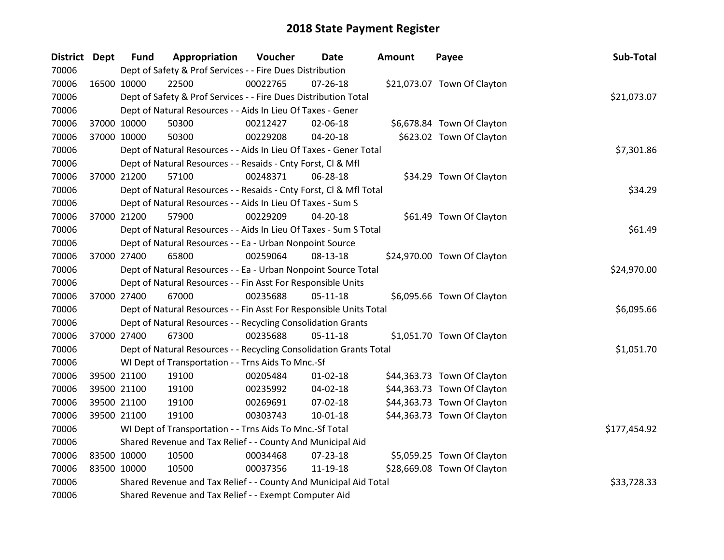| District Dept |             | <b>Fund</b> | Appropriation                                                      | Voucher  | <b>Date</b>    | Amount | Payee                       | Sub-Total    |
|---------------|-------------|-------------|--------------------------------------------------------------------|----------|----------------|--------|-----------------------------|--------------|
| 70006         |             |             | Dept of Safety & Prof Services - - Fire Dues Distribution          |          |                |        |                             |              |
| 70006         | 16500 10000 |             | 22500                                                              | 00022765 | $07 - 26 - 18$ |        | \$21,073.07 Town Of Clayton |              |
| 70006         |             |             | Dept of Safety & Prof Services - - Fire Dues Distribution Total    |          |                |        |                             | \$21,073.07  |
| 70006         |             |             | Dept of Natural Resources - - Aids In Lieu Of Taxes - Gener        |          |                |        |                             |              |
| 70006         |             | 37000 10000 | 50300                                                              | 00212427 | 02-06-18       |        | \$6,678.84 Town Of Clayton  |              |
| 70006         |             | 37000 10000 | 50300                                                              | 00229208 | 04-20-18       |        | \$623.02 Town Of Clayton    |              |
| 70006         |             |             | Dept of Natural Resources - - Aids In Lieu Of Taxes - Gener Total  |          |                |        |                             | \$7,301.86   |
| 70006         |             |             | Dept of Natural Resources - - Resaids - Cnty Forst, Cl & Mfl       |          |                |        |                             |              |
| 70006         |             | 37000 21200 | 57100                                                              | 00248371 | 06-28-18       |        | \$34.29 Town Of Clayton     |              |
| 70006         |             |             | Dept of Natural Resources - - Resaids - Cnty Forst, Cl & Mfl Total |          |                |        |                             | \$34.29      |
| 70006         |             |             | Dept of Natural Resources - - Aids In Lieu Of Taxes - Sum S        |          |                |        |                             |              |
| 70006         |             | 37000 21200 | 57900                                                              | 00229209 | 04-20-18       |        | \$61.49 Town Of Clayton     |              |
| 70006         |             |             | Dept of Natural Resources - - Aids In Lieu Of Taxes - Sum S Total  |          |                |        |                             | \$61.49      |
| 70006         |             |             | Dept of Natural Resources - - Ea - Urban Nonpoint Source           |          |                |        |                             |              |
| 70006         |             | 37000 27400 | 65800                                                              | 00259064 | 08-13-18       |        | \$24,970.00 Town Of Clayton |              |
| 70006         |             |             | Dept of Natural Resources - - Ea - Urban Nonpoint Source Total     |          |                |        |                             | \$24,970.00  |
| 70006         |             |             | Dept of Natural Resources - - Fin Asst For Responsible Units       |          |                |        |                             |              |
| 70006         |             | 37000 27400 | 67000                                                              | 00235688 | $05-11-18$     |        | \$6,095.66 Town Of Clayton  |              |
| 70006         |             |             | Dept of Natural Resources - - Fin Asst For Responsible Units Total |          |                |        |                             | \$6,095.66   |
| 70006         |             |             | Dept of Natural Resources - - Recycling Consolidation Grants       |          |                |        |                             |              |
| 70006         | 37000 27400 |             | 67300                                                              | 00235688 | $05 - 11 - 18$ |        | \$1,051.70 Town Of Clayton  |              |
| 70006         |             |             | Dept of Natural Resources - - Recycling Consolidation Grants Total |          |                |        |                             | \$1,051.70   |
| 70006         |             |             | WI Dept of Transportation - - Trns Aids To Mnc.-Sf                 |          |                |        |                             |              |
| 70006         |             | 39500 21100 | 19100                                                              | 00205484 | $01 - 02 - 18$ |        | \$44,363.73 Town Of Clayton |              |
| 70006         |             | 39500 21100 | 19100                                                              | 00235992 | 04-02-18       |        | \$44,363.73 Town Of Clayton |              |
| 70006         |             | 39500 21100 | 19100                                                              | 00269691 | 07-02-18       |        | \$44,363.73 Town Of Clayton |              |
| 70006         | 39500 21100 |             | 19100                                                              | 00303743 | $10 - 01 - 18$ |        | \$44,363.73 Town Of Clayton |              |
| 70006         |             |             | WI Dept of Transportation - - Trns Aids To Mnc.-Sf Total           |          |                |        |                             | \$177,454.92 |
| 70006         |             |             | Shared Revenue and Tax Relief - - County And Municipal Aid         |          |                |        |                             |              |
| 70006         | 83500 10000 |             | 10500                                                              | 00034468 | 07-23-18       |        | \$5,059.25 Town Of Clayton  |              |
| 70006         | 83500 10000 |             | 10500                                                              | 00037356 | 11-19-18       |        | \$28,669.08 Town Of Clayton |              |
| 70006         |             |             | Shared Revenue and Tax Relief - - County And Municipal Aid Total   |          |                |        |                             | \$33,728.33  |
| 70006         |             |             | Shared Revenue and Tax Relief - - Exempt Computer Aid              |          |                |        |                             |              |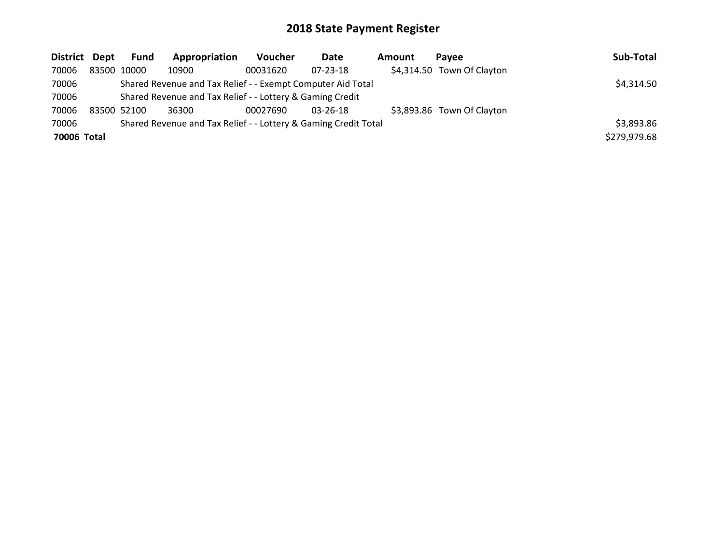| District Dept | Fund        | Appropriation                                                   | <b>Voucher</b> | Date           | Amount | Pavee                      | Sub-Total    |
|---------------|-------------|-----------------------------------------------------------------|----------------|----------------|--------|----------------------------|--------------|
| 70006         | 83500 10000 | 10900                                                           | 00031620       | $07 - 23 - 18$ |        | \$4,314.50 Town Of Clayton |              |
| 70006         |             | Shared Revenue and Tax Relief - - Exempt Computer Aid Total     |                |                |        |                            | \$4,314.50   |
| 70006         |             | Shared Revenue and Tax Relief - - Lottery & Gaming Credit       |                |                |        |                            |              |
| 70006         | 83500 52100 | 36300                                                           | 00027690       | $03 - 26 - 18$ |        | \$3,893.86 Town Of Clayton |              |
| 70006         |             | Shared Revenue and Tax Relief - - Lottery & Gaming Credit Total |                |                |        |                            | \$3,893.86   |
| 70006 Total   |             |                                                                 |                |                |        |                            | \$279,979.68 |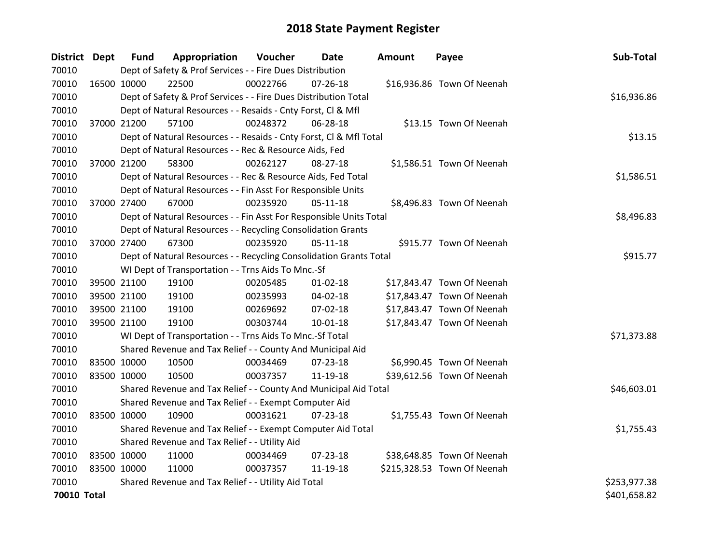| District Dept |             | <b>Fund</b> | Appropriation                                                      | Voucher  | <b>Date</b>    | <b>Amount</b> | Payee                       | Sub-Total    |
|---------------|-------------|-------------|--------------------------------------------------------------------|----------|----------------|---------------|-----------------------------|--------------|
| 70010         |             |             | Dept of Safety & Prof Services - - Fire Dues Distribution          |          |                |               |                             |              |
| 70010         | 16500 10000 |             | 22500                                                              | 00022766 | $07 - 26 - 18$ |               | \$16,936.86 Town Of Neenah  |              |
| 70010         |             |             | Dept of Safety & Prof Services - - Fire Dues Distribution Total    |          |                |               |                             | \$16,936.86  |
| 70010         |             |             | Dept of Natural Resources - - Resaids - Cnty Forst, Cl & Mfl       |          |                |               |                             |              |
| 70010         | 37000 21200 |             | 57100                                                              | 00248372 | 06-28-18       |               | \$13.15 Town Of Neenah      |              |
| 70010         |             |             | Dept of Natural Resources - - Resaids - Cnty Forst, Cl & Mfl Total |          |                |               |                             | \$13.15      |
| 70010         |             |             | Dept of Natural Resources - - Rec & Resource Aids, Fed             |          |                |               |                             |              |
| 70010         |             | 37000 21200 | 58300                                                              | 00262127 | 08-27-18       |               | \$1,586.51 Town Of Neenah   |              |
| 70010         |             |             | Dept of Natural Resources - - Rec & Resource Aids, Fed Total       |          |                |               |                             | \$1,586.51   |
| 70010         |             |             | Dept of Natural Resources - - Fin Asst For Responsible Units       |          |                |               |                             |              |
| 70010         |             | 37000 27400 | 67000                                                              | 00235920 | $05-11-18$     |               | \$8,496.83 Town Of Neenah   |              |
| 70010         |             |             | Dept of Natural Resources - - Fin Asst For Responsible Units Total |          |                |               |                             | \$8,496.83   |
| 70010         |             |             | Dept of Natural Resources - - Recycling Consolidation Grants       |          |                |               |                             |              |
| 70010         | 37000 27400 |             | 67300                                                              | 00235920 | $05 - 11 - 18$ |               | \$915.77 Town Of Neenah     |              |
| 70010         |             |             | Dept of Natural Resources - - Recycling Consolidation Grants Total |          |                |               |                             | \$915.77     |
| 70010         |             |             | WI Dept of Transportation - - Trns Aids To Mnc.-Sf                 |          |                |               |                             |              |
| 70010         | 39500 21100 |             | 19100                                                              | 00205485 | $01 - 02 - 18$ |               | \$17,843.47 Town Of Neenah  |              |
| 70010         | 39500 21100 |             | 19100                                                              | 00235993 | 04-02-18       |               | \$17,843.47 Town Of Neenah  |              |
| 70010         |             | 39500 21100 | 19100                                                              | 00269692 | $07 - 02 - 18$ |               | \$17,843.47 Town Of Neenah  |              |
| 70010         | 39500 21100 |             | 19100                                                              | 00303744 | $10 - 01 - 18$ |               | \$17,843.47 Town Of Neenah  |              |
| 70010         |             |             | WI Dept of Transportation - - Trns Aids To Mnc.-Sf Total           |          |                |               |                             | \$71,373.88  |
| 70010         |             |             | Shared Revenue and Tax Relief - - County And Municipal Aid         |          |                |               |                             |              |
| 70010         | 83500 10000 |             | 10500                                                              | 00034469 | $07 - 23 - 18$ |               | \$6,990.45 Town Of Neenah   |              |
| 70010         | 83500 10000 |             | 10500                                                              | 00037357 | 11-19-18       |               | \$39,612.56 Town Of Neenah  |              |
| 70010         |             |             | Shared Revenue and Tax Relief - - County And Municipal Aid Total   |          |                |               |                             | \$46,603.01  |
| 70010         |             |             | Shared Revenue and Tax Relief - - Exempt Computer Aid              |          |                |               |                             |              |
| 70010         | 83500 10000 |             | 10900                                                              | 00031621 | 07-23-18       |               | \$1,755.43 Town Of Neenah   |              |
| 70010         |             |             | Shared Revenue and Tax Relief - - Exempt Computer Aid Total        |          |                |               |                             | \$1,755.43   |
| 70010         |             |             | Shared Revenue and Tax Relief - - Utility Aid                      |          |                |               |                             |              |
| 70010         | 83500 10000 |             | 11000                                                              | 00034469 | $07 - 23 - 18$ |               | \$38,648.85 Town Of Neenah  |              |
| 70010         | 83500 10000 |             | 11000                                                              | 00037357 | 11-19-18       |               | \$215,328.53 Town Of Neenah |              |
| 70010         |             |             | Shared Revenue and Tax Relief - - Utility Aid Total                |          |                |               |                             | \$253,977.38 |
| 70010 Total   |             |             |                                                                    |          |                |               |                             | \$401,658.82 |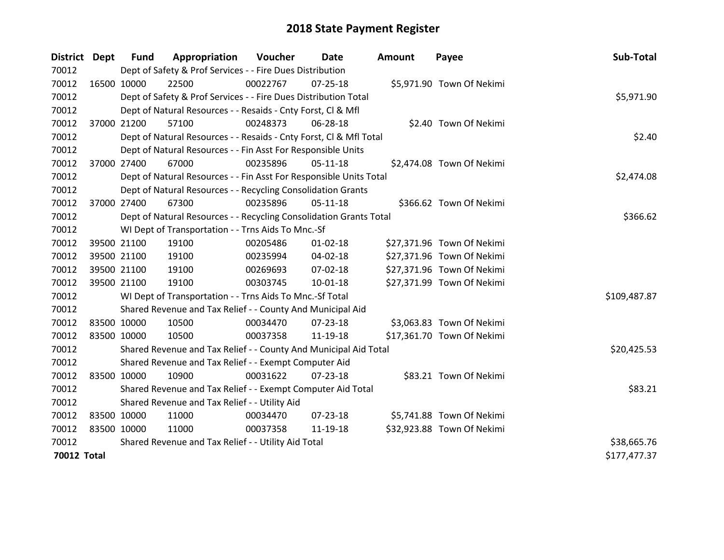| District Dept      |             | <b>Fund</b> | Appropriation                                                      | Voucher  | Date           | <b>Amount</b> | Payee                      | Sub-Total    |
|--------------------|-------------|-------------|--------------------------------------------------------------------|----------|----------------|---------------|----------------------------|--------------|
| 70012              |             |             | Dept of Safety & Prof Services - - Fire Dues Distribution          |          |                |               |                            |              |
| 70012              | 16500 10000 |             | 22500                                                              | 00022767 | $07 - 25 - 18$ |               | \$5,971.90 Town Of Nekimi  |              |
| 70012              |             |             | Dept of Safety & Prof Services - - Fire Dues Distribution Total    |          |                |               |                            | \$5,971.90   |
| 70012              |             |             | Dept of Natural Resources - - Resaids - Cnty Forst, Cl & Mfl       |          |                |               |                            |              |
| 70012              |             | 37000 21200 | 57100                                                              | 00248373 | 06-28-18       |               | \$2.40 Town Of Nekimi      |              |
| 70012              |             |             | Dept of Natural Resources - - Resaids - Cnty Forst, CI & Mfl Total |          |                |               |                            | \$2.40       |
| 70012              |             |             | Dept of Natural Resources - - Fin Asst For Responsible Units       |          |                |               |                            |              |
| 70012              |             | 37000 27400 | 67000                                                              | 00235896 | $05-11-18$     |               | \$2,474.08 Town Of Nekimi  |              |
| 70012              |             |             | Dept of Natural Resources - - Fin Asst For Responsible Units Total |          |                |               |                            | \$2,474.08   |
| 70012              |             |             | Dept of Natural Resources - - Recycling Consolidation Grants       |          |                |               |                            |              |
| 70012              |             | 37000 27400 | 67300                                                              | 00235896 | 05-11-18       |               | \$366.62 Town Of Nekimi    |              |
| 70012              |             |             | Dept of Natural Resources - - Recycling Consolidation Grants Total |          |                |               |                            | \$366.62     |
| 70012              |             |             | WI Dept of Transportation - - Trns Aids To Mnc.-Sf                 |          |                |               |                            |              |
| 70012              |             | 39500 21100 | 19100                                                              | 00205486 | $01 - 02 - 18$ |               | \$27,371.96 Town Of Nekimi |              |
| 70012              |             | 39500 21100 | 19100                                                              | 00235994 | 04-02-18       |               | \$27,371.96 Town Of Nekimi |              |
| 70012              |             | 39500 21100 | 19100                                                              | 00269693 | 07-02-18       |               | \$27,371.96 Town Of Nekimi |              |
| 70012              |             | 39500 21100 | 19100                                                              | 00303745 | $10 - 01 - 18$ |               | \$27,371.99 Town Of Nekimi |              |
| 70012              |             |             | WI Dept of Transportation - - Trns Aids To Mnc.-Sf Total           |          |                |               |                            | \$109,487.87 |
| 70012              |             |             | Shared Revenue and Tax Relief - - County And Municipal Aid         |          |                |               |                            |              |
| 70012              | 83500 10000 |             | 10500                                                              | 00034470 | $07 - 23 - 18$ |               | \$3,063.83 Town Of Nekimi  |              |
| 70012              | 83500 10000 |             | 10500                                                              | 00037358 | 11-19-18       |               | \$17,361.70 Town Of Nekimi |              |
| 70012              |             |             | Shared Revenue and Tax Relief - - County And Municipal Aid Total   |          |                |               |                            | \$20,425.53  |
| 70012              |             |             | Shared Revenue and Tax Relief - - Exempt Computer Aid              |          |                |               |                            |              |
| 70012              | 83500 10000 |             | 10900                                                              | 00031622 | $07 - 23 - 18$ |               | \$83.21 Town Of Nekimi     |              |
| 70012              |             |             | Shared Revenue and Tax Relief - - Exempt Computer Aid Total        |          |                |               |                            | \$83.21      |
| 70012              |             |             | Shared Revenue and Tax Relief - - Utility Aid                      |          |                |               |                            |              |
| 70012              | 83500 10000 |             | 11000                                                              | 00034470 | 07-23-18       |               | \$5,741.88 Town Of Nekimi  |              |
| 70012              | 83500 10000 |             | 11000                                                              | 00037358 | 11-19-18       |               | \$32,923.88 Town Of Nekimi |              |
| 70012              |             |             | Shared Revenue and Tax Relief - - Utility Aid Total                |          |                |               |                            | \$38,665.76  |
| <b>70012 Total</b> |             |             |                                                                    |          |                |               |                            | \$177,477.37 |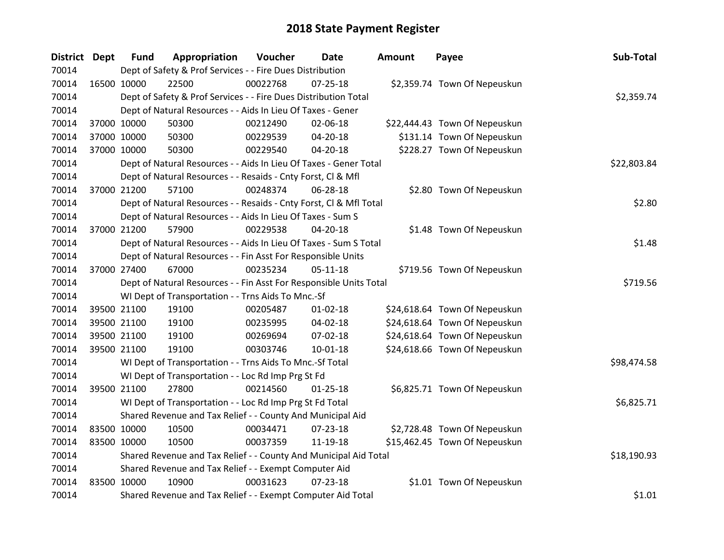| District Dept |             | <b>Fund</b> | Appropriation                                                      | Voucher  | <b>Date</b>    | <b>Amount</b> | Payee                         | Sub-Total   |
|---------------|-------------|-------------|--------------------------------------------------------------------|----------|----------------|---------------|-------------------------------|-------------|
| 70014         |             |             | Dept of Safety & Prof Services - - Fire Dues Distribution          |          |                |               |                               |             |
| 70014         | 16500 10000 |             | 22500                                                              | 00022768 | $07 - 25 - 18$ |               | \$2,359.74 Town Of Nepeuskun  |             |
| 70014         |             |             | Dept of Safety & Prof Services - - Fire Dues Distribution Total    |          |                |               |                               | \$2,359.74  |
| 70014         |             |             | Dept of Natural Resources - - Aids In Lieu Of Taxes - Gener        |          |                |               |                               |             |
| 70014         |             | 37000 10000 | 50300                                                              | 00212490 | 02-06-18       |               | \$22,444.43 Town Of Nepeuskun |             |
| 70014         |             | 37000 10000 | 50300                                                              | 00229539 | 04-20-18       |               | \$131.14 Town Of Nepeuskun    |             |
| 70014         | 37000 10000 |             | 50300                                                              | 00229540 | 04-20-18       |               | \$228.27 Town Of Nepeuskun    |             |
| 70014         |             |             | Dept of Natural Resources - - Aids In Lieu Of Taxes - Gener Total  |          |                |               |                               | \$22,803.84 |
| 70014         |             |             | Dept of Natural Resources - - Resaids - Cnty Forst, Cl & Mfl       |          |                |               |                               |             |
| 70014         |             | 37000 21200 | 57100                                                              | 00248374 | 06-28-18       |               | \$2.80 Town Of Nepeuskun      |             |
| 70014         |             |             | Dept of Natural Resources - - Resaids - Cnty Forst, Cl & Mfl Total |          |                |               |                               | \$2.80      |
| 70014         |             |             | Dept of Natural Resources - - Aids In Lieu Of Taxes - Sum S        |          |                |               |                               |             |
| 70014         |             | 37000 21200 | 57900                                                              | 00229538 | $04 - 20 - 18$ |               | \$1.48 Town Of Nepeuskun      |             |
| 70014         |             |             | Dept of Natural Resources - - Aids In Lieu Of Taxes - Sum S Total  |          |                |               |                               | \$1.48      |
| 70014         |             |             | Dept of Natural Resources - - Fin Asst For Responsible Units       |          |                |               |                               |             |
| 70014         |             | 37000 27400 | 67000                                                              | 00235234 | $05 - 11 - 18$ |               | \$719.56 Town Of Nepeuskun    |             |
| 70014         |             |             | Dept of Natural Resources - - Fin Asst For Responsible Units Total |          |                |               |                               | \$719.56    |
| 70014         |             |             | WI Dept of Transportation - - Trns Aids To Mnc.-Sf                 |          |                |               |                               |             |
| 70014         |             | 39500 21100 | 19100                                                              | 00205487 | $01 - 02 - 18$ |               | \$24,618.64 Town Of Nepeuskun |             |
| 70014         |             | 39500 21100 | 19100                                                              | 00235995 | 04-02-18       |               | \$24,618.64 Town Of Nepeuskun |             |
| 70014         |             | 39500 21100 | 19100                                                              | 00269694 | $07 - 02 - 18$ |               | \$24,618.64 Town Of Nepeuskun |             |
| 70014         |             | 39500 21100 | 19100                                                              | 00303746 | $10 - 01 - 18$ |               | \$24,618.66 Town Of Nepeuskun |             |
| 70014         |             |             | WI Dept of Transportation - - Trns Aids To Mnc.-Sf Total           |          |                |               |                               | \$98,474.58 |
| 70014         |             |             | WI Dept of Transportation - - Loc Rd Imp Prg St Fd                 |          |                |               |                               |             |
| 70014         |             | 39500 21100 | 27800                                                              | 00214560 | $01 - 25 - 18$ |               | \$6,825.71 Town Of Nepeuskun  |             |
| 70014         |             |             | WI Dept of Transportation - - Loc Rd Imp Prg St Fd Total           |          |                |               |                               | \$6,825.71  |
| 70014         |             |             | Shared Revenue and Tax Relief - - County And Municipal Aid         |          |                |               |                               |             |
| 70014         |             | 83500 10000 | 10500                                                              | 00034471 | $07 - 23 - 18$ |               | \$2,728.48 Town Of Nepeuskun  |             |
| 70014         | 83500 10000 |             | 10500                                                              | 00037359 | 11-19-18       |               | \$15,462.45 Town Of Nepeuskun |             |
| 70014         |             |             | Shared Revenue and Tax Relief - - County And Municipal Aid Total   |          |                |               |                               | \$18,190.93 |
| 70014         |             |             | Shared Revenue and Tax Relief - - Exempt Computer Aid              |          |                |               |                               |             |
| 70014         | 83500 10000 |             | 10900                                                              | 00031623 | $07 - 23 - 18$ |               | \$1.01 Town Of Nepeuskun      |             |
| 70014         |             |             | Shared Revenue and Tax Relief - - Exempt Computer Aid Total        |          |                |               |                               | \$1.01      |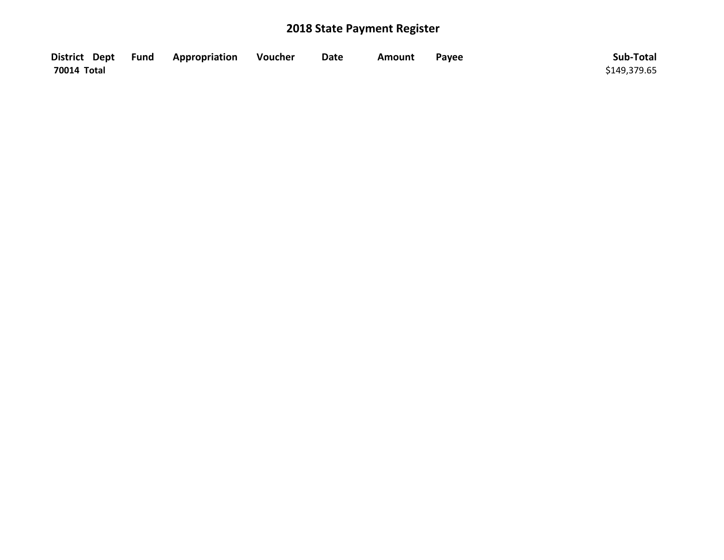|             | District Dept Fund Appropriation | <b>Noucher</b> | <b>Date</b> | Amount | Payee | Sub-Total    |
|-------------|----------------------------------|----------------|-------------|--------|-------|--------------|
| 70014 Total |                                  |                |             |        |       | \$149,379.65 |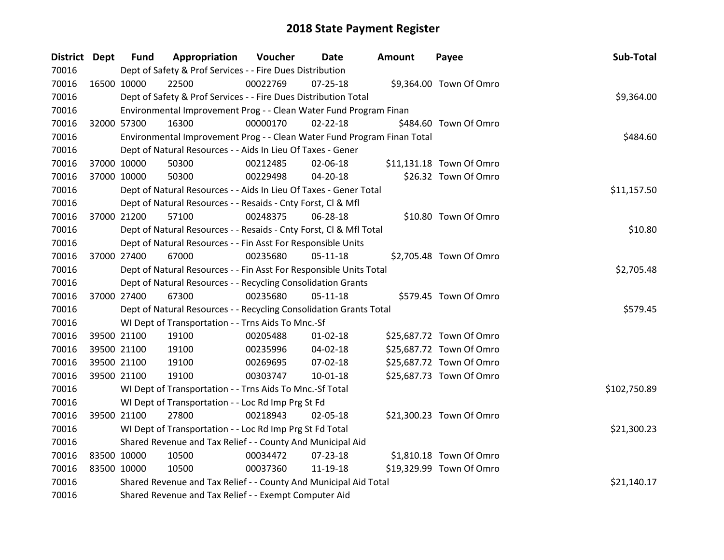| District Dept |             | <b>Fund</b> | Appropriation                                                           | Voucher  | <b>Date</b>    | <b>Amount</b> | Payee                    | Sub-Total    |
|---------------|-------------|-------------|-------------------------------------------------------------------------|----------|----------------|---------------|--------------------------|--------------|
| 70016         |             |             | Dept of Safety & Prof Services - - Fire Dues Distribution               |          |                |               |                          |              |
| 70016         |             | 16500 10000 | 22500                                                                   | 00022769 | $07 - 25 - 18$ |               | \$9,364.00 Town Of Omro  |              |
| 70016         |             |             | Dept of Safety & Prof Services - - Fire Dues Distribution Total         |          |                |               |                          | \$9,364.00   |
| 70016         |             |             | Environmental Improvement Prog - - Clean Water Fund Program Finan       |          |                |               |                          |              |
| 70016         |             | 32000 57300 | 16300                                                                   | 00000170 | $02 - 22 - 18$ |               | \$484.60 Town Of Omro    |              |
| 70016         |             |             | Environmental Improvement Prog - - Clean Water Fund Program Finan Total |          |                |               |                          | \$484.60     |
| 70016         |             |             | Dept of Natural Resources - - Aids In Lieu Of Taxes - Gener             |          |                |               |                          |              |
| 70016         |             | 37000 10000 | 50300                                                                   | 00212485 | 02-06-18       |               | \$11,131.18 Town Of Omro |              |
| 70016         |             | 37000 10000 | 50300                                                                   | 00229498 | 04-20-18       |               | \$26.32 Town Of Omro     |              |
| 70016         |             |             | Dept of Natural Resources - - Aids In Lieu Of Taxes - Gener Total       |          |                |               |                          | \$11,157.50  |
| 70016         |             |             | Dept of Natural Resources - - Resaids - Cnty Forst, Cl & Mfl            |          |                |               |                          |              |
| 70016         |             | 37000 21200 | 57100                                                                   | 00248375 | 06-28-18       |               | \$10.80 Town Of Omro     |              |
| 70016         |             |             | Dept of Natural Resources - - Resaids - Cnty Forst, CI & Mfl Total      |          |                |               |                          | \$10.80      |
| 70016         |             |             | Dept of Natural Resources - - Fin Asst For Responsible Units            |          |                |               |                          |              |
| 70016         |             | 37000 27400 | 67000                                                                   | 00235680 | 05-11-18       |               | \$2,705.48 Town Of Omro  |              |
| 70016         |             |             | Dept of Natural Resources - - Fin Asst For Responsible Units Total      |          |                |               |                          | \$2,705.48   |
| 70016         |             |             | Dept of Natural Resources - - Recycling Consolidation Grants            |          |                |               |                          |              |
| 70016         |             | 37000 27400 | 67300                                                                   | 00235680 | $05-11-18$     |               | \$579.45 Town Of Omro    |              |
| 70016         |             |             | Dept of Natural Resources - - Recycling Consolidation Grants Total      |          |                |               |                          | \$579.45     |
| 70016         |             |             | WI Dept of Transportation - - Trns Aids To Mnc.-Sf                      |          |                |               |                          |              |
| 70016         |             | 39500 21100 | 19100                                                                   | 00205488 | $01 - 02 - 18$ |               | \$25,687.72 Town Of Omro |              |
| 70016         |             | 39500 21100 | 19100                                                                   | 00235996 | 04-02-18       |               | \$25,687.72 Town Of Omro |              |
| 70016         |             | 39500 21100 | 19100                                                                   | 00269695 | 07-02-18       |               | \$25,687.72 Town Of Omro |              |
| 70016         |             | 39500 21100 | 19100                                                                   | 00303747 | 10-01-18       |               | \$25,687.73 Town Of Omro |              |
| 70016         |             |             | WI Dept of Transportation - - Trns Aids To Mnc.-Sf Total                |          |                |               |                          | \$102,750.89 |
| 70016         |             |             | WI Dept of Transportation - - Loc Rd Imp Prg St Fd                      |          |                |               |                          |              |
| 70016         |             | 39500 21100 | 27800                                                                   | 00218943 | 02-05-18       |               | \$21,300.23 Town Of Omro |              |
| 70016         |             |             | WI Dept of Transportation - - Loc Rd Imp Prg St Fd Total                |          |                |               |                          | \$21,300.23  |
| 70016         |             |             | Shared Revenue and Tax Relief - - County And Municipal Aid              |          |                |               |                          |              |
| 70016         | 83500 10000 |             | 10500                                                                   | 00034472 | $07 - 23 - 18$ |               | \$1,810.18 Town Of Omro  |              |
| 70016         | 83500 10000 |             | 10500                                                                   | 00037360 | 11-19-18       |               | \$19,329.99 Town Of Omro |              |
| 70016         |             |             | Shared Revenue and Tax Relief - - County And Municipal Aid Total        |          |                |               |                          | \$21,140.17  |
| 70016         |             |             | Shared Revenue and Tax Relief - - Exempt Computer Aid                   |          |                |               |                          |              |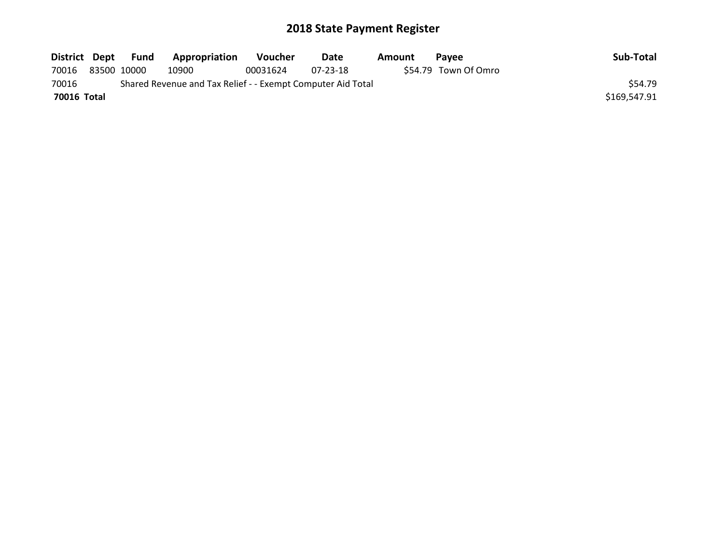| District Dept |             | Fund | Appropriation                                               | Voucher  | Date     | Amount | <b>Pavee</b>         | Sub-Total    |
|---------------|-------------|------|-------------------------------------------------------------|----------|----------|--------|----------------------|--------------|
| 70016         | 83500 10000 |      | 10900                                                       | 00031624 | 07-23-18 |        | \$54.79 Town Of Omro |              |
| 70016         |             |      | Shared Revenue and Tax Relief - - Exempt Computer Aid Total |          |          |        |                      | \$54.79      |
| 70016 Total   |             |      |                                                             |          |          |        |                      | \$169,547.91 |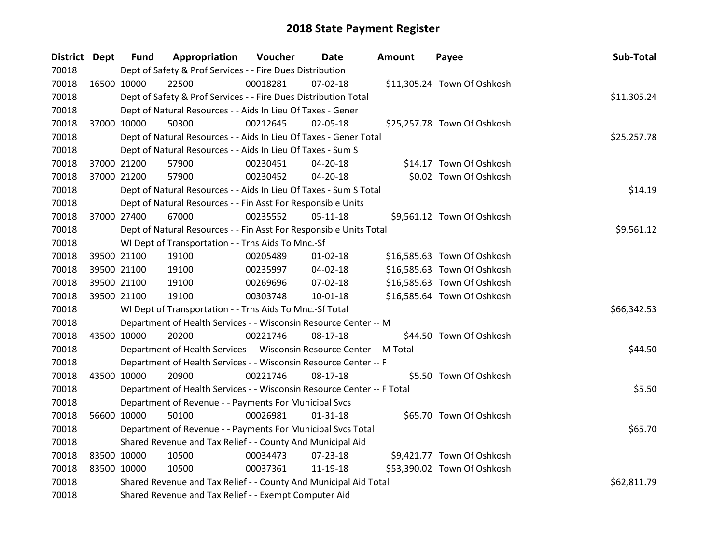| District Dept | <b>Fund</b>                                                            | Appropriation                                                      | Voucher     | Date           | <b>Amount</b> | Payee                       | Sub-Total  |
|---------------|------------------------------------------------------------------------|--------------------------------------------------------------------|-------------|----------------|---------------|-----------------------------|------------|
| 70018         | Dept of Safety & Prof Services - - Fire Dues Distribution              |                                                                    |             |                |               |                             |            |
| 70018         | 16500 10000                                                            | 22500                                                              | 00018281    | 07-02-18       |               | \$11,305.24 Town Of Oshkosh |            |
| 70018         |                                                                        | Dept of Safety & Prof Services - - Fire Dues Distribution Total    | \$11,305.24 |                |               |                             |            |
| 70018         |                                                                        | Dept of Natural Resources - - Aids In Lieu Of Taxes - Gener        |             |                |               |                             |            |
| 70018         | 37000 10000                                                            | 50300                                                              | 00212645    | 02-05-18       |               | \$25,257.78 Town Of Oshkosh |            |
| 70018         |                                                                        | Dept of Natural Resources - - Aids In Lieu Of Taxes - Gener Total  | \$25,257.78 |                |               |                             |            |
| 70018         |                                                                        | Dept of Natural Resources - - Aids In Lieu Of Taxes - Sum S        |             |                |               |                             |            |
| 70018         | 37000 21200                                                            | 57900                                                              | 00230451    | $04 - 20 - 18$ |               | \$14.17 Town Of Oshkosh     |            |
| 70018         | 37000 21200                                                            | 57900                                                              | 00230452    | 04-20-18       |               | \$0.02 Town Of Oshkosh      |            |
| 70018         |                                                                        | Dept of Natural Resources - - Aids In Lieu Of Taxes - Sum S Total  | \$14.19     |                |               |                             |            |
| 70018         | Dept of Natural Resources - - Fin Asst For Responsible Units           |                                                                    |             |                |               |                             |            |
| 70018         | 37000 27400                                                            | 67000                                                              | 00235552    | $05-11-18$     |               | \$9,561.12 Town Of Oshkosh  |            |
| 70018         |                                                                        | Dept of Natural Resources - - Fin Asst For Responsible Units Total |             |                |               |                             | \$9,561.12 |
| 70018         | WI Dept of Transportation - - Trns Aids To Mnc.-Sf                     |                                                                    |             |                |               |                             |            |
| 70018         | 39500 21100                                                            | 19100                                                              | 00205489    | $01 - 02 - 18$ |               | \$16,585.63 Town Of Oshkosh |            |
| 70018         | 39500 21100                                                            | 19100                                                              | 00235997    | 04-02-18       |               | \$16,585.63 Town Of Oshkosh |            |
| 70018         | 39500 21100                                                            | 19100                                                              | 00269696    | 07-02-18       |               | \$16,585.63 Town Of Oshkosh |            |
| 70018         | 39500 21100                                                            | 19100                                                              | 00303748    | 10-01-18       |               | \$16,585.64 Town Of Oshkosh |            |
| 70018         | WI Dept of Transportation - - Trns Aids To Mnc.-Sf Total               | \$66,342.53                                                        |             |                |               |                             |            |
| 70018         | Department of Health Services - - Wisconsin Resource Center -- M       |                                                                    |             |                |               |                             |            |
| 70018         | 43500 10000                                                            | 20200                                                              | 00221746    | 08-17-18       |               | \$44.50 Town Of Oshkosh     |            |
| 70018         | Department of Health Services - - Wisconsin Resource Center -- M Total | \$44.50                                                            |             |                |               |                             |            |
| 70018         | Department of Health Services - - Wisconsin Resource Center -- F       |                                                                    |             |                |               |                             |            |
| 70018         | 43500 10000                                                            | 20900                                                              | 00221746    | 08-17-18       |               | \$5.50 Town Of Oshkosh      |            |
| 70018         | Department of Health Services - - Wisconsin Resource Center -- F Total | \$5.50                                                             |             |                |               |                             |            |
| 70018         | Department of Revenue - - Payments For Municipal Svcs                  |                                                                    |             |                |               |                             |            |
| 70018         | 56600 10000                                                            | 50100                                                              | 00026981    | $01 - 31 - 18$ |               | \$65.70 Town Of Oshkosh     |            |
| 70018         |                                                                        | Department of Revenue - - Payments For Municipal Svcs Total        | \$65.70     |                |               |                             |            |
| 70018         | Shared Revenue and Tax Relief - - County And Municipal Aid             |                                                                    |             |                |               |                             |            |
| 70018         | 83500 10000                                                            | 10500                                                              | 00034473    | 07-23-18       |               | \$9,421.77 Town Of Oshkosh  |            |
| 70018         | 83500 10000                                                            | 10500                                                              | 00037361    | 11-19-18       |               | \$53,390.02 Town Of Oshkosh |            |
| 70018         | Shared Revenue and Tax Relief - - County And Municipal Aid Total       | \$62,811.79                                                        |             |                |               |                             |            |
| 70018         |                                                                        | Shared Revenue and Tax Relief - - Exempt Computer Aid              |             |                |               |                             |            |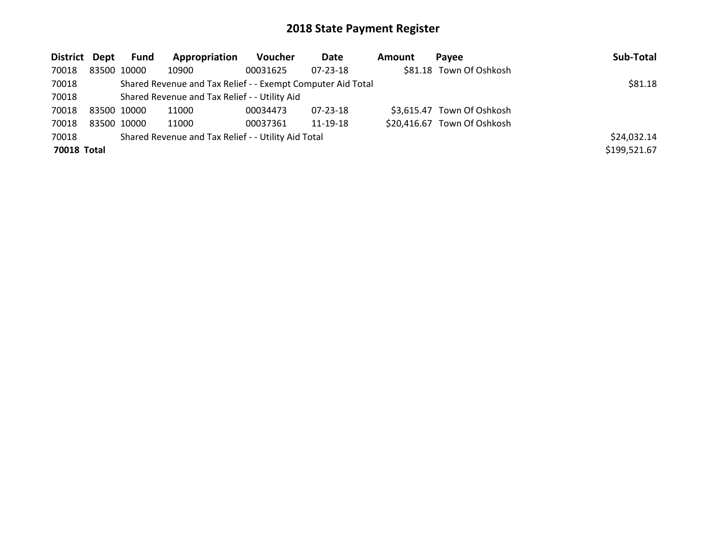| District Dept |                                                     | Fund                                                        | Appropriation | <b>Voucher</b> | Date           | Amount | Pavee                       | Sub-Total    |
|---------------|-----------------------------------------------------|-------------------------------------------------------------|---------------|----------------|----------------|--------|-----------------------------|--------------|
| 70018         | 83500 10000                                         |                                                             | 10900         | 00031625       | $07 - 23 - 18$ |        | \$81.18 Town Of Oshkosh     |              |
| 70018         |                                                     | Shared Revenue and Tax Relief - - Exempt Computer Aid Total | \$81.18       |                |                |        |                             |              |
| 70018         |                                                     | Shared Revenue and Tax Relief - - Utility Aid               |               |                |                |        |                             |              |
| 70018         | 83500 10000                                         |                                                             | 11000         | 00034473       | 07-23-18       |        | \$3,615.47 Town Of Oshkosh  |              |
| 70018         | 83500 10000                                         |                                                             | 11000         | 00037361       | 11-19-18       |        | \$20,416.67 Town Of Oshkosh |              |
| 70018         | Shared Revenue and Tax Relief - - Utility Aid Total |                                                             |               |                |                |        |                             |              |
| 70018 Total   |                                                     |                                                             |               |                |                |        |                             | \$199,521.67 |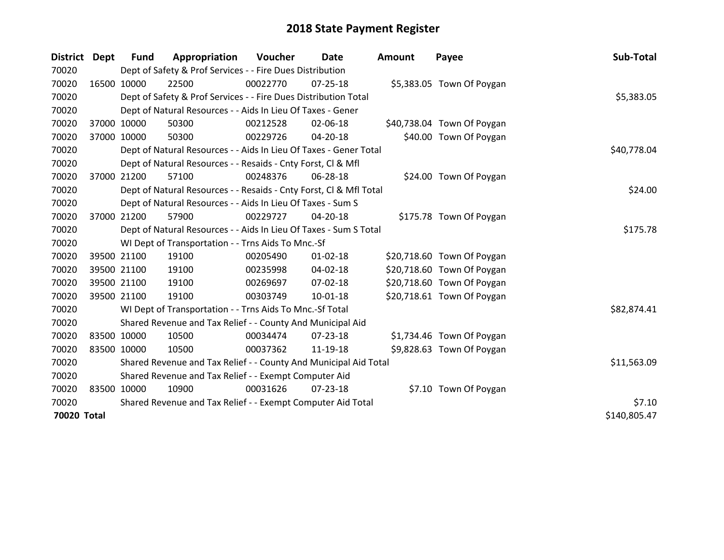| District Dept |             | Fund        | Appropriation                                                      | <b>Voucher</b> | Date           | <b>Amount</b> | Payee                      | Sub-Total    |
|---------------|-------------|-------------|--------------------------------------------------------------------|----------------|----------------|---------------|----------------------------|--------------|
| 70020         |             |             | Dept of Safety & Prof Services - - Fire Dues Distribution          |                |                |               |                            |              |
| 70020         | 16500 10000 |             | 22500                                                              | 00022770       | $07 - 25 - 18$ |               | \$5,383.05 Town Of Poygan  |              |
| 70020         |             |             | Dept of Safety & Prof Services - - Fire Dues Distribution Total    |                |                |               |                            | \$5,383.05   |
| 70020         |             |             | Dept of Natural Resources - - Aids In Lieu Of Taxes - Gener        |                |                |               |                            |              |
| 70020         | 37000 10000 |             | 50300                                                              | 00212528       | 02-06-18       |               | \$40,738.04 Town Of Poygan |              |
| 70020         |             | 37000 10000 | 50300                                                              | 00229726       | 04-20-18       |               | \$40.00 Town Of Poygan     |              |
| 70020         |             |             | Dept of Natural Resources - - Aids In Lieu Of Taxes - Gener Total  |                |                |               |                            | \$40,778.04  |
| 70020         |             |             | Dept of Natural Resources - - Resaids - Cnty Forst, CI & Mfl       |                |                |               |                            |              |
| 70020         |             | 37000 21200 | 57100                                                              | 00248376       | 06-28-18       |               | \$24.00 Town Of Poygan     |              |
| 70020         |             |             | Dept of Natural Resources - - Resaids - Cnty Forst, CI & Mfl Total |                |                |               |                            | \$24.00      |
| 70020         |             |             | Dept of Natural Resources - - Aids In Lieu Of Taxes - Sum S        |                |                |               |                            |              |
| 70020         |             | 37000 21200 | 57900                                                              | 00229727       | 04-20-18       |               | \$175.78 Town Of Poygan    |              |
| 70020         |             |             | Dept of Natural Resources - - Aids In Lieu Of Taxes - Sum S Total  |                |                |               |                            | \$175.78     |
| 70020         |             |             | WI Dept of Transportation - - Trns Aids To Mnc.-Sf                 |                |                |               |                            |              |
| 70020         |             | 39500 21100 | 19100                                                              | 00205490       | $01 - 02 - 18$ |               | \$20,718.60 Town Of Poygan |              |
| 70020         |             | 39500 21100 | 19100                                                              | 00235998       | 04-02-18       |               | \$20,718.60 Town Of Poygan |              |
| 70020         |             | 39500 21100 | 19100                                                              | 00269697       | $07 - 02 - 18$ |               | \$20,718.60 Town Of Poygan |              |
| 70020         |             | 39500 21100 | 19100                                                              | 00303749       | 10-01-18       |               | \$20,718.61 Town Of Poygan |              |
| 70020         |             |             | WI Dept of Transportation - - Trns Aids To Mnc.-Sf Total           |                |                |               |                            | \$82,874.41  |
| 70020         |             |             | Shared Revenue and Tax Relief - - County And Municipal Aid         |                |                |               |                            |              |
| 70020         | 83500 10000 |             | 10500                                                              | 00034474       | $07 - 23 - 18$ |               | \$1,734.46 Town Of Poygan  |              |
| 70020         | 83500 10000 |             | 10500                                                              | 00037362       | 11-19-18       |               | \$9,828.63 Town Of Poygan  |              |
| 70020         |             |             | Shared Revenue and Tax Relief - - County And Municipal Aid Total   |                |                |               |                            | \$11,563.09  |
| 70020         |             |             | Shared Revenue and Tax Relief - - Exempt Computer Aid              |                |                |               |                            |              |
| 70020         |             | 83500 10000 | 10900                                                              | 00031626       | $07 - 23 - 18$ |               | \$7.10 Town Of Poygan      |              |
| 70020         |             |             | Shared Revenue and Tax Relief - - Exempt Computer Aid Total        |                |                |               |                            | \$7.10       |
| 70020 Total   |             |             |                                                                    |                |                |               |                            | \$140,805.47 |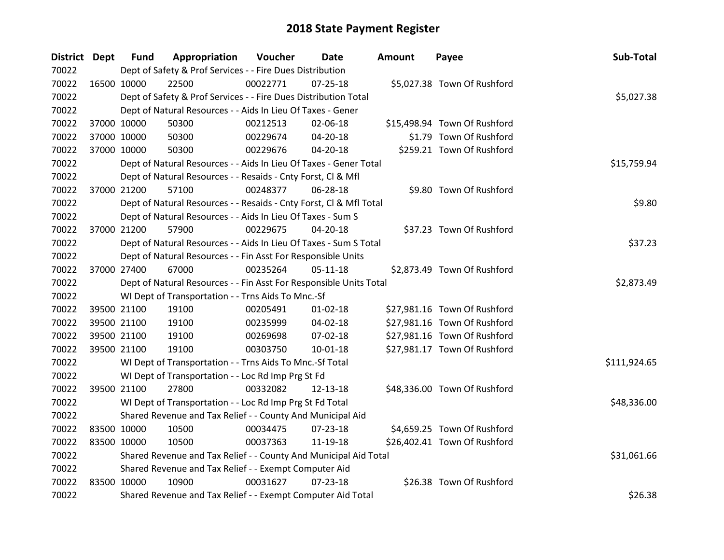| District Dept |             | <b>Fund</b> | Appropriation                                                      | Voucher  | Date           | <b>Amount</b> | Payee                        | Sub-Total    |
|---------------|-------------|-------------|--------------------------------------------------------------------|----------|----------------|---------------|------------------------------|--------------|
| 70022         |             |             | Dept of Safety & Prof Services - - Fire Dues Distribution          |          |                |               |                              |              |
| 70022         | 16500 10000 |             | 22500                                                              | 00022771 | $07 - 25 - 18$ |               | \$5,027.38 Town Of Rushford  |              |
| 70022         |             |             | Dept of Safety & Prof Services - - Fire Dues Distribution Total    |          |                |               |                              | \$5,027.38   |
| 70022         |             |             | Dept of Natural Resources - - Aids In Lieu Of Taxes - Gener        |          |                |               |                              |              |
| 70022         |             | 37000 10000 | 50300                                                              | 00212513 | 02-06-18       |               | \$15,498.94 Town Of Rushford |              |
| 70022         |             | 37000 10000 | 50300                                                              | 00229674 | 04-20-18       |               | \$1.79 Town Of Rushford      |              |
| 70022         |             | 37000 10000 | 50300                                                              | 00229676 | 04-20-18       |               | \$259.21 Town Of Rushford    |              |
| 70022         |             |             | Dept of Natural Resources - - Aids In Lieu Of Taxes - Gener Total  |          |                |               |                              | \$15,759.94  |
| 70022         |             |             | Dept of Natural Resources - - Resaids - Cnty Forst, CI & Mfl       |          |                |               |                              |              |
| 70022         |             | 37000 21200 | 57100                                                              | 00248377 | 06-28-18       |               | \$9.80 Town Of Rushford      |              |
| 70022         |             |             | Dept of Natural Resources - - Resaids - Cnty Forst, Cl & Mfl Total |          |                |               |                              | \$9.80       |
| 70022         |             |             | Dept of Natural Resources - - Aids In Lieu Of Taxes - Sum S        |          |                |               |                              |              |
| 70022         |             | 37000 21200 | 57900                                                              | 00229675 | 04-20-18       |               | \$37.23 Town Of Rushford     |              |
| 70022         |             |             | Dept of Natural Resources - - Aids In Lieu Of Taxes - Sum S Total  |          |                |               |                              | \$37.23      |
| 70022         |             |             | Dept of Natural Resources - - Fin Asst For Responsible Units       |          |                |               |                              |              |
| 70022         |             | 37000 27400 | 67000                                                              | 00235264 | $05-11-18$     |               | \$2,873.49 Town Of Rushford  |              |
| 70022         |             |             | Dept of Natural Resources - - Fin Asst For Responsible Units Total |          |                |               |                              | \$2,873.49   |
| 70022         |             |             | WI Dept of Transportation - - Trns Aids To Mnc.-Sf                 |          |                |               |                              |              |
| 70022         |             | 39500 21100 | 19100                                                              | 00205491 | $01 - 02 - 18$ |               | \$27,981.16 Town Of Rushford |              |
| 70022         |             | 39500 21100 | 19100                                                              | 00235999 | 04-02-18       |               | \$27,981.16 Town Of Rushford |              |
| 70022         |             | 39500 21100 | 19100                                                              | 00269698 | 07-02-18       |               | \$27,981.16 Town Of Rushford |              |
| 70022         |             | 39500 21100 | 19100                                                              | 00303750 | $10 - 01 - 18$ |               | \$27,981.17 Town Of Rushford |              |
| 70022         |             |             | WI Dept of Transportation - - Trns Aids To Mnc.-Sf Total           |          |                |               |                              | \$111,924.65 |
| 70022         |             |             | WI Dept of Transportation - - Loc Rd Imp Prg St Fd                 |          |                |               |                              |              |
| 70022         |             | 39500 21100 | 27800                                                              | 00332082 | 12-13-18       |               | \$48,336.00 Town Of Rushford |              |
| 70022         |             |             | WI Dept of Transportation - - Loc Rd Imp Prg St Fd Total           |          |                |               |                              | \$48,336.00  |
| 70022         |             |             | Shared Revenue and Tax Relief - - County And Municipal Aid         |          |                |               |                              |              |
| 70022         | 83500 10000 |             | 10500                                                              | 00034475 | 07-23-18       |               | \$4,659.25 Town Of Rushford  |              |
| 70022         | 83500 10000 |             | 10500                                                              | 00037363 | 11-19-18       |               | \$26,402.41 Town Of Rushford |              |
| 70022         |             |             | Shared Revenue and Tax Relief - - County And Municipal Aid Total   |          |                |               |                              | \$31,061.66  |
| 70022         |             |             | Shared Revenue and Tax Relief - - Exempt Computer Aid              |          |                |               |                              |              |
| 70022         | 83500 10000 |             | 10900                                                              | 00031627 | $07 - 23 - 18$ |               | \$26.38 Town Of Rushford     |              |
| 70022         |             |             | Shared Revenue and Tax Relief - - Exempt Computer Aid Total        |          |                |               |                              | \$26.38      |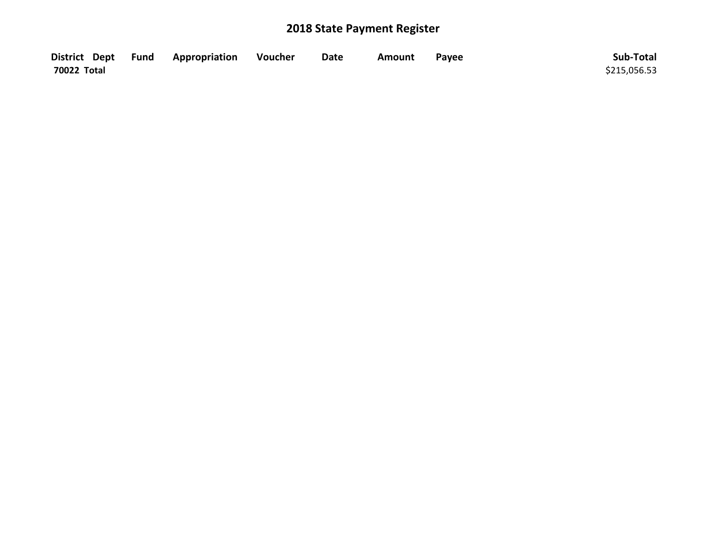|             | District Dept Fund Appropriation | Voucher | Date | Amount | Pavee | Sub-Total    |
|-------------|----------------------------------|---------|------|--------|-------|--------------|
| 70022 Total |                                  |         |      |        |       | \$215,056.53 |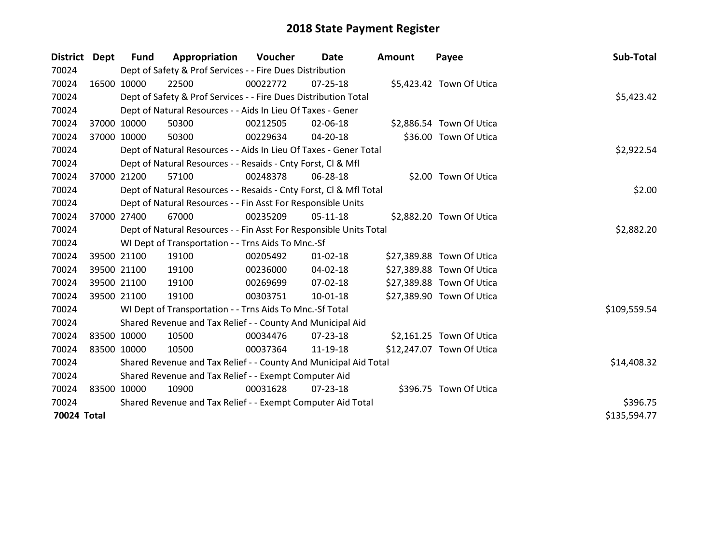| District Dept | Fund        | Appropriation                                                      | Voucher  | Date           | <b>Amount</b> | Payee                     | Sub-Total    |
|---------------|-------------|--------------------------------------------------------------------|----------|----------------|---------------|---------------------------|--------------|
| 70024         |             | Dept of Safety & Prof Services - - Fire Dues Distribution          |          |                |               |                           |              |
| 70024         | 16500 10000 | 22500                                                              | 00022772 | $07 - 25 - 18$ |               | \$5,423.42 Town Of Utica  |              |
| 70024         |             | Dept of Safety & Prof Services - - Fire Dues Distribution Total    |          |                |               |                           | \$5,423.42   |
| 70024         |             | Dept of Natural Resources - - Aids In Lieu Of Taxes - Gener        |          |                |               |                           |              |
| 70024         | 37000 10000 | 50300                                                              | 00212505 | 02-06-18       |               | \$2,886.54 Town Of Utica  |              |
| 70024         | 37000 10000 | 50300                                                              | 00229634 | 04-20-18       |               | \$36.00 Town Of Utica     |              |
| 70024         |             | Dept of Natural Resources - - Aids In Lieu Of Taxes - Gener Total  |          |                |               |                           | \$2,922.54   |
| 70024         |             | Dept of Natural Resources - - Resaids - Cnty Forst, Cl & Mfl       |          |                |               |                           |              |
| 70024         | 37000 21200 | 57100                                                              | 00248378 | 06-28-18       |               | \$2.00 Town Of Utica      |              |
| 70024         |             | Dept of Natural Resources - - Resaids - Cnty Forst, Cl & Mfl Total |          |                |               |                           | \$2.00       |
| 70024         |             | Dept of Natural Resources - - Fin Asst For Responsible Units       |          |                |               |                           |              |
| 70024         | 37000 27400 | 67000                                                              | 00235209 | 05-11-18       |               | \$2,882.20 Town Of Utica  |              |
| 70024         |             | Dept of Natural Resources - - Fin Asst For Responsible Units Total |          |                |               |                           | \$2,882.20   |
| 70024         |             | WI Dept of Transportation - - Trns Aids To Mnc.-Sf                 |          |                |               |                           |              |
| 70024         | 39500 21100 | 19100                                                              | 00205492 | $01 - 02 - 18$ |               | \$27,389.88 Town Of Utica |              |
| 70024         | 39500 21100 | 19100                                                              | 00236000 | 04-02-18       |               | \$27,389.88 Town Of Utica |              |
| 70024         | 39500 21100 | 19100                                                              | 00269699 | $07 - 02 - 18$ |               | \$27,389.88 Town Of Utica |              |
| 70024         | 39500 21100 | 19100                                                              | 00303751 | $10 - 01 - 18$ |               | \$27,389.90 Town Of Utica |              |
| 70024         |             | WI Dept of Transportation - - Trns Aids To Mnc.-Sf Total           |          |                |               |                           | \$109,559.54 |
| 70024         |             | Shared Revenue and Tax Relief - - County And Municipal Aid         |          |                |               |                           |              |
| 70024         | 83500 10000 | 10500                                                              | 00034476 | 07-23-18       |               | \$2,161.25 Town Of Utica  |              |
| 70024         | 83500 10000 | 10500                                                              | 00037364 | 11-19-18       |               | \$12,247.07 Town Of Utica |              |
| 70024         |             | Shared Revenue and Tax Relief - - County And Municipal Aid Total   |          |                |               |                           | \$14,408.32  |
| 70024         |             | Shared Revenue and Tax Relief - - Exempt Computer Aid              |          |                |               |                           |              |
| 70024         | 83500 10000 | 10900                                                              | 00031628 | $07 - 23 - 18$ |               | \$396.75 Town Of Utica    |              |
| 70024         |             | Shared Revenue and Tax Relief - - Exempt Computer Aid Total        |          |                |               |                           | \$396.75     |
| 70024 Total   |             |                                                                    |          |                |               |                           | \$135,594.77 |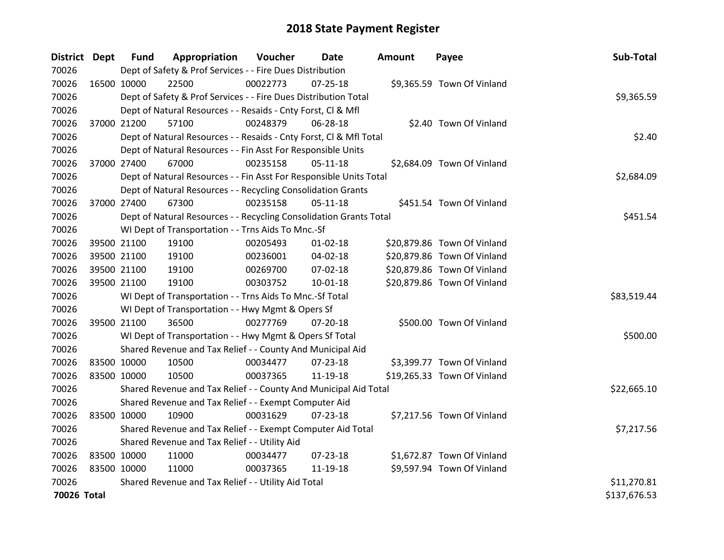| District Dept |             | <b>Fund</b> | Appropriation                                                      | Voucher  | Date           | <b>Amount</b> | Payee                       | Sub-Total    |
|---------------|-------------|-------------|--------------------------------------------------------------------|----------|----------------|---------------|-----------------------------|--------------|
| 70026         |             |             | Dept of Safety & Prof Services - - Fire Dues Distribution          |          |                |               |                             |              |
| 70026         | 16500 10000 |             | 22500                                                              | 00022773 | $07 - 25 - 18$ |               | \$9,365.59 Town Of Vinland  |              |
| 70026         |             |             | Dept of Safety & Prof Services - - Fire Dues Distribution Total    |          |                |               |                             | \$9,365.59   |
| 70026         |             |             | Dept of Natural Resources - - Resaids - Cnty Forst, Cl & Mfl       |          |                |               |                             |              |
| 70026         | 37000 21200 |             | 57100                                                              | 00248379 | 06-28-18       |               | \$2.40 Town Of Vinland      |              |
| 70026         |             |             | Dept of Natural Resources - - Resaids - Cnty Forst, CI & Mfl Total |          |                |               |                             | \$2.40       |
| 70026         |             |             | Dept of Natural Resources - - Fin Asst For Responsible Units       |          |                |               |                             |              |
| 70026         |             | 37000 27400 | 67000                                                              | 00235158 | $05 - 11 - 18$ |               | \$2,684.09 Town Of Vinland  |              |
| 70026         |             |             | Dept of Natural Resources - - Fin Asst For Responsible Units Total |          |                |               |                             | \$2,684.09   |
| 70026         |             |             | Dept of Natural Resources - - Recycling Consolidation Grants       |          |                |               |                             |              |
| 70026         |             | 37000 27400 | 67300                                                              | 00235158 | $05-11-18$     |               | \$451.54 Town Of Vinland    |              |
| 70026         |             |             | Dept of Natural Resources - - Recycling Consolidation Grants Total |          |                |               |                             | \$451.54     |
| 70026         |             |             | WI Dept of Transportation - - Trns Aids To Mnc.-Sf                 |          |                |               |                             |              |
| 70026         |             | 39500 21100 | 19100                                                              | 00205493 | $01 - 02 - 18$ |               | \$20,879.86 Town Of Vinland |              |
| 70026         |             | 39500 21100 | 19100                                                              | 00236001 | 04-02-18       |               | \$20,879.86 Town Of Vinland |              |
| 70026         |             | 39500 21100 | 19100                                                              | 00269700 | 07-02-18       |               | \$20,879.86 Town Of Vinland |              |
| 70026         |             | 39500 21100 | 19100                                                              | 00303752 | $10 - 01 - 18$ |               | \$20,879.86 Town Of Vinland |              |
| 70026         |             |             | WI Dept of Transportation - - Trns Aids To Mnc.-Sf Total           |          |                |               |                             | \$83,519.44  |
| 70026         |             |             | WI Dept of Transportation - - Hwy Mgmt & Opers Sf                  |          |                |               |                             |              |
| 70026         | 39500 21100 |             | 36500                                                              | 00277769 | 07-20-18       |               | \$500.00 Town Of Vinland    |              |
| 70026         |             |             | WI Dept of Transportation - - Hwy Mgmt & Opers Sf Total            |          |                |               |                             | \$500.00     |
| 70026         |             |             | Shared Revenue and Tax Relief - - County And Municipal Aid         |          |                |               |                             |              |
| 70026         | 83500 10000 |             | 10500                                                              | 00034477 | $07 - 23 - 18$ |               | \$3,399.77 Town Of Vinland  |              |
| 70026         | 83500 10000 |             | 10500                                                              | 00037365 | 11-19-18       |               | \$19,265.33 Town Of Vinland |              |
| 70026         |             |             | Shared Revenue and Tax Relief - - County And Municipal Aid Total   |          |                |               |                             | \$22,665.10  |
| 70026         |             |             | Shared Revenue and Tax Relief - - Exempt Computer Aid              |          |                |               |                             |              |
| 70026         | 83500 10000 |             | 10900                                                              | 00031629 | 07-23-18       |               | \$7,217.56 Town Of Vinland  |              |
| 70026         |             |             | Shared Revenue and Tax Relief - - Exempt Computer Aid Total        |          |                |               |                             | \$7,217.56   |
| 70026         |             |             | Shared Revenue and Tax Relief - - Utility Aid                      |          |                |               |                             |              |
| 70026         | 83500 10000 |             | 11000                                                              | 00034477 | $07 - 23 - 18$ |               | \$1,672.87 Town Of Vinland  |              |
| 70026         | 83500 10000 |             | 11000                                                              | 00037365 | 11-19-18       |               | \$9,597.94 Town Of Vinland  |              |
| 70026         |             |             | Shared Revenue and Tax Relief - - Utility Aid Total                |          |                |               |                             | \$11,270.81  |
| 70026 Total   |             |             |                                                                    |          |                |               |                             | \$137,676.53 |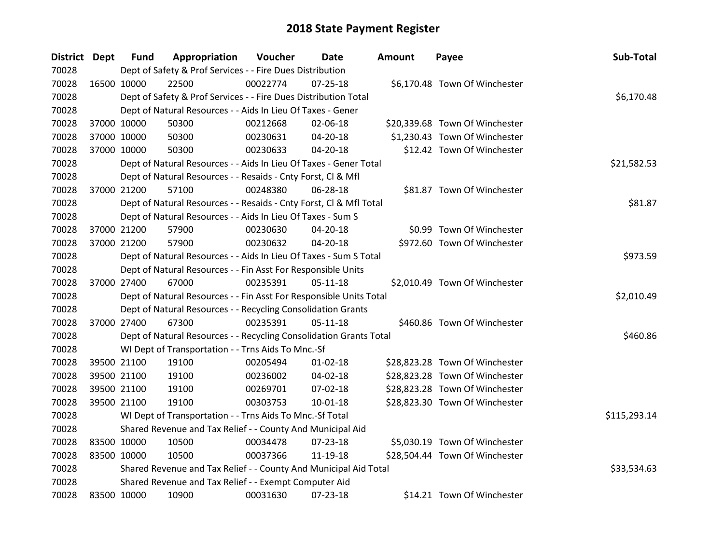| District Dept |             | <b>Fund</b> | Appropriation                                                      | Voucher  | Date           | <b>Amount</b> | Payee                          | Sub-Total    |
|---------------|-------------|-------------|--------------------------------------------------------------------|----------|----------------|---------------|--------------------------------|--------------|
| 70028         |             |             | Dept of Safety & Prof Services - - Fire Dues Distribution          |          |                |               |                                |              |
| 70028         | 16500 10000 |             | 22500                                                              | 00022774 | $07 - 25 - 18$ |               | \$6,170.48 Town Of Winchester  |              |
| 70028         |             |             | Dept of Safety & Prof Services - - Fire Dues Distribution Total    |          |                |               |                                | \$6,170.48   |
| 70028         |             |             | Dept of Natural Resources - - Aids In Lieu Of Taxes - Gener        |          |                |               |                                |              |
| 70028         |             | 37000 10000 | 50300                                                              | 00212668 | 02-06-18       |               | \$20,339.68 Town Of Winchester |              |
| 70028         |             | 37000 10000 | 50300                                                              | 00230631 | 04-20-18       |               | \$1,230.43 Town Of Winchester  |              |
| 70028         | 37000 10000 |             | 50300                                                              | 00230633 | $04 - 20 - 18$ |               | \$12.42 Town Of Winchester     |              |
| 70028         |             |             | Dept of Natural Resources - - Aids In Lieu Of Taxes - Gener Total  |          |                |               |                                | \$21,582.53  |
| 70028         |             |             | Dept of Natural Resources - - Resaids - Cnty Forst, CI & Mfl       |          |                |               |                                |              |
| 70028         |             | 37000 21200 | 57100                                                              | 00248380 | 06-28-18       |               | \$81.87 Town Of Winchester     |              |
| 70028         |             |             | Dept of Natural Resources - - Resaids - Cnty Forst, CI & Mfl Total |          |                |               |                                | \$81.87      |
| 70028         |             |             | Dept of Natural Resources - - Aids In Lieu Of Taxes - Sum S        |          |                |               |                                |              |
| 70028         |             | 37000 21200 | 57900                                                              | 00230630 | 04-20-18       |               | \$0.99 Town Of Winchester      |              |
| 70028         |             | 37000 21200 | 57900                                                              | 00230632 | 04-20-18       |               | \$972.60 Town Of Winchester    |              |
| 70028         |             |             | Dept of Natural Resources - - Aids In Lieu Of Taxes - Sum S Total  |          |                |               |                                | \$973.59     |
| 70028         |             |             | Dept of Natural Resources - - Fin Asst For Responsible Units       |          |                |               |                                |              |
| 70028         |             | 37000 27400 | 67000                                                              | 00235391 | 05-11-18       |               | \$2,010.49 Town Of Winchester  |              |
| 70028         |             |             | Dept of Natural Resources - - Fin Asst For Responsible Units Total |          |                |               |                                | \$2,010.49   |
| 70028         |             |             | Dept of Natural Resources - - Recycling Consolidation Grants       |          |                |               |                                |              |
| 70028         |             | 37000 27400 | 67300                                                              | 00235391 | $05-11-18$     |               | \$460.86 Town Of Winchester    |              |
| 70028         |             |             | Dept of Natural Resources - - Recycling Consolidation Grants Total |          |                |               |                                | \$460.86     |
| 70028         |             |             | WI Dept of Transportation - - Trns Aids To Mnc.-Sf                 |          |                |               |                                |              |
| 70028         |             | 39500 21100 | 19100                                                              | 00205494 | $01 - 02 - 18$ |               | \$28,823.28 Town Of Winchester |              |
| 70028         |             | 39500 21100 | 19100                                                              | 00236002 | 04-02-18       |               | \$28,823.28 Town Of Winchester |              |
| 70028         |             | 39500 21100 | 19100                                                              | 00269701 | 07-02-18       |               | \$28,823.28 Town Of Winchester |              |
| 70028         |             | 39500 21100 | 19100                                                              | 00303753 | $10-01-18$     |               | \$28,823.30 Town Of Winchester |              |
| 70028         |             |             | WI Dept of Transportation - - Trns Aids To Mnc.-Sf Total           |          |                |               |                                | \$115,293.14 |
| 70028         |             |             | Shared Revenue and Tax Relief - - County And Municipal Aid         |          |                |               |                                |              |
| 70028         |             | 83500 10000 | 10500                                                              | 00034478 | 07-23-18       |               | \$5,030.19 Town Of Winchester  |              |
| 70028         | 83500 10000 |             | 10500                                                              | 00037366 | 11-19-18       |               | \$28,504.44 Town Of Winchester |              |
| 70028         |             |             | Shared Revenue and Tax Relief - - County And Municipal Aid Total   |          |                |               |                                | \$33,534.63  |
| 70028         |             |             | Shared Revenue and Tax Relief - - Exempt Computer Aid              |          |                |               |                                |              |
| 70028         | 83500 10000 |             | 10900                                                              | 00031630 | 07-23-18       |               | \$14.21 Town Of Winchester     |              |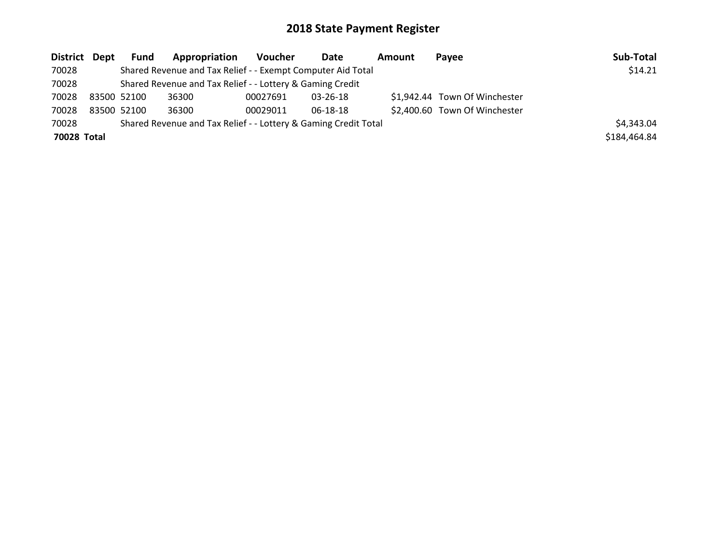| District Dept |             | Fund        | Appropriation                                                   | Voucher  | Date           | Amount | <b>Pavee</b>                  | Sub-Total    |
|---------------|-------------|-------------|-----------------------------------------------------------------|----------|----------------|--------|-------------------------------|--------------|
| 70028         |             |             | Shared Revenue and Tax Relief - - Exempt Computer Aid Total     |          |                |        |                               | \$14.21      |
| 70028         |             |             | Shared Revenue and Tax Relief - - Lottery & Gaming Credit       |          |                |        |                               |              |
| 70028         | 83500 52100 |             | 36300                                                           | 00027691 | $03 - 26 - 18$ |        | \$1,942.44 Town Of Winchester |              |
| 70028         |             | 83500 52100 | 36300                                                           | 00029011 | 06-18-18       |        | \$2,400.60 Town Of Winchester |              |
| 70028         |             |             | Shared Revenue and Tax Relief - - Lottery & Gaming Credit Total |          |                |        |                               | \$4,343.04   |
| 70028 Total   |             |             |                                                                 |          |                |        |                               | \$184,464.84 |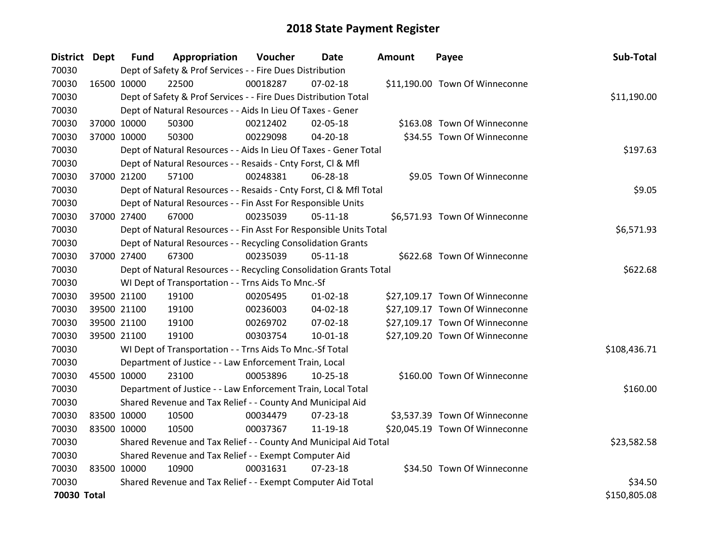| District Dept |             | <b>Fund</b> | Appropriation                                                      | Voucher  | Date           | Amount | Payee                          | Sub-Total    |
|---------------|-------------|-------------|--------------------------------------------------------------------|----------|----------------|--------|--------------------------------|--------------|
| 70030         |             |             | Dept of Safety & Prof Services - - Fire Dues Distribution          |          |                |        |                                |              |
| 70030         | 16500 10000 |             | 22500                                                              | 00018287 | $07 - 02 - 18$ |        | \$11,190.00 Town Of Winneconne |              |
| 70030         |             |             | Dept of Safety & Prof Services - - Fire Dues Distribution Total    |          |                |        |                                | \$11,190.00  |
| 70030         |             |             | Dept of Natural Resources - - Aids In Lieu Of Taxes - Gener        |          |                |        |                                |              |
| 70030         |             | 37000 10000 | 50300                                                              | 00212402 | 02-05-18       |        | \$163.08 Town Of Winneconne    |              |
| 70030         |             | 37000 10000 | 50300                                                              | 00229098 | $04 - 20 - 18$ |        | \$34.55 Town Of Winneconne     |              |
| 70030         |             |             | Dept of Natural Resources - - Aids In Lieu Of Taxes - Gener Total  |          |                |        |                                | \$197.63     |
| 70030         |             |             | Dept of Natural Resources - - Resaids - Cnty Forst, Cl & Mfl       |          |                |        |                                |              |
| 70030         | 37000 21200 |             | 57100                                                              | 00248381 | 06-28-18       |        | \$9.05 Town Of Winneconne      |              |
| 70030         |             |             | Dept of Natural Resources - - Resaids - Cnty Forst, Cl & Mfl Total |          |                |        |                                | \$9.05       |
| 70030         |             |             | Dept of Natural Resources - - Fin Asst For Responsible Units       |          |                |        |                                |              |
| 70030         | 37000 27400 |             | 67000                                                              | 00235039 | $05-11-18$     |        | \$6,571.93 Town Of Winneconne  |              |
| 70030         |             |             | Dept of Natural Resources - - Fin Asst For Responsible Units Total |          |                |        |                                | \$6,571.93   |
| 70030         |             |             | Dept of Natural Resources - - Recycling Consolidation Grants       |          |                |        |                                |              |
| 70030         |             | 37000 27400 | 67300                                                              | 00235039 | $05-11-18$     |        | \$622.68 Town Of Winneconne    |              |
| 70030         |             |             | Dept of Natural Resources - - Recycling Consolidation Grants Total |          |                |        |                                | \$622.68     |
| 70030         |             |             | WI Dept of Transportation - - Trns Aids To Mnc.-Sf                 |          |                |        |                                |              |
| 70030         |             | 39500 21100 | 19100                                                              | 00205495 | $01 - 02 - 18$ |        | \$27,109.17 Town Of Winneconne |              |
| 70030         |             | 39500 21100 | 19100                                                              | 00236003 | 04-02-18       |        | \$27,109.17 Town Of Winneconne |              |
| 70030         |             | 39500 21100 | 19100                                                              | 00269702 | 07-02-18       |        | \$27,109.17 Town Of Winneconne |              |
| 70030         |             | 39500 21100 | 19100                                                              | 00303754 | $10-01-18$     |        | \$27,109.20 Town Of Winneconne |              |
| 70030         |             |             | WI Dept of Transportation - - Trns Aids To Mnc.-Sf Total           |          |                |        |                                | \$108,436.71 |
| 70030         |             |             | Department of Justice - - Law Enforcement Train, Local             |          |                |        |                                |              |
| 70030         | 45500 10000 |             | 23100                                                              | 00053896 | $10 - 25 - 18$ |        | \$160.00 Town Of Winneconne    |              |
| 70030         |             |             | Department of Justice - - Law Enforcement Train, Local Total       |          |                |        |                                | \$160.00     |
| 70030         |             |             | Shared Revenue and Tax Relief - - County And Municipal Aid         |          |                |        |                                |              |
| 70030         | 83500 10000 |             | 10500                                                              | 00034479 | 07-23-18       |        | \$3,537.39 Town Of Winneconne  |              |
| 70030         | 83500 10000 |             | 10500                                                              | 00037367 | 11-19-18       |        | \$20,045.19 Town Of Winneconne |              |
| 70030         |             |             | Shared Revenue and Tax Relief - - County And Municipal Aid Total   |          |                |        |                                | \$23,582.58  |
| 70030         |             |             | Shared Revenue and Tax Relief - - Exempt Computer Aid              |          |                |        |                                |              |
| 70030         | 83500 10000 |             | 10900                                                              | 00031631 | $07 - 23 - 18$ |        | \$34.50 Town Of Winneconne     |              |
| 70030         |             |             | Shared Revenue and Tax Relief - - Exempt Computer Aid Total        |          |                |        |                                | \$34.50      |
| 70030 Total   |             |             |                                                                    |          |                |        |                                | \$150,805.08 |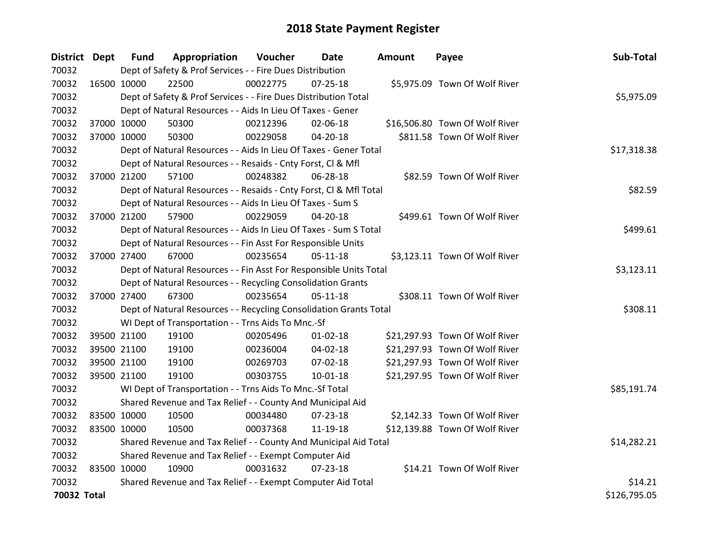| District Dept |             | <b>Fund</b> | Appropriation                                                      | Voucher  | Date           | <b>Amount</b> | Payee                          | Sub-Total    |
|---------------|-------------|-------------|--------------------------------------------------------------------|----------|----------------|---------------|--------------------------------|--------------|
| 70032         |             |             | Dept of Safety & Prof Services - - Fire Dues Distribution          |          |                |               |                                |              |
| 70032         | 16500 10000 |             | 22500                                                              | 00022775 | $07 - 25 - 18$ |               | \$5,975.09 Town Of Wolf River  |              |
| 70032         |             |             | Dept of Safety & Prof Services - - Fire Dues Distribution Total    |          |                |               |                                | \$5,975.09   |
| 70032         |             |             | Dept of Natural Resources - - Aids In Lieu Of Taxes - Gener        |          |                |               |                                |              |
| 70032         |             | 37000 10000 | 50300                                                              | 00212396 | 02-06-18       |               | \$16,506.80 Town Of Wolf River |              |
| 70032         |             | 37000 10000 | 50300                                                              | 00229058 | 04-20-18       |               | \$811.58 Town Of Wolf River    |              |
| 70032         |             |             | Dept of Natural Resources - - Aids In Lieu Of Taxes - Gener Total  |          |                |               |                                | \$17,318.38  |
| 70032         |             |             | Dept of Natural Resources - - Resaids - Cnty Forst, Cl & Mfl       |          |                |               |                                |              |
| 70032         |             | 37000 21200 | 57100                                                              | 00248382 | 06-28-18       |               | \$82.59 Town Of Wolf River     |              |
| 70032         |             |             | Dept of Natural Resources - - Resaids - Cnty Forst, Cl & Mfl Total |          |                |               |                                | \$82.59      |
| 70032         |             |             | Dept of Natural Resources - - Aids In Lieu Of Taxes - Sum S        |          |                |               |                                |              |
| 70032         |             | 37000 21200 | 57900                                                              | 00229059 | 04-20-18       |               | \$499.61 Town Of Wolf River    |              |
| 70032         |             |             | Dept of Natural Resources - - Aids In Lieu Of Taxes - Sum S Total  |          |                |               |                                | \$499.61     |
| 70032         |             |             | Dept of Natural Resources - - Fin Asst For Responsible Units       |          |                |               |                                |              |
| 70032         |             | 37000 27400 | 67000                                                              | 00235654 | $05-11-18$     |               | \$3,123.11 Town Of Wolf River  |              |
| 70032         |             |             | Dept of Natural Resources - - Fin Asst For Responsible Units Total |          |                |               |                                | \$3,123.11   |
| 70032         |             |             | Dept of Natural Resources - - Recycling Consolidation Grants       |          |                |               |                                |              |
| 70032         |             | 37000 27400 | 67300                                                              | 00235654 | 05-11-18       |               | \$308.11 Town Of Wolf River    |              |
| 70032         |             |             | Dept of Natural Resources - - Recycling Consolidation Grants Total |          |                |               |                                | \$308.11     |
| 70032         |             |             | WI Dept of Transportation - - Trns Aids To Mnc.-Sf                 |          |                |               |                                |              |
| 70032         |             | 39500 21100 | 19100                                                              | 00205496 | $01 - 02 - 18$ |               | \$21,297.93 Town Of Wolf River |              |
| 70032         |             | 39500 21100 | 19100                                                              | 00236004 | 04-02-18       |               | \$21,297.93 Town Of Wolf River |              |
| 70032         |             | 39500 21100 | 19100                                                              | 00269703 | 07-02-18       |               | \$21,297.93 Town Of Wolf River |              |
| 70032         |             | 39500 21100 | 19100                                                              | 00303755 | 10-01-18       |               | \$21,297.95 Town Of Wolf River |              |
| 70032         |             |             | WI Dept of Transportation - - Trns Aids To Mnc.-Sf Total           |          |                |               |                                | \$85,191.74  |
| 70032         |             |             | Shared Revenue and Tax Relief - - County And Municipal Aid         |          |                |               |                                |              |
| 70032         | 83500 10000 |             | 10500                                                              | 00034480 | 07-23-18       |               | \$2,142.33 Town Of Wolf River  |              |
| 70032         | 83500 10000 |             | 10500                                                              | 00037368 | 11-19-18       |               | \$12,139.88 Town Of Wolf River |              |
| 70032         |             |             | Shared Revenue and Tax Relief - - County And Municipal Aid Total   |          |                |               |                                | \$14,282.21  |
| 70032         |             |             | Shared Revenue and Tax Relief - - Exempt Computer Aid              |          |                |               |                                |              |
| 70032         | 83500 10000 |             | 10900                                                              | 00031632 | $07 - 23 - 18$ |               | \$14.21 Town Of Wolf River     |              |
| 70032         |             |             | Shared Revenue and Tax Relief - - Exempt Computer Aid Total        |          |                |               |                                | \$14.21      |
| 70032 Total   |             |             |                                                                    |          |                |               |                                | \$126,795.05 |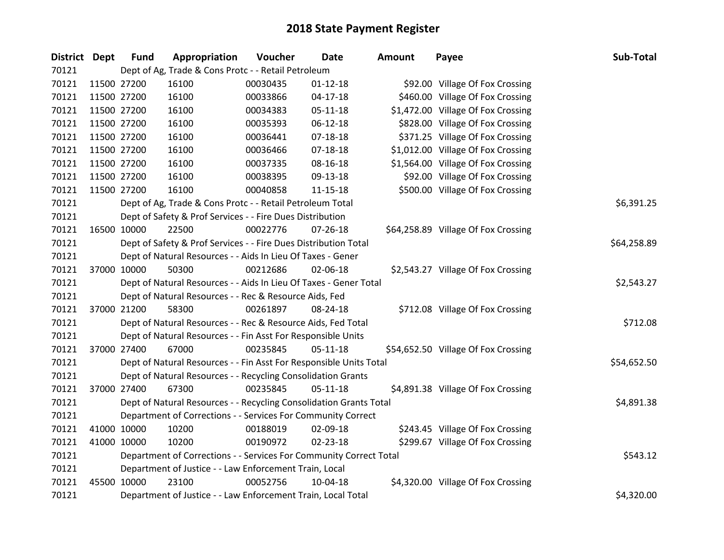| <b>District Dept</b> | <b>Fund</b> | Appropriation                                                      | Voucher  | <b>Date</b>    | <b>Amount</b> | Payee                               | Sub-Total   |
|----------------------|-------------|--------------------------------------------------------------------|----------|----------------|---------------|-------------------------------------|-------------|
| 70121                |             | Dept of Ag, Trade & Cons Protc - - Retail Petroleum                |          |                |               |                                     |             |
| 70121                | 11500 27200 | 16100                                                              | 00030435 | $01 - 12 - 18$ |               | \$92.00 Village Of Fox Crossing     |             |
| 70121                | 11500 27200 | 16100                                                              | 00033866 | $04-17-18$     |               | \$460.00 Village Of Fox Crossing    |             |
| 70121                | 11500 27200 | 16100                                                              | 00034383 | 05-11-18       |               | \$1,472.00 Village Of Fox Crossing  |             |
| 70121                | 11500 27200 | 16100                                                              | 00035393 | 06-12-18       |               | \$828.00 Village Of Fox Crossing    |             |
| 70121                | 11500 27200 | 16100                                                              | 00036441 | $07 - 18 - 18$ |               | \$371.25 Village Of Fox Crossing    |             |
| 70121                | 11500 27200 | 16100                                                              | 00036466 | $07 - 18 - 18$ |               | \$1,012.00 Village Of Fox Crossing  |             |
| 70121                | 11500 27200 | 16100                                                              | 00037335 | 08-16-18       |               | \$1,564.00 Village Of Fox Crossing  |             |
| 70121                | 11500 27200 | 16100                                                              | 00038395 | 09-13-18       |               | \$92.00 Village Of Fox Crossing     |             |
| 70121                | 11500 27200 | 16100                                                              | 00040858 | $11 - 15 - 18$ |               | \$500.00 Village Of Fox Crossing    |             |
| 70121                |             | Dept of Ag, Trade & Cons Protc - - Retail Petroleum Total          |          |                |               |                                     | \$6,391.25  |
| 70121                |             | Dept of Safety & Prof Services - - Fire Dues Distribution          |          |                |               |                                     |             |
| 70121                | 16500 10000 | 22500                                                              | 00022776 | $07 - 26 - 18$ |               | \$64,258.89 Village Of Fox Crossing |             |
| 70121                |             | Dept of Safety & Prof Services - - Fire Dues Distribution Total    |          |                |               |                                     | \$64,258.89 |
| 70121                |             | Dept of Natural Resources - - Aids In Lieu Of Taxes - Gener        |          |                |               |                                     |             |
| 70121                | 37000 10000 | 50300                                                              | 00212686 | 02-06-18       |               | \$2,543.27 Village Of Fox Crossing  |             |
| 70121                |             | Dept of Natural Resources - - Aids In Lieu Of Taxes - Gener Total  |          |                |               |                                     | \$2,543.27  |
| 70121                |             | Dept of Natural Resources - - Rec & Resource Aids, Fed             |          |                |               |                                     |             |
| 70121                | 37000 21200 | 58300                                                              | 00261897 | 08-24-18       |               | \$712.08 Village Of Fox Crossing    |             |
| 70121                |             | Dept of Natural Resources - - Rec & Resource Aids, Fed Total       |          |                |               |                                     | \$712.08    |
| 70121                |             | Dept of Natural Resources - - Fin Asst For Responsible Units       |          |                |               |                                     |             |
| 70121                | 37000 27400 | 67000                                                              | 00235845 | $05-11-18$     |               | \$54,652.50 Village Of Fox Crossing |             |
| 70121                |             | Dept of Natural Resources - - Fin Asst For Responsible Units Total |          |                |               |                                     | \$54,652.50 |
| 70121                |             | Dept of Natural Resources - - Recycling Consolidation Grants       |          |                |               |                                     |             |
| 70121                | 37000 27400 | 67300                                                              | 00235845 | $05-11-18$     |               | \$4,891.38 Village Of Fox Crossing  |             |
| 70121                |             | Dept of Natural Resources - - Recycling Consolidation Grants Total |          |                |               |                                     | \$4,891.38  |
| 70121                |             | Department of Corrections - - Services For Community Correct       |          |                |               |                                     |             |
| 70121                | 41000 10000 | 10200                                                              | 00188019 | 02-09-18       |               | \$243.45 Village Of Fox Crossing    |             |
| 70121                | 41000 10000 | 10200                                                              | 00190972 | 02-23-18       |               | \$299.67 Village Of Fox Crossing    |             |
| 70121                |             | Department of Corrections - - Services For Community Correct Total |          |                |               |                                     | \$543.12    |
| 70121                |             | Department of Justice - - Law Enforcement Train, Local             |          |                |               |                                     |             |
| 70121                | 45500 10000 | 23100                                                              | 00052756 | 10-04-18       |               | \$4,320.00 Village Of Fox Crossing  |             |
| 70121                |             | Department of Justice - - Law Enforcement Train, Local Total       |          |                |               |                                     | \$4,320.00  |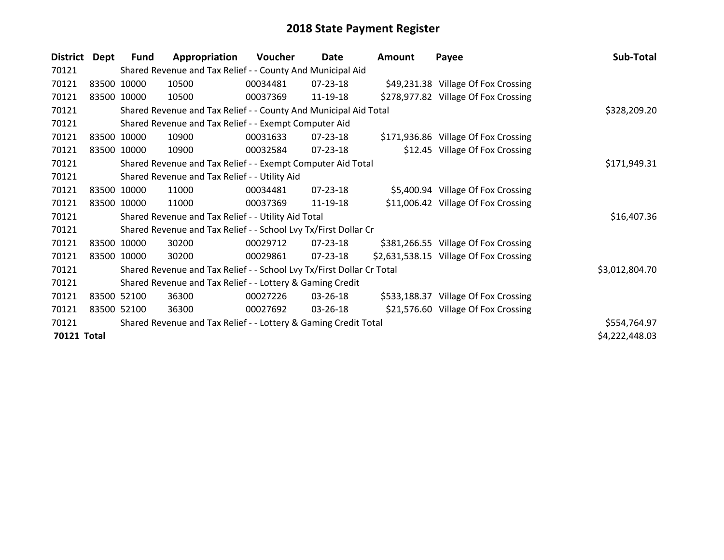| <b>District</b> | Dept | <b>Fund</b> | Appropriation                                                         | Voucher  | Date           | <b>Amount</b> | Payee                                  | Sub-Total      |
|-----------------|------|-------------|-----------------------------------------------------------------------|----------|----------------|---------------|----------------------------------------|----------------|
| 70121           |      |             | Shared Revenue and Tax Relief - - County And Municipal Aid            |          |                |               |                                        |                |
| 70121           |      | 83500 10000 | 10500                                                                 | 00034481 | $07 - 23 - 18$ |               | \$49,231.38 Village Of Fox Crossing    |                |
| 70121           |      | 83500 10000 | 10500                                                                 | 00037369 | 11-19-18       |               | \$278,977.82 Village Of Fox Crossing   |                |
| 70121           |      |             | Shared Revenue and Tax Relief - - County And Municipal Aid Total      |          |                |               |                                        | \$328,209.20   |
| 70121           |      |             | Shared Revenue and Tax Relief - - Exempt Computer Aid                 |          |                |               |                                        |                |
| 70121           |      | 83500 10000 | 10900                                                                 | 00031633 | 07-23-18       |               | \$171,936.86 Village Of Fox Crossing   |                |
| 70121           |      | 83500 10000 | 10900                                                                 | 00032584 | 07-23-18       |               | \$12.45 Village Of Fox Crossing        |                |
| 70121           |      |             | Shared Revenue and Tax Relief - - Exempt Computer Aid Total           |          |                |               |                                        | \$171,949.31   |
| 70121           |      |             | Shared Revenue and Tax Relief - - Utility Aid                         |          |                |               |                                        |                |
| 70121           |      | 83500 10000 | 11000                                                                 | 00034481 | $07 - 23 - 18$ |               | \$5,400.94 Village Of Fox Crossing     |                |
| 70121           |      | 83500 10000 | 11000                                                                 | 00037369 | 11-19-18       |               | \$11,006.42 Village Of Fox Crossing    |                |
| 70121           |      |             | Shared Revenue and Tax Relief - - Utility Aid Total                   |          |                |               |                                        | \$16,407.36    |
| 70121           |      |             | Shared Revenue and Tax Relief - - School Lvy Tx/First Dollar Cr       |          |                |               |                                        |                |
| 70121           |      | 83500 10000 | 30200                                                                 | 00029712 | $07 - 23 - 18$ |               | \$381,266.55 Village Of Fox Crossing   |                |
| 70121           |      | 83500 10000 | 30200                                                                 | 00029861 | 07-23-18       |               | \$2,631,538.15 Village Of Fox Crossing |                |
| 70121           |      |             | Shared Revenue and Tax Relief - - School Lvy Tx/First Dollar Cr Total |          |                |               |                                        | \$3,012,804.70 |
| 70121           |      |             | Shared Revenue and Tax Relief - - Lottery & Gaming Credit             |          |                |               |                                        |                |
| 70121           |      | 83500 52100 | 36300                                                                 | 00027226 | 03-26-18       |               | \$533,188.37 Village Of Fox Crossing   |                |
| 70121           |      | 83500 52100 | 36300                                                                 | 00027692 | 03-26-18       |               | \$21,576.60 Village Of Fox Crossing    |                |
| 70121           |      |             | Shared Revenue and Tax Relief - - Lottery & Gaming Credit Total       |          |                |               |                                        | \$554,764.97   |
| 70121 Total     |      |             |                                                                       |          |                |               |                                        | \$4,222,448.03 |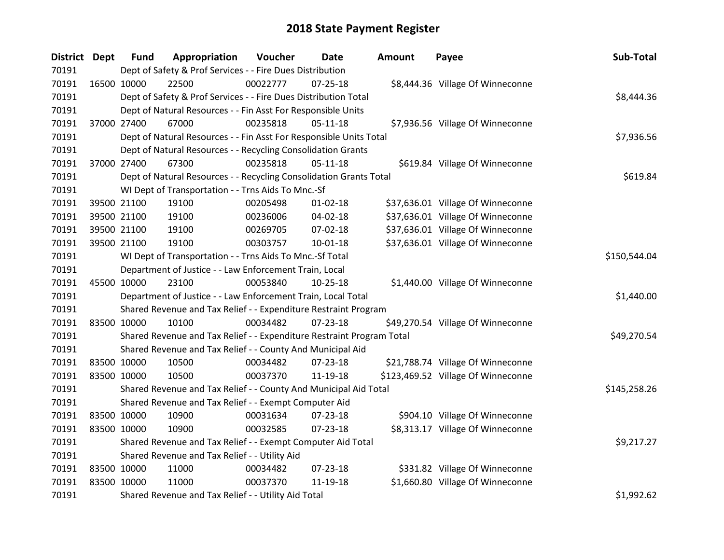| District Dept |             | <b>Fund</b>                                   | Appropriation                                                         | Voucher      | Date           | <b>Amount</b> | Payee                              | Sub-Total    |  |  |
|---------------|-------------|-----------------------------------------------|-----------------------------------------------------------------------|--------------|----------------|---------------|------------------------------------|--------------|--|--|
| 70191         |             |                                               | Dept of Safety & Prof Services - - Fire Dues Distribution             |              |                |               |                                    |              |  |  |
| 70191         | 16500 10000 |                                               | 22500                                                                 | 00022777     | $07 - 25 - 18$ |               | \$8,444.36 Village Of Winneconne   |              |  |  |
| 70191         |             |                                               | Dept of Safety & Prof Services - - Fire Dues Distribution Total       |              |                |               |                                    | \$8,444.36   |  |  |
| 70191         |             |                                               | Dept of Natural Resources - - Fin Asst For Responsible Units          |              |                |               |                                    |              |  |  |
| 70191         |             | 37000 27400                                   | 67000                                                                 | 00235818     | $05-11-18$     |               | \$7,936.56 Village Of Winneconne   |              |  |  |
| 70191         |             |                                               | Dept of Natural Resources - - Fin Asst For Responsible Units Total    |              |                |               |                                    | \$7,936.56   |  |  |
| 70191         |             |                                               | Dept of Natural Resources - - Recycling Consolidation Grants          |              |                |               |                                    |              |  |  |
| 70191         |             | 37000 27400                                   | 67300                                                                 | 00235818     | $05 - 11 - 18$ |               | \$619.84 Village Of Winneconne     |              |  |  |
| 70191         |             |                                               | Dept of Natural Resources - - Recycling Consolidation Grants Total    |              |                |               |                                    | \$619.84     |  |  |
| 70191         |             |                                               | WI Dept of Transportation - - Trns Aids To Mnc.-Sf                    |              |                |               |                                    |              |  |  |
| 70191         |             | 39500 21100                                   | 19100                                                                 | 00205498     | $01 - 02 - 18$ |               | \$37,636.01 Village Of Winneconne  |              |  |  |
| 70191         |             | 39500 21100                                   | 19100                                                                 | 00236006     | 04-02-18       |               | \$37,636.01 Village Of Winneconne  |              |  |  |
| 70191         |             | 39500 21100                                   | 19100                                                                 | 00269705     | 07-02-18       |               | \$37,636.01 Village Of Winneconne  |              |  |  |
| 70191         |             | 39500 21100                                   | 19100                                                                 | 00303757     | 10-01-18       |               | \$37,636.01 Village Of Winneconne  |              |  |  |
| 70191         |             |                                               | WI Dept of Transportation - - Trns Aids To Mnc.-Sf Total              | \$150,544.04 |                |               |                                    |              |  |  |
| 70191         |             |                                               | Department of Justice - - Law Enforcement Train, Local                |              |                |               |                                    |              |  |  |
| 70191         | 45500 10000 |                                               | 23100                                                                 | 00053840     | 10-25-18       |               | \$1,440.00 Village Of Winneconne   |              |  |  |
| 70191         |             |                                               | Department of Justice - - Law Enforcement Train, Local Total          |              |                |               |                                    | \$1,440.00   |  |  |
| 70191         |             |                                               | Shared Revenue and Tax Relief - - Expenditure Restraint Program       |              |                |               |                                    |              |  |  |
| 70191         | 83500 10000 |                                               | 10100                                                                 | 00034482     | $07 - 23 - 18$ |               | \$49,270.54 Village Of Winneconne  |              |  |  |
| 70191         |             |                                               | Shared Revenue and Tax Relief - - Expenditure Restraint Program Total |              |                |               |                                    | \$49,270.54  |  |  |
| 70191         |             |                                               | Shared Revenue and Tax Relief - - County And Municipal Aid            |              |                |               |                                    |              |  |  |
| 70191         | 83500 10000 |                                               | 10500                                                                 | 00034482     | 07-23-18       |               | \$21,788.74 Village Of Winneconne  |              |  |  |
| 70191         | 83500 10000 |                                               | 10500                                                                 | 00037370     | 11-19-18       |               | \$123,469.52 Village Of Winneconne |              |  |  |
| 70191         |             |                                               | Shared Revenue and Tax Relief - - County And Municipal Aid Total      |              |                |               |                                    | \$145,258.26 |  |  |
| 70191         |             |                                               | Shared Revenue and Tax Relief - - Exempt Computer Aid                 |              |                |               |                                    |              |  |  |
| 70191         | 83500 10000 |                                               | 10900                                                                 | 00031634     | 07-23-18       |               | \$904.10 Village Of Winneconne     |              |  |  |
| 70191         | 83500 10000 |                                               | 10900                                                                 | 00032585     | $07 - 23 - 18$ |               | \$8,313.17 Village Of Winneconne   |              |  |  |
| 70191         |             |                                               | Shared Revenue and Tax Relief - - Exempt Computer Aid Total           |              |                |               |                                    | \$9,217.27   |  |  |
| 70191         |             | Shared Revenue and Tax Relief - - Utility Aid |                                                                       |              |                |               |                                    |              |  |  |
| 70191         | 83500 10000 |                                               | 11000                                                                 | 00034482     | 07-23-18       |               | \$331.82 Village Of Winneconne     |              |  |  |
| 70191         | 83500 10000 |                                               | 11000                                                                 | 00037370     | 11-19-18       |               | \$1,660.80 Village Of Winneconne   |              |  |  |
| 70191         |             |                                               | Shared Revenue and Tax Relief - - Utility Aid Total                   |              |                |               |                                    | \$1,992.62   |  |  |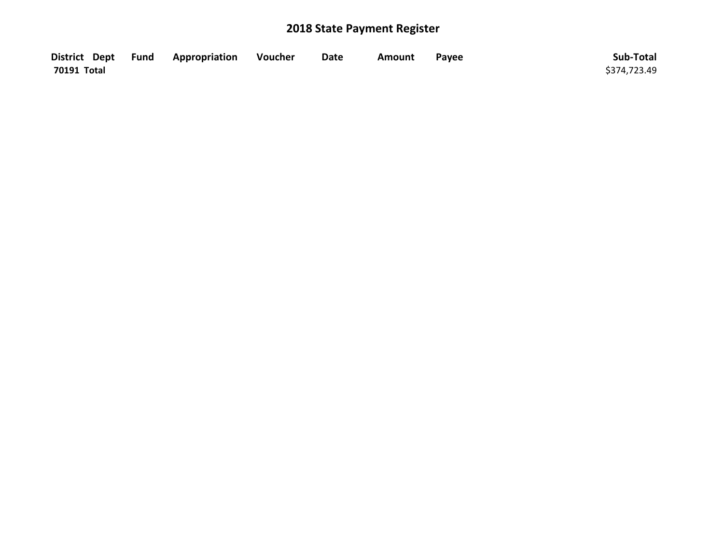|             | District Dept Fund Appropriation Voucher | Date | Amount | Payee | Sub-Total    |
|-------------|------------------------------------------|------|--------|-------|--------------|
| 70191 Total |                                          |      |        |       | \$374,723.49 |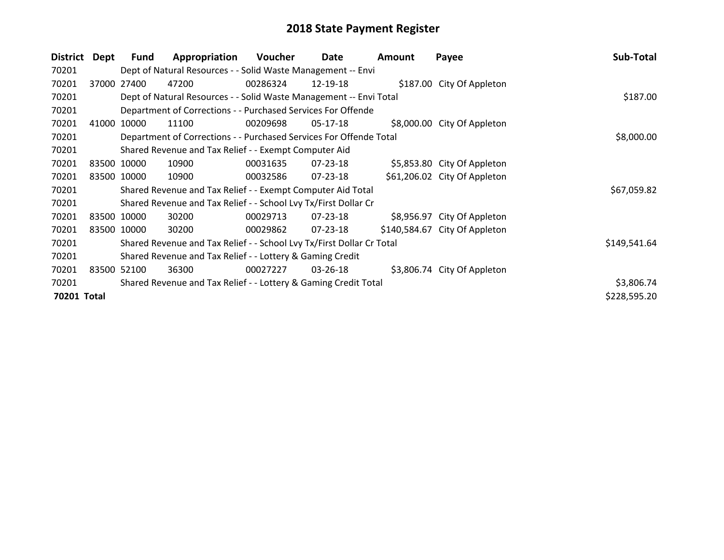| <b>District</b> | Dept  | <b>Fund</b> | Appropriation                                                         | Voucher  | Date           | Amount | Payee                         | Sub-Total    |
|-----------------|-------|-------------|-----------------------------------------------------------------------|----------|----------------|--------|-------------------------------|--------------|
| 70201           |       |             | Dept of Natural Resources - - Solid Waste Management -- Envi          |          |                |        |                               |              |
| 70201           | 37000 | 27400       | 47200                                                                 | 00286324 | 12-19-18       |        | \$187.00 City Of Appleton     |              |
| 70201           |       |             | Dept of Natural Resources - - Solid Waste Management -- Envi Total    |          |                |        |                               | \$187.00     |
| 70201           |       |             | Department of Corrections - - Purchased Services For Offende          |          |                |        |                               |              |
| 70201           | 41000 | 10000       | 11100                                                                 | 00209698 | 05-17-18       |        | \$8,000.00 City Of Appleton   |              |
| 70201           |       |             | Department of Corrections - - Purchased Services For Offende Total    |          |                |        |                               | \$8,000.00   |
| 70201           |       |             | Shared Revenue and Tax Relief - - Exempt Computer Aid                 |          |                |        |                               |              |
| 70201           |       | 83500 10000 | 10900                                                                 | 00031635 | $07 - 23 - 18$ |        | \$5,853.80 City Of Appleton   |              |
| 70201           |       | 83500 10000 | 10900                                                                 | 00032586 | 07-23-18       |        | \$61,206.02 City Of Appleton  |              |
| 70201           |       |             | Shared Revenue and Tax Relief - - Exempt Computer Aid Total           |          |                |        |                               | \$67,059.82  |
| 70201           |       |             | Shared Revenue and Tax Relief - - School Lvy Tx/First Dollar Cr       |          |                |        |                               |              |
| 70201           |       | 83500 10000 | 30200                                                                 | 00029713 | $07 - 23 - 18$ |        | \$8,956.97 City Of Appleton   |              |
| 70201           |       | 83500 10000 | 30200                                                                 | 00029862 | $07 - 23 - 18$ |        | \$140,584.67 City Of Appleton |              |
| 70201           |       |             | Shared Revenue and Tax Relief - - School Lvy Tx/First Dollar Cr Total |          |                |        |                               | \$149,541.64 |
| 70201           |       |             | Shared Revenue and Tax Relief - - Lottery & Gaming Credit             |          |                |        |                               |              |
| 70201           | 83500 | 52100       | 36300                                                                 | 00027227 | 03-26-18       |        | \$3,806.74 City Of Appleton   |              |
| 70201           |       |             | Shared Revenue and Tax Relief - - Lottery & Gaming Credit Total       |          |                |        |                               | \$3,806.74   |
| 70201 Total     |       |             |                                                                       |          |                |        |                               | \$228,595.20 |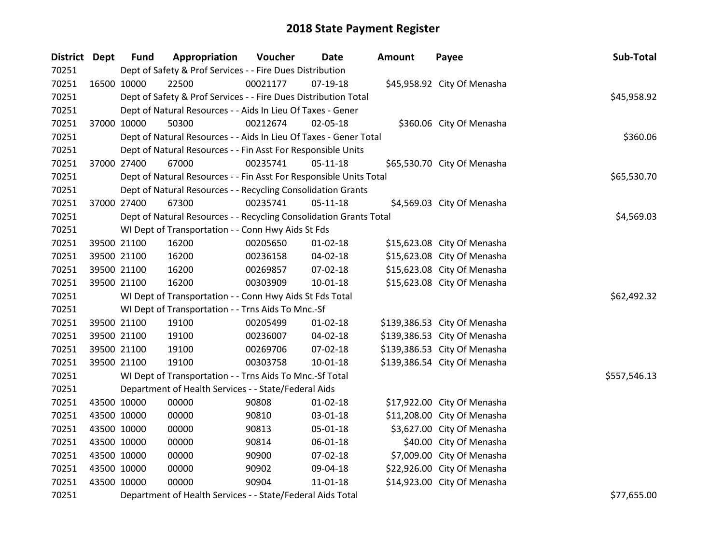| <b>District Dept</b> | <b>Fund</b> | Appropriation                                                      | Voucher  | Date           | Amount | Payee                        | Sub-Total    |
|----------------------|-------------|--------------------------------------------------------------------|----------|----------------|--------|------------------------------|--------------|
| 70251                |             | Dept of Safety & Prof Services - - Fire Dues Distribution          |          |                |        |                              |              |
| 70251                | 16500 10000 | 22500                                                              | 00021177 | $07-19-18$     |        | \$45,958.92 City Of Menasha  |              |
| 70251                |             | Dept of Safety & Prof Services - - Fire Dues Distribution Total    |          |                |        |                              | \$45,958.92  |
| 70251                |             | Dept of Natural Resources - - Aids In Lieu Of Taxes - Gener        |          |                |        |                              |              |
| 70251                | 37000 10000 | 50300                                                              | 00212674 | 02-05-18       |        | \$360.06 City Of Menasha     |              |
| 70251                |             | Dept of Natural Resources - - Aids In Lieu Of Taxes - Gener Total  |          |                |        |                              | \$360.06     |
| 70251                |             | Dept of Natural Resources - - Fin Asst For Responsible Units       |          |                |        |                              |              |
| 70251                | 37000 27400 | 67000                                                              | 00235741 | $05 - 11 - 18$ |        | \$65,530.70 City Of Menasha  |              |
| 70251                |             | Dept of Natural Resources - - Fin Asst For Responsible Units Total |          |                |        |                              | \$65,530.70  |
| 70251                |             | Dept of Natural Resources - - Recycling Consolidation Grants       |          |                |        |                              |              |
| 70251                | 37000 27400 | 67300                                                              | 00235741 | $05-11-18$     |        | \$4,569.03 City Of Menasha   |              |
| 70251                |             | Dept of Natural Resources - - Recycling Consolidation Grants Total |          |                |        |                              | \$4,569.03   |
| 70251                |             | WI Dept of Transportation - - Conn Hwy Aids St Fds                 |          |                |        |                              |              |
| 70251                | 39500 21100 | 16200                                                              | 00205650 | $01 - 02 - 18$ |        | \$15,623.08 City Of Menasha  |              |
| 70251                | 39500 21100 | 16200                                                              | 00236158 | 04-02-18       |        | \$15,623.08 City Of Menasha  |              |
| 70251                | 39500 21100 | 16200                                                              | 00269857 | 07-02-18       |        | \$15,623.08 City Of Menasha  |              |
| 70251                | 39500 21100 | 16200                                                              | 00303909 | $10 - 01 - 18$ |        | \$15,623.08 City Of Menasha  |              |
| 70251                |             | WI Dept of Transportation - - Conn Hwy Aids St Fds Total           |          |                |        |                              | \$62,492.32  |
| 70251                |             | WI Dept of Transportation - - Trns Aids To Mnc.-Sf                 |          |                |        |                              |              |
| 70251                | 39500 21100 | 19100                                                              | 00205499 | $01 - 02 - 18$ |        | \$139,386.53 City Of Menasha |              |
| 70251                | 39500 21100 | 19100                                                              | 00236007 | 04-02-18       |        | \$139,386.53 City Of Menasha |              |
| 70251                | 39500 21100 | 19100                                                              | 00269706 | 07-02-18       |        | \$139,386.53 City Of Menasha |              |
| 70251                | 39500 21100 | 19100                                                              | 00303758 | 10-01-18       |        | \$139,386.54 City Of Menasha |              |
| 70251                |             | WI Dept of Transportation - - Trns Aids To Mnc.-Sf Total           |          |                |        |                              | \$557,546.13 |
| 70251                |             | Department of Health Services - - State/Federal Aids               |          |                |        |                              |              |
| 70251                | 43500 10000 | 00000                                                              | 90808    | $01 - 02 - 18$ |        | \$17,922.00 City Of Menasha  |              |
| 70251                | 43500 10000 | 00000                                                              | 90810    | 03-01-18       |        | \$11,208.00 City Of Menasha  |              |
| 70251                | 43500 10000 | 00000                                                              | 90813    | $05 - 01 - 18$ |        | \$3,627.00 City Of Menasha   |              |
| 70251                | 43500 10000 | 00000                                                              | 90814    | 06-01-18       |        | \$40.00 City Of Menasha      |              |
| 70251                | 43500 10000 | 00000                                                              | 90900    | 07-02-18       |        | \$7,009.00 City Of Menasha   |              |
| 70251                | 43500 10000 | 00000                                                              | 90902    | 09-04-18       |        | \$22,926.00 City Of Menasha  |              |
| 70251                | 43500 10000 | 00000                                                              | 90904    | $11 - 01 - 18$ |        | \$14,923.00 City Of Menasha  |              |
| 70251                |             | Department of Health Services - - State/Federal Aids Total         |          |                |        |                              | \$77,655.00  |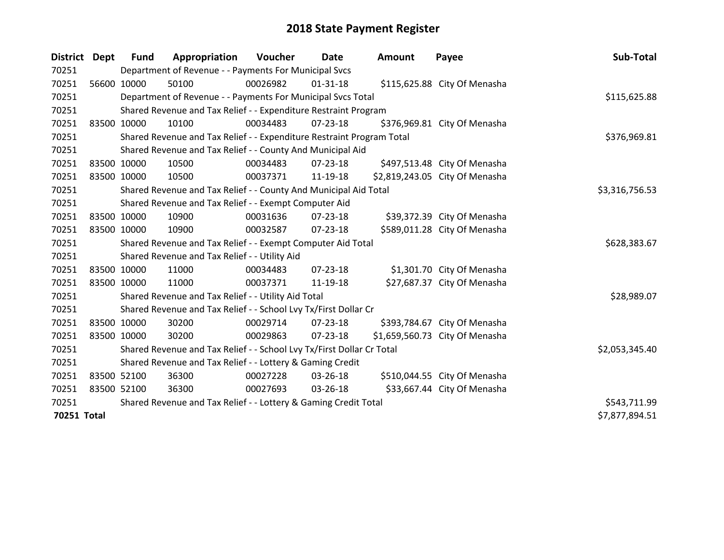| District Dept | Fund        | Appropriation                                                         | Voucher  | Date           | Amount | Payee                          | Sub-Total      |
|---------------|-------------|-----------------------------------------------------------------------|----------|----------------|--------|--------------------------------|----------------|
| 70251         |             | Department of Revenue - - Payments For Municipal Svcs                 |          |                |        |                                |                |
| 70251         | 56600 10000 | 50100                                                                 | 00026982 | $01 - 31 - 18$ |        | \$115,625.88 City Of Menasha   |                |
| 70251         |             | Department of Revenue - - Payments For Municipal Svcs Total           |          |                |        |                                | \$115,625.88   |
| 70251         |             | Shared Revenue and Tax Relief - - Expenditure Restraint Program       |          |                |        |                                |                |
| 70251         | 83500 10000 | 10100                                                                 | 00034483 | $07 - 23 - 18$ |        | \$376,969.81 City Of Menasha   |                |
| 70251         |             | Shared Revenue and Tax Relief - - Expenditure Restraint Program Total |          |                |        |                                | \$376,969.81   |
| 70251         |             | Shared Revenue and Tax Relief - - County And Municipal Aid            |          |                |        |                                |                |
| 70251         | 83500 10000 | 10500                                                                 | 00034483 | $07 - 23 - 18$ |        | \$497,513.48 City Of Menasha   |                |
| 70251         | 83500 10000 | 10500                                                                 | 00037371 | 11-19-18       |        | \$2,819,243.05 City Of Menasha |                |
| 70251         |             | Shared Revenue and Tax Relief - - County And Municipal Aid Total      |          |                |        |                                | \$3,316,756.53 |
| 70251         |             | Shared Revenue and Tax Relief - - Exempt Computer Aid                 |          |                |        |                                |                |
| 70251         | 83500 10000 | 10900                                                                 | 00031636 | 07-23-18       |        | \$39,372.39 City Of Menasha    |                |
| 70251         | 83500 10000 | 10900                                                                 | 00032587 | $07 - 23 - 18$ |        | \$589,011.28 City Of Menasha   |                |
| 70251         |             | Shared Revenue and Tax Relief - - Exempt Computer Aid Total           |          |                |        |                                | \$628,383.67   |
| 70251         |             | Shared Revenue and Tax Relief - - Utility Aid                         |          |                |        |                                |                |
| 70251         | 83500 10000 | 11000                                                                 | 00034483 | $07 - 23 - 18$ |        | \$1,301.70 City Of Menasha     |                |
| 70251         | 83500 10000 | 11000                                                                 | 00037371 | 11-19-18       |        | \$27,687.37 City Of Menasha    |                |
| 70251         |             | Shared Revenue and Tax Relief - - Utility Aid Total                   |          |                |        |                                | \$28,989.07    |
| 70251         |             | Shared Revenue and Tax Relief - - School Lvy Tx/First Dollar Cr       |          |                |        |                                |                |
| 70251         | 83500 10000 | 30200                                                                 | 00029714 | $07 - 23 - 18$ |        | \$393,784.67 City Of Menasha   |                |
| 70251         | 83500 10000 | 30200                                                                 | 00029863 | $07 - 23 - 18$ |        | \$1,659,560.73 City Of Menasha |                |
| 70251         |             | Shared Revenue and Tax Relief - - School Lvy Tx/First Dollar Cr Total |          |                |        |                                | \$2,053,345.40 |
| 70251         |             | Shared Revenue and Tax Relief - - Lottery & Gaming Credit             |          |                |        |                                |                |
| 70251         | 83500 52100 | 36300                                                                 | 00027228 | 03-26-18       |        | \$510,044.55 City Of Menasha   |                |
| 70251         | 83500 52100 | 36300                                                                 | 00027693 | 03-26-18       |        | \$33,667.44 City Of Menasha    |                |
| 70251         |             | Shared Revenue and Tax Relief - - Lottery & Gaming Credit Total       |          | \$543,711.99   |        |                                |                |
| 70251 Total   |             |                                                                       |          |                |        |                                | \$7,877,894.51 |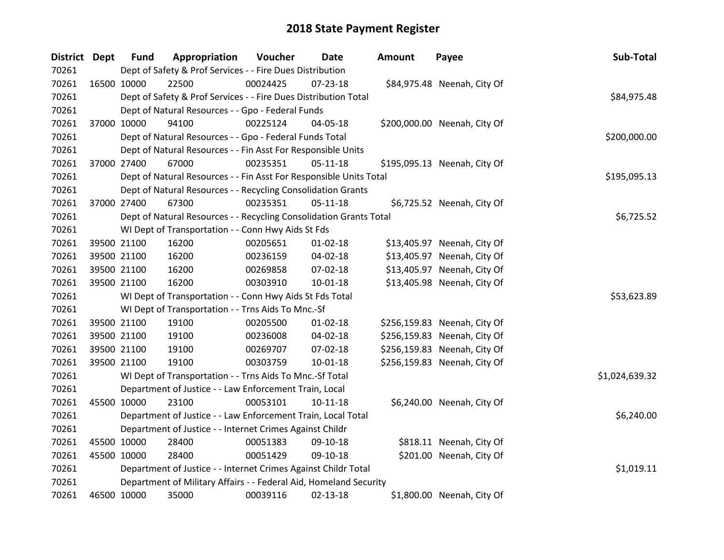| District Dept | <b>Fund</b>                                                  | Appropriation                                                      | Voucher  | Date           | <b>Amount</b> | Payee                        | Sub-Total      |
|---------------|--------------------------------------------------------------|--------------------------------------------------------------------|----------|----------------|---------------|------------------------------|----------------|
| 70261         |                                                              | Dept of Safety & Prof Services - - Fire Dues Distribution          |          |                |               |                              |                |
| 70261         | 16500 10000                                                  | 22500                                                              | 00024425 | 07-23-18       |               | \$84,975.48 Neenah, City Of  |                |
| 70261         |                                                              | Dept of Safety & Prof Services - - Fire Dues Distribution Total    |          |                |               |                              | \$84,975.48    |
| 70261         |                                                              | Dept of Natural Resources - - Gpo - Federal Funds                  |          |                |               |                              |                |
| 70261         | 37000 10000                                                  | 94100                                                              | 00225124 | 04-05-18       |               | \$200,000.00 Neenah, City Of |                |
| 70261         |                                                              | Dept of Natural Resources - - Gpo - Federal Funds Total            |          |                |               |                              | \$200,000.00   |
| 70261         |                                                              | Dept of Natural Resources - - Fin Asst For Responsible Units       |          |                |               |                              |                |
| 70261         | 37000 27400                                                  | 67000                                                              | 00235351 | $05-11-18$     |               | \$195,095.13 Neenah, City Of |                |
| 70261         |                                                              | Dept of Natural Resources - - Fin Asst For Responsible Units Total |          |                |               |                              | \$195,095.13   |
| 70261         | Dept of Natural Resources - - Recycling Consolidation Grants |                                                                    |          |                |               |                              |                |
| 70261         | 37000 27400                                                  | 67300                                                              | 00235351 | $05 - 11 - 18$ |               | \$6,725.52 Neenah, City Of   |                |
| 70261         |                                                              | Dept of Natural Resources - - Recycling Consolidation Grants Total |          |                |               |                              | \$6,725.52     |
| 70261         | WI Dept of Transportation - - Conn Hwy Aids St Fds           |                                                                    |          |                |               |                              |                |
| 70261         | 39500 21100                                                  | 16200                                                              | 00205651 | $01 - 02 - 18$ |               | \$13,405.97 Neenah, City Of  |                |
| 70261         | 39500 21100                                                  | 16200                                                              | 00236159 | 04-02-18       |               | \$13,405.97 Neenah, City Of  |                |
| 70261         | 39500 21100                                                  | 16200                                                              | 00269858 | 07-02-18       |               | \$13,405.97 Neenah, City Of  |                |
| 70261         | 39500 21100                                                  | 16200                                                              | 00303910 | $10 - 01 - 18$ |               | \$13,405.98 Neenah, City Of  |                |
| 70261         |                                                              | WI Dept of Transportation - - Conn Hwy Aids St Fds Total           |          |                |               |                              | \$53,623.89    |
| 70261         |                                                              | WI Dept of Transportation - - Trns Aids To Mnc.-Sf                 |          |                |               |                              |                |
| 70261         | 39500 21100                                                  | 19100                                                              | 00205500 | $01 - 02 - 18$ |               | \$256,159.83 Neenah, City Of |                |
| 70261         | 39500 21100                                                  | 19100                                                              | 00236008 | 04-02-18       |               | \$256,159.83 Neenah, City Of |                |
| 70261         | 39500 21100                                                  | 19100                                                              | 00269707 | 07-02-18       |               | \$256,159.83 Neenah, City Of |                |
| 70261         | 39500 21100                                                  | 19100                                                              | 00303759 | $10 - 01 - 18$ |               | \$256,159.83 Neenah, City Of |                |
| 70261         |                                                              | WI Dept of Transportation - - Trns Aids To Mnc.-Sf Total           |          |                |               |                              | \$1,024,639.32 |
| 70261         |                                                              | Department of Justice - - Law Enforcement Train, Local             |          |                |               |                              |                |
| 70261         | 45500 10000                                                  | 23100                                                              | 00053101 | $10-11-18$     |               | \$6,240.00 Neenah, City Of   |                |
| 70261         |                                                              | Department of Justice - - Law Enforcement Train, Local Total       |          |                |               |                              | \$6,240.00     |
| 70261         |                                                              | Department of Justice - - Internet Crimes Against Childr           |          |                |               |                              |                |
| 70261         | 45500 10000                                                  | 28400                                                              | 00051383 | 09-10-18       |               | \$818.11 Neenah, City Of     |                |
| 70261         | 45500 10000                                                  | 28400                                                              | 00051429 | 09-10-18       |               | \$201.00 Neenah, City Of     |                |
| 70261         |                                                              | Department of Justice - - Internet Crimes Against Childr Total     |          |                |               |                              | \$1,019.11     |
| 70261         |                                                              | Department of Military Affairs - - Federal Aid, Homeland Security  |          |                |               |                              |                |
| 70261         | 46500 10000                                                  | 35000                                                              | 00039116 | 02-13-18       |               | \$1,800.00 Neenah, City Of   |                |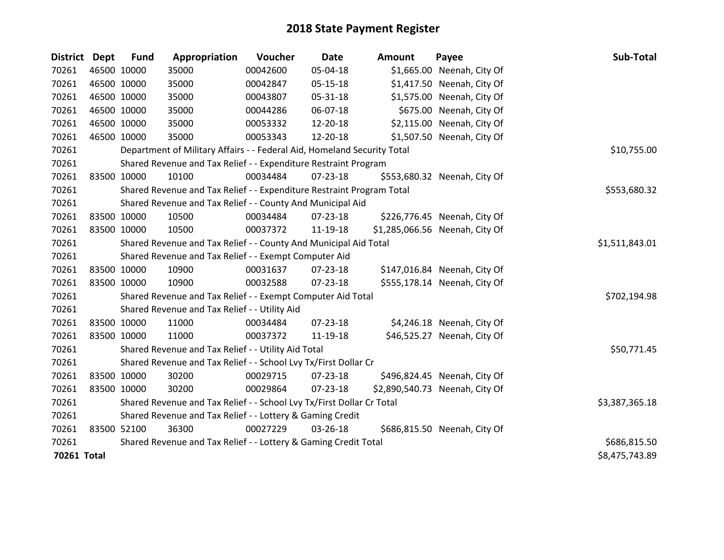| District Dept | <b>Fund</b> | Appropriation                                                           | Voucher        | <b>Date</b>    | <b>Amount</b> | Payee                          | Sub-Total      |
|---------------|-------------|-------------------------------------------------------------------------|----------------|----------------|---------------|--------------------------------|----------------|
| 70261         | 46500 10000 | 35000                                                                   | 00042600       | 05-04-18       |               | \$1,665.00 Neenah, City Of     |                |
| 70261         | 46500 10000 | 35000                                                                   | 00042847       | 05-15-18       |               | \$1,417.50 Neenah, City Of     |                |
| 70261         | 46500 10000 | 35000                                                                   | 00043807       | 05-31-18       |               | \$1,575.00 Neenah, City Of     |                |
| 70261         | 46500 10000 | 35000                                                                   | 00044286       | 06-07-18       |               | \$675.00 Neenah, City Of       |                |
| 70261         | 46500 10000 | 35000                                                                   | 00053332       | 12-20-18       |               | \$2,115.00 Neenah, City Of     |                |
| 70261         | 46500 10000 | 35000                                                                   | 00053343       | 12-20-18       |               | \$1,507.50 Neenah, City Of     |                |
| 70261         |             | Department of Military Affairs - - Federal Aid, Homeland Security Total |                |                |               |                                | \$10,755.00    |
| 70261         |             | Shared Revenue and Tax Relief - - Expenditure Restraint Program         |                |                |               |                                |                |
| 70261         | 83500 10000 | 10100                                                                   | 00034484       | 07-23-18       |               | \$553,680.32 Neenah, City Of   |                |
| 70261         |             | Shared Revenue and Tax Relief - - Expenditure Restraint Program Total   |                |                |               |                                | \$553,680.32   |
| 70261         |             | Shared Revenue and Tax Relief - - County And Municipal Aid              |                |                |               |                                |                |
| 70261         | 83500 10000 | 10500                                                                   | 00034484       | $07 - 23 - 18$ |               | \$226,776.45 Neenah, City Of   |                |
| 70261         | 83500 10000 | 10500                                                                   | 00037372       | 11-19-18       |               | \$1,285,066.56 Neenah, City Of |                |
| 70261         |             | Shared Revenue and Tax Relief - - County And Municipal Aid Total        |                |                |               |                                | \$1,511,843.01 |
| 70261         |             | Shared Revenue and Tax Relief - - Exempt Computer Aid                   |                |                |               |                                |                |
| 70261         | 83500 10000 | 10900                                                                   | 00031637       | 07-23-18       |               | \$147,016.84 Neenah, City Of   |                |
| 70261         | 83500 10000 | 10900                                                                   | 00032588       | 07-23-18       |               | \$555,178.14 Neenah, City Of   |                |
| 70261         |             | Shared Revenue and Tax Relief - - Exempt Computer Aid Total             |                |                |               |                                | \$702,194.98   |
| 70261         |             | Shared Revenue and Tax Relief - - Utility Aid                           |                |                |               |                                |                |
| 70261         | 83500 10000 | 11000                                                                   | 00034484       | $07 - 23 - 18$ |               | \$4,246.18 Neenah, City Of     |                |
| 70261         | 83500 10000 | 11000                                                                   | 00037372       | 11-19-18       |               | \$46,525.27 Neenah, City Of    |                |
| 70261         |             | Shared Revenue and Tax Relief - - Utility Aid Total                     |                |                |               |                                | \$50,771.45    |
| 70261         |             | Shared Revenue and Tax Relief - - School Lvy Tx/First Dollar Cr         |                |                |               |                                |                |
| 70261         | 83500 10000 | 30200                                                                   | 00029715       | 07-23-18       |               | \$496,824.45 Neenah, City Of   |                |
| 70261         | 83500 10000 | 30200                                                                   | 00029864       | $07 - 23 - 18$ |               | \$2,890,540.73 Neenah, City Of |                |
| 70261         |             | Shared Revenue and Tax Relief - - School Lvy Tx/First Dollar Cr Total   | \$3,387,365.18 |                |               |                                |                |
| 70261         |             | Shared Revenue and Tax Relief - - Lottery & Gaming Credit               |                |                |               |                                |                |
| 70261         | 83500 52100 | 36300                                                                   | 00027229       | 03-26-18       |               | \$686,815.50 Neenah, City Of   |                |
| 70261         |             | Shared Revenue and Tax Relief - - Lottery & Gaming Credit Total         |                |                |               |                                | \$686,815.50   |
| 70261 Total   |             |                                                                         |                |                |               |                                | \$8,475,743.89 |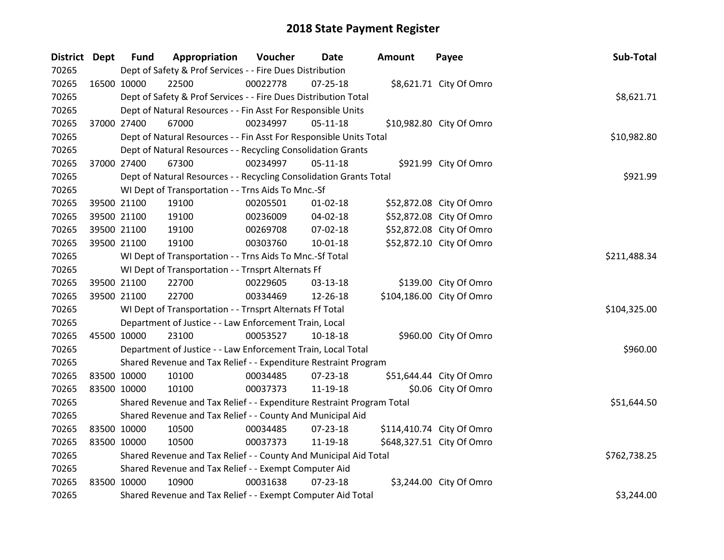| District Dept |             | <b>Fund</b>                                              | Appropriation                                                         | Voucher      | Date           | <b>Amount</b> | Payee                     | Sub-Total    |
|---------------|-------------|----------------------------------------------------------|-----------------------------------------------------------------------|--------------|----------------|---------------|---------------------------|--------------|
| 70265         |             |                                                          | Dept of Safety & Prof Services - - Fire Dues Distribution             |              |                |               |                           |              |
| 70265         | 16500 10000 |                                                          | 22500                                                                 | 00022778     | $07 - 25 - 18$ |               | \$8,621.71 City Of Omro   |              |
| 70265         |             |                                                          | Dept of Safety & Prof Services - - Fire Dues Distribution Total       |              |                |               |                           | \$8,621.71   |
| 70265         |             |                                                          | Dept of Natural Resources - - Fin Asst For Responsible Units          |              |                |               |                           |              |
| 70265         |             | 37000 27400                                              | 67000                                                                 | 00234997     | $05 - 11 - 18$ |               | \$10,982.80 City Of Omro  |              |
| 70265         |             |                                                          | Dept of Natural Resources - - Fin Asst For Responsible Units Total    |              |                |               |                           | \$10,982.80  |
| 70265         |             |                                                          | Dept of Natural Resources - - Recycling Consolidation Grants          |              |                |               |                           |              |
| 70265         | 37000 27400 |                                                          | 67300                                                                 | 00234997     | $05 - 11 - 18$ |               | \$921.99 City Of Omro     |              |
| 70265         |             |                                                          | Dept of Natural Resources - - Recycling Consolidation Grants Total    |              | \$921.99       |               |                           |              |
| 70265         |             |                                                          | WI Dept of Transportation - - Trns Aids To Mnc.-Sf                    |              |                |               |                           |              |
| 70265         |             | 39500 21100                                              | 19100                                                                 | 00205501     | $01 - 02 - 18$ |               | \$52,872.08 City Of Omro  |              |
| 70265         |             | 39500 21100                                              | 19100                                                                 | 00236009     | 04-02-18       |               | \$52,872.08 City Of Omro  |              |
| 70265         |             | 39500 21100                                              | 19100                                                                 | 00269708     | 07-02-18       |               | \$52,872.08 City Of Omro  |              |
| 70265         |             | 39500 21100                                              | 19100                                                                 | 00303760     | 10-01-18       |               | \$52,872.10 City Of Omro  |              |
| 70265         |             | WI Dept of Transportation - - Trns Aids To Mnc.-Sf Total | \$211,488.34                                                          |              |                |               |                           |              |
| 70265         |             | WI Dept of Transportation - - Trnsprt Alternats Ff       |                                                                       |              |                |               |                           |              |
| 70265         |             | 39500 21100                                              | 22700                                                                 | 00229605     | 03-13-18       |               | \$139.00 City Of Omro     |              |
| 70265         |             | 39500 21100                                              | 22700                                                                 | 00334469     | 12-26-18       |               | \$104,186.00 City Of Omro |              |
| 70265         |             |                                                          | WI Dept of Transportation - - Trnsprt Alternats Ff Total              |              |                |               |                           | \$104,325.00 |
| 70265         |             |                                                          | Department of Justice - - Law Enforcement Train, Local                |              |                |               |                           |              |
| 70265         | 45500 10000 |                                                          | 23100                                                                 | 00053527     | 10-18-18       |               | \$960.00 City Of Omro     |              |
| 70265         |             |                                                          | Department of Justice - - Law Enforcement Train, Local Total          |              |                |               |                           | \$960.00     |
| 70265         |             |                                                          | Shared Revenue and Tax Relief - - Expenditure Restraint Program       |              |                |               |                           |              |
| 70265         |             | 83500 10000                                              | 10100                                                                 | 00034485     | 07-23-18       |               | \$51,644.44 City Of Omro  |              |
| 70265         | 83500 10000 |                                                          | 10100                                                                 | 00037373     | 11-19-18       |               | \$0.06 City Of Omro       |              |
| 70265         |             |                                                          | Shared Revenue and Tax Relief - - Expenditure Restraint Program Total |              |                |               |                           | \$51,644.50  |
| 70265         |             |                                                          | Shared Revenue and Tax Relief - - County And Municipal Aid            |              |                |               |                           |              |
| 70265         | 83500 10000 |                                                          | 10500                                                                 | 00034485     | 07-23-18       |               | \$114,410.74 City Of Omro |              |
| 70265         | 83500 10000 |                                                          | 10500                                                                 | 00037373     | 11-19-18       |               | \$648,327.51 City Of Omro |              |
| 70265         |             |                                                          | Shared Revenue and Tax Relief - - County And Municipal Aid Total      | \$762,738.25 |                |               |                           |              |
| 70265         |             |                                                          | Shared Revenue and Tax Relief - - Exempt Computer Aid                 |              |                |               |                           |              |
| 70265         | 83500 10000 |                                                          | 10900                                                                 | 00031638     | $07 - 23 - 18$ |               | \$3,244.00 City Of Omro   |              |
| 70265         |             |                                                          | Shared Revenue and Tax Relief - - Exempt Computer Aid Total           |              |                |               |                           | \$3,244.00   |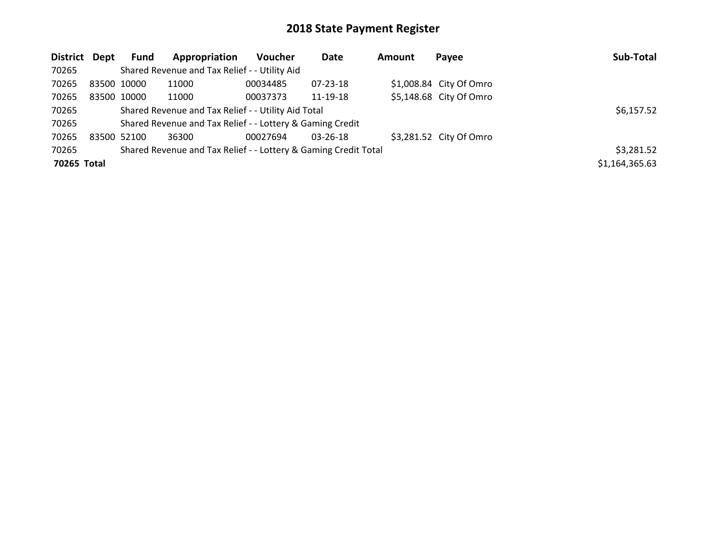| District Dept |             | <b>Fund</b> | Appropriation                                                   | <b>Voucher</b> | Date           | <b>Amount</b> | Payee                   | Sub-Total      |
|---------------|-------------|-------------|-----------------------------------------------------------------|----------------|----------------|---------------|-------------------------|----------------|
| 70265         |             |             | Shared Revenue and Tax Relief - - Utility Aid                   |                |                |               |                         |                |
| 70265         |             | 83500 10000 | 11000                                                           | 00034485       | $07 - 23 - 18$ |               | \$1,008.84 City Of Omro |                |
| 70265         |             | 83500 10000 | 11000                                                           | 00037373       | 11-19-18       |               | \$5,148.68 City Of Omro |                |
| 70265         |             |             | Shared Revenue and Tax Relief - - Utility Aid Total             |                |                |               |                         | \$6,157.52     |
| 70265         |             |             | Shared Revenue and Tax Relief - - Lottery & Gaming Credit       |                |                |               |                         |                |
| 70265         | 83500 52100 |             | 36300                                                           | 00027694       | $03 - 26 - 18$ |               | \$3,281.52 City Of Omro |                |
| 70265         |             |             | Shared Revenue and Tax Relief - - Lottery & Gaming Credit Total |                |                |               |                         | \$3,281.52     |
| 70265 Total   |             |             |                                                                 |                |                |               |                         | \$1,164,365.63 |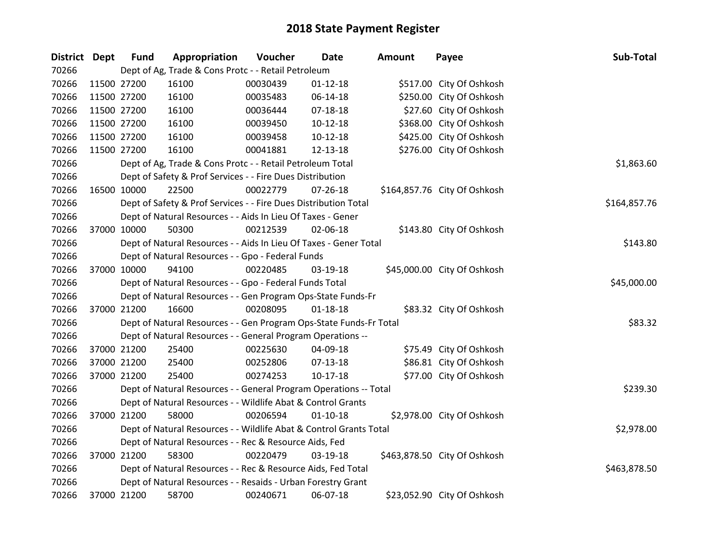| <b>District Dept</b> | <b>Fund</b> | Appropriation                                                      | Voucher  | <b>Date</b>    | Amount | Payee                        | Sub-Total    |
|----------------------|-------------|--------------------------------------------------------------------|----------|----------------|--------|------------------------------|--------------|
| 70266                |             | Dept of Ag, Trade & Cons Protc - - Retail Petroleum                |          |                |        |                              |              |
| 70266                | 11500 27200 | 16100                                                              | 00030439 | $01 - 12 - 18$ |        | \$517.00 City Of Oshkosh     |              |
| 70266                | 11500 27200 | 16100                                                              | 00035483 | 06-14-18       |        | \$250.00 City Of Oshkosh     |              |
| 70266                | 11500 27200 | 16100                                                              | 00036444 | $07-18-18$     |        | \$27.60 City Of Oshkosh      |              |
| 70266                | 11500 27200 | 16100                                                              | 00039450 | $10-12-18$     |        | \$368.00 City Of Oshkosh     |              |
| 70266                | 11500 27200 | 16100                                                              | 00039458 | $10-12-18$     |        | \$425.00 City Of Oshkosh     |              |
| 70266                | 11500 27200 | 16100                                                              | 00041881 | 12-13-18       |        | \$276.00 City Of Oshkosh     |              |
| 70266                |             | Dept of Ag, Trade & Cons Protc - - Retail Petroleum Total          |          |                |        |                              | \$1,863.60   |
| 70266                |             | Dept of Safety & Prof Services - - Fire Dues Distribution          |          |                |        |                              |              |
| 70266                | 16500 10000 | 22500                                                              | 00022779 | $07 - 26 - 18$ |        | \$164,857.76 City Of Oshkosh |              |
| 70266                |             | Dept of Safety & Prof Services - - Fire Dues Distribution Total    |          |                |        |                              | \$164,857.76 |
| 70266                |             | Dept of Natural Resources - - Aids In Lieu Of Taxes - Gener        |          |                |        |                              |              |
| 70266                | 37000 10000 | 50300                                                              | 00212539 | 02-06-18       |        | \$143.80 City Of Oshkosh     |              |
| 70266                |             | Dept of Natural Resources - - Aids In Lieu Of Taxes - Gener Total  |          |                |        |                              | \$143.80     |
| 70266                |             | Dept of Natural Resources - - Gpo - Federal Funds                  |          |                |        |                              |              |
| 70266                | 37000 10000 | 94100                                                              | 00220485 | 03-19-18       |        | \$45,000.00 City Of Oshkosh  |              |
| 70266                |             | Dept of Natural Resources - - Gpo - Federal Funds Total            |          |                |        |                              | \$45,000.00  |
| 70266                |             | Dept of Natural Resources - - Gen Program Ops-State Funds-Fr       |          |                |        |                              |              |
| 70266                | 37000 21200 | 16600                                                              | 00208095 | $01 - 18 - 18$ |        | \$83.32 City Of Oshkosh      |              |
| 70266                |             | Dept of Natural Resources - - Gen Program Ops-State Funds-Fr Total |          |                |        |                              | \$83.32      |
| 70266                |             | Dept of Natural Resources - - General Program Operations --        |          |                |        |                              |              |
| 70266                | 37000 21200 | 25400                                                              | 00225630 | 04-09-18       |        | \$75.49 City Of Oshkosh      |              |
| 70266                | 37000 21200 | 25400                                                              | 00252806 | 07-13-18       |        | \$86.81 City Of Oshkosh      |              |
| 70266                | 37000 21200 | 25400                                                              | 00274253 | $10-17-18$     |        | \$77.00 City Of Oshkosh      |              |
| 70266                |             | Dept of Natural Resources - - General Program Operations -- Total  |          |                |        |                              | \$239.30     |
| 70266                |             | Dept of Natural Resources - - Wildlife Abat & Control Grants       |          |                |        |                              |              |
| 70266                | 37000 21200 | 58000                                                              | 00206594 | $01 - 10 - 18$ |        | \$2,978.00 City Of Oshkosh   |              |
| 70266                |             | Dept of Natural Resources - - Wildlife Abat & Control Grants Total |          |                |        |                              | \$2,978.00   |
| 70266                |             | Dept of Natural Resources - - Rec & Resource Aids, Fed             |          |                |        |                              |              |
| 70266                | 37000 21200 | 58300                                                              | 00220479 | $03-19-18$     |        | \$463,878.50 City Of Oshkosh |              |
| 70266                |             | Dept of Natural Resources - - Rec & Resource Aids, Fed Total       |          |                |        |                              | \$463,878.50 |
| 70266                |             | Dept of Natural Resources - - Resaids - Urban Forestry Grant       |          |                |        |                              |              |
| 70266                | 37000 21200 | 58700                                                              | 00240671 | 06-07-18       |        | \$23,052.90 City Of Oshkosh  |              |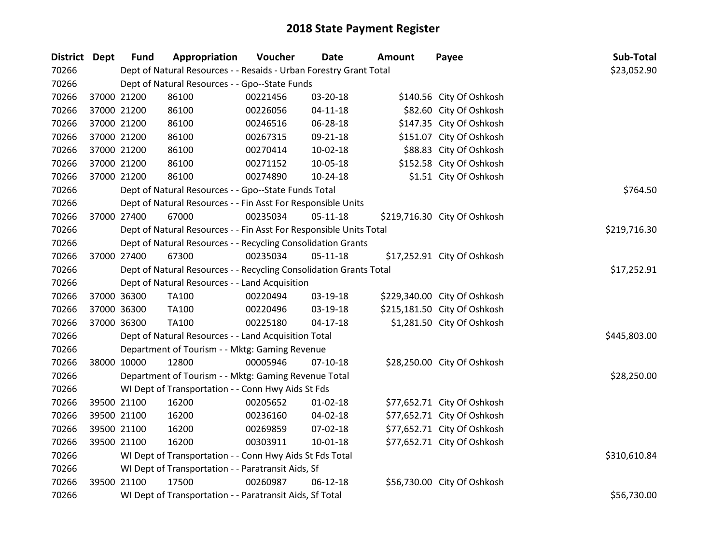| District Dept | <b>Fund</b> | Appropriation                                                      | Voucher     | <b>Date</b>    | <b>Amount</b> | Payee                        | Sub-Total    |
|---------------|-------------|--------------------------------------------------------------------|-------------|----------------|---------------|------------------------------|--------------|
| 70266         |             | Dept of Natural Resources - - Resaids - Urban Forestry Grant Total |             |                |               |                              | \$23,052.90  |
| 70266         |             | Dept of Natural Resources - - Gpo--State Funds                     |             |                |               |                              |              |
| 70266         | 37000 21200 | 86100                                                              | 00221456    | 03-20-18       |               | \$140.56 City Of Oshkosh     |              |
| 70266         | 37000 21200 | 86100                                                              | 00226056    | $04 - 11 - 18$ |               | \$82.60 City Of Oshkosh      |              |
| 70266         | 37000 21200 | 86100                                                              | 00246516    | 06-28-18       |               | \$147.35 City Of Oshkosh     |              |
| 70266         | 37000 21200 | 86100                                                              | 00267315    | 09-21-18       |               | \$151.07 City Of Oshkosh     |              |
| 70266         | 37000 21200 | 86100                                                              | 00270414    | 10-02-18       |               | \$88.83 City Of Oshkosh      |              |
| 70266         | 37000 21200 | 86100                                                              | 00271152    | 10-05-18       |               | \$152.58 City Of Oshkosh     |              |
| 70266         | 37000 21200 | 86100                                                              | 00274890    | 10-24-18       |               | \$1.51 City Of Oshkosh       |              |
| 70266         |             | Dept of Natural Resources - - Gpo--State Funds Total               |             |                |               |                              | \$764.50     |
| 70266         |             | Dept of Natural Resources - - Fin Asst For Responsible Units       |             |                |               |                              |              |
| 70266         | 37000 27400 | 67000                                                              | 00235034    | $05 - 11 - 18$ |               | \$219,716.30 City Of Oshkosh |              |
| 70266         |             | Dept of Natural Resources - - Fin Asst For Responsible Units Total |             |                |               |                              | \$219,716.30 |
| 70266         |             | Dept of Natural Resources - - Recycling Consolidation Grants       |             |                |               |                              |              |
| 70266         | 37000 27400 | 67300                                                              | 00235034    | $05 - 11 - 18$ |               | \$17,252.91 City Of Oshkosh  |              |
| 70266         |             | Dept of Natural Resources - - Recycling Consolidation Grants Total | \$17,252.91 |                |               |                              |              |
| 70266         |             | Dept of Natural Resources - - Land Acquisition                     |             |                |               |                              |              |
| 70266         | 37000 36300 | TA100                                                              | 00220494    | 03-19-18       |               | \$229,340.00 City Of Oshkosh |              |
| 70266         | 37000 36300 | TA100                                                              | 00220496    | 03-19-18       |               | \$215,181.50 City Of Oshkosh |              |
| 70266         | 37000 36300 | <b>TA100</b>                                                       | 00225180    | $04-17-18$     |               | \$1,281.50 City Of Oshkosh   |              |
| 70266         |             | Dept of Natural Resources - - Land Acquisition Total               |             |                |               |                              | \$445,803.00 |
| 70266         |             | Department of Tourism - - Mktg: Gaming Revenue                     |             |                |               |                              |              |
| 70266         | 38000 10000 | 12800                                                              | 00005946    | $07-10-18$     |               | \$28,250.00 City Of Oshkosh  |              |
| 70266         |             | Department of Tourism - - Mktg: Gaming Revenue Total               |             |                |               |                              | \$28,250.00  |
| 70266         |             | WI Dept of Transportation - - Conn Hwy Aids St Fds                 |             |                |               |                              |              |
| 70266         | 39500 21100 | 16200                                                              | 00205652    | $01 - 02 - 18$ |               | \$77,652.71 City Of Oshkosh  |              |
| 70266         | 39500 21100 | 16200                                                              | 00236160    | 04-02-18       |               | \$77,652.71 City Of Oshkosh  |              |
| 70266         | 39500 21100 | 16200                                                              | 00269859    | 07-02-18       |               | \$77,652.71 City Of Oshkosh  |              |
| 70266         | 39500 21100 | 16200                                                              | 00303911    | $10-01-18$     |               | \$77,652.71 City Of Oshkosh  |              |
| 70266         |             | WI Dept of Transportation - - Conn Hwy Aids St Fds Total           |             |                |               |                              | \$310,610.84 |
| 70266         |             | WI Dept of Transportation - - Paratransit Aids, Sf                 |             |                |               |                              |              |
| 70266         | 39500 21100 | 17500                                                              | 00260987    | $06-12-18$     |               | \$56,730.00 City Of Oshkosh  |              |
| 70266         |             | WI Dept of Transportation - - Paratransit Aids, Sf Total           |             |                |               |                              | \$56,730.00  |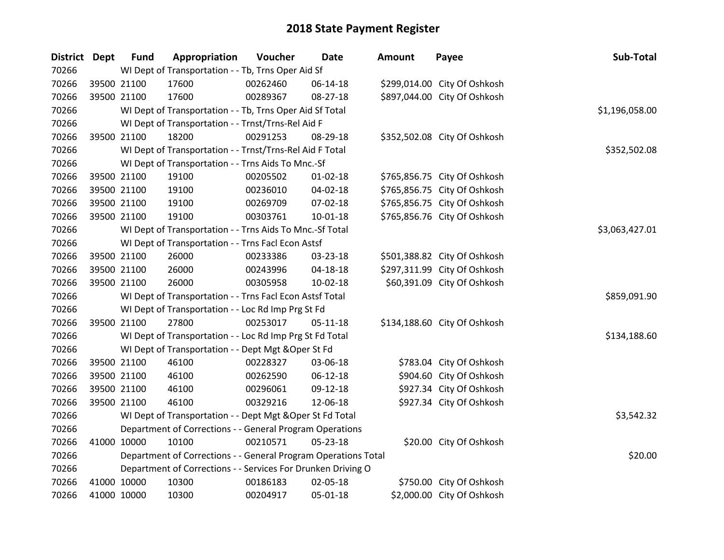| District Dept |             | <b>Fund</b> | Appropriation                                                  | Voucher  | <b>Date</b>    | <b>Amount</b> | Payee                        | Sub-Total      |
|---------------|-------------|-------------|----------------------------------------------------------------|----------|----------------|---------------|------------------------------|----------------|
| 70266         |             |             | WI Dept of Transportation - - Tb, Trns Oper Aid Sf             |          |                |               |                              |                |
| 70266         |             | 39500 21100 | 17600                                                          | 00262460 | 06-14-18       |               | \$299,014.00 City Of Oshkosh |                |
| 70266         |             | 39500 21100 | 17600                                                          | 00289367 | 08-27-18       |               | \$897,044.00 City Of Oshkosh |                |
| 70266         |             |             | WI Dept of Transportation - - Tb, Trns Oper Aid Sf Total       |          |                |               |                              | \$1,196,058.00 |
| 70266         |             |             | WI Dept of Transportation - - Trnst/Trns-Rel Aid F             |          |                |               |                              |                |
| 70266         |             | 39500 21100 | 18200                                                          | 00291253 | 08-29-18       |               | \$352,502.08 City Of Oshkosh |                |
| 70266         |             |             | WI Dept of Transportation - - Trnst/Trns-Rel Aid F Total       |          |                |               |                              | \$352,502.08   |
| 70266         |             |             | WI Dept of Transportation - - Trns Aids To Mnc.-Sf             |          |                |               |                              |                |
| 70266         |             | 39500 21100 | 19100                                                          | 00205502 | $01 - 02 - 18$ |               | \$765,856.75 City Of Oshkosh |                |
| 70266         |             | 39500 21100 | 19100                                                          | 00236010 | 04-02-18       |               | \$765,856.75 City Of Oshkosh |                |
| 70266         |             | 39500 21100 | 19100                                                          | 00269709 | 07-02-18       |               | \$765,856.75 City Of Oshkosh |                |
| 70266         |             | 39500 21100 | 19100                                                          | 00303761 | $10 - 01 - 18$ |               | \$765,856.76 City Of Oshkosh |                |
| 70266         |             |             | WI Dept of Transportation - - Trns Aids To Mnc.-Sf Total       |          |                |               |                              | \$3,063,427.01 |
| 70266         |             |             | WI Dept of Transportation - - Trns Facl Econ Astsf             |          |                |               |                              |                |
| 70266         |             | 39500 21100 | 26000                                                          | 00233386 | 03-23-18       |               | \$501,388.82 City Of Oshkosh |                |
| 70266         |             | 39500 21100 | 26000                                                          | 00243996 | $04 - 18 - 18$ |               | \$297,311.99 City Of Oshkosh |                |
| 70266         |             | 39500 21100 | 26000                                                          | 00305958 | 10-02-18       |               | \$60,391.09 City Of Oshkosh  |                |
| 70266         |             |             | WI Dept of Transportation - - Trns Facl Econ Astsf Total       |          |                |               |                              | \$859,091.90   |
| 70266         |             |             | WI Dept of Transportation - - Loc Rd Imp Prg St Fd             |          |                |               |                              |                |
| 70266         |             | 39500 21100 | 27800                                                          | 00253017 | $05 - 11 - 18$ |               | \$134,188.60 City Of Oshkosh |                |
| 70266         |             |             | WI Dept of Transportation - - Loc Rd Imp Prg St Fd Total       |          |                |               |                              | \$134,188.60   |
| 70266         |             |             | WI Dept of Transportation - - Dept Mgt & Oper St Fd            |          |                |               |                              |                |
| 70266         |             | 39500 21100 | 46100                                                          | 00228327 | 03-06-18       |               | \$783.04 City Of Oshkosh     |                |
| 70266         |             | 39500 21100 | 46100                                                          | 00262590 | 06-12-18       |               | \$904.60 City Of Oshkosh     |                |
| 70266         |             | 39500 21100 | 46100                                                          | 00296061 | 09-12-18       |               | \$927.34 City Of Oshkosh     |                |
| 70266         |             | 39500 21100 | 46100                                                          | 00329216 | 12-06-18       |               | \$927.34 City Of Oshkosh     |                |
| 70266         |             |             | WI Dept of Transportation - - Dept Mgt & Oper St Fd Total      |          |                |               |                              | \$3,542.32     |
| 70266         |             |             | Department of Corrections - - General Program Operations       |          |                |               |                              |                |
| 70266         | 41000 10000 |             | 10100                                                          | 00210571 | 05-23-18       |               | \$20.00 City Of Oshkosh      |                |
| 70266         |             |             | Department of Corrections - - General Program Operations Total |          |                |               |                              | \$20.00        |
| 70266         |             |             | Department of Corrections - - Services For Drunken Driving O   |          |                |               |                              |                |
| 70266         |             | 41000 10000 | 10300                                                          | 00186183 | 02-05-18       |               | \$750.00 City Of Oshkosh     |                |
| 70266         | 41000 10000 |             | 10300                                                          | 00204917 | 05-01-18       |               | \$2,000.00 City Of Oshkosh   |                |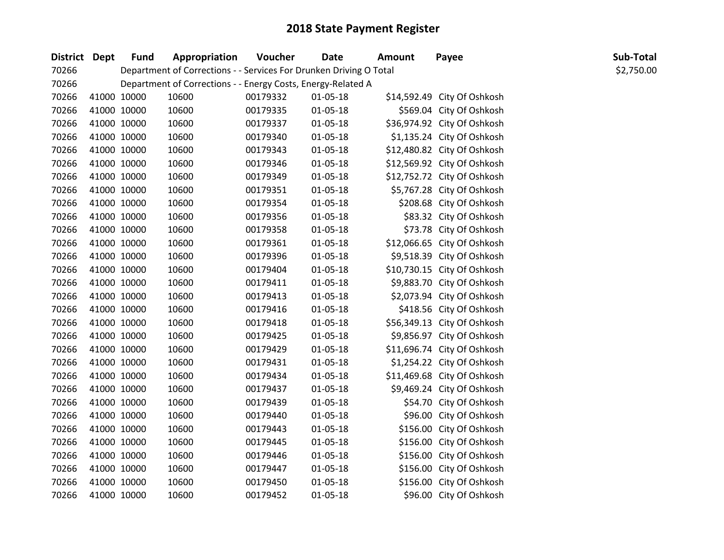| District Dept | <b>Fund</b> | Appropriation                                                      | Voucher  | <b>Date</b>    | <b>Amount</b> | Payee                       | Sub-Total  |
|---------------|-------------|--------------------------------------------------------------------|----------|----------------|---------------|-----------------------------|------------|
| 70266         |             | Department of Corrections - - Services For Drunken Driving O Total |          |                |               |                             | \$2,750.00 |
| 70266         |             | Department of Corrections - - Energy Costs, Energy-Related A       |          |                |               |                             |            |
| 70266         | 41000 10000 | 10600                                                              | 00179332 | 01-05-18       |               | \$14,592.49 City Of Oshkosh |            |
| 70266         | 41000 10000 | 10600                                                              | 00179335 | 01-05-18       |               | \$569.04 City Of Oshkosh    |            |
| 70266         | 41000 10000 | 10600                                                              | 00179337 | 01-05-18       |               | \$36,974.92 City Of Oshkosh |            |
| 70266         | 41000 10000 | 10600                                                              | 00179340 | $01 - 05 - 18$ |               | \$1,135.24 City Of Oshkosh  |            |
| 70266         | 41000 10000 | 10600                                                              | 00179343 | 01-05-18       |               | \$12,480.82 City Of Oshkosh |            |
| 70266         | 41000 10000 | 10600                                                              | 00179346 | $01 - 05 - 18$ |               | \$12,569.92 City Of Oshkosh |            |
| 70266         | 41000 10000 | 10600                                                              | 00179349 | $01 - 05 - 18$ |               | \$12,752.72 City Of Oshkosh |            |
| 70266         | 41000 10000 | 10600                                                              | 00179351 | 01-05-18       |               | \$5,767.28 City Of Oshkosh  |            |
| 70266         | 41000 10000 | 10600                                                              | 00179354 | 01-05-18       |               | \$208.68 City Of Oshkosh    |            |
| 70266         | 41000 10000 | 10600                                                              | 00179356 | $01 - 05 - 18$ |               | \$83.32 City Of Oshkosh     |            |
| 70266         | 41000 10000 | 10600                                                              | 00179358 | 01-05-18       |               | \$73.78 City Of Oshkosh     |            |
| 70266         | 41000 10000 | 10600                                                              | 00179361 | $01 - 05 - 18$ |               | \$12,066.65 City Of Oshkosh |            |
| 70266         | 41000 10000 | 10600                                                              | 00179396 | 01-05-18       |               | \$9,518.39 City Of Oshkosh  |            |
| 70266         | 41000 10000 | 10600                                                              | 00179404 | 01-05-18       |               | \$10,730.15 City Of Oshkosh |            |
| 70266         | 41000 10000 | 10600                                                              | 00179411 | $01 - 05 - 18$ |               | \$9,883.70 City Of Oshkosh  |            |
| 70266         | 41000 10000 | 10600                                                              | 00179413 | 01-05-18       |               | \$2,073.94 City Of Oshkosh  |            |
| 70266         | 41000 10000 | 10600                                                              | 00179416 | 01-05-18       |               | \$418.56 City Of Oshkosh    |            |
| 70266         | 41000 10000 | 10600                                                              | 00179418 | $01 - 05 - 18$ |               | \$56,349.13 City Of Oshkosh |            |
| 70266         | 41000 10000 | 10600                                                              | 00179425 | 01-05-18       |               | \$9,856.97 City Of Oshkosh  |            |
| 70266         | 41000 10000 | 10600                                                              | 00179429 | 01-05-18       |               | \$11,696.74 City Of Oshkosh |            |
| 70266         | 41000 10000 | 10600                                                              | 00179431 | $01 - 05 - 18$ |               | \$1,254.22 City Of Oshkosh  |            |
| 70266         | 41000 10000 | 10600                                                              | 00179434 | 01-05-18       |               | \$11,469.68 City Of Oshkosh |            |
| 70266         | 41000 10000 | 10600                                                              | 00179437 | $01 - 05 - 18$ |               | \$9,469.24 City Of Oshkosh  |            |
| 70266         | 41000 10000 | 10600                                                              | 00179439 | $01 - 05 - 18$ |               | \$54.70 City Of Oshkosh     |            |
| 70266         | 41000 10000 | 10600                                                              | 00179440 | 01-05-18       |               | \$96.00 City Of Oshkosh     |            |
| 70266         | 41000 10000 | 10600                                                              | 00179443 | $01 - 05 - 18$ |               | \$156.00 City Of Oshkosh    |            |
| 70266         | 41000 10000 | 10600                                                              | 00179445 | 01-05-18       |               | \$156.00 City Of Oshkosh    |            |
| 70266         | 41000 10000 | 10600                                                              | 00179446 | 01-05-18       |               | \$156.00 City Of Oshkosh    |            |
| 70266         | 41000 10000 | 10600                                                              | 00179447 | $01 - 05 - 18$ |               | \$156.00 City Of Oshkosh    |            |
| 70266         | 41000 10000 | 10600                                                              | 00179450 | 01-05-18       |               | \$156.00 City Of Oshkosh    |            |
| 70266         | 41000 10000 | 10600                                                              | 00179452 | 01-05-18       |               | \$96.00 City Of Oshkosh     |            |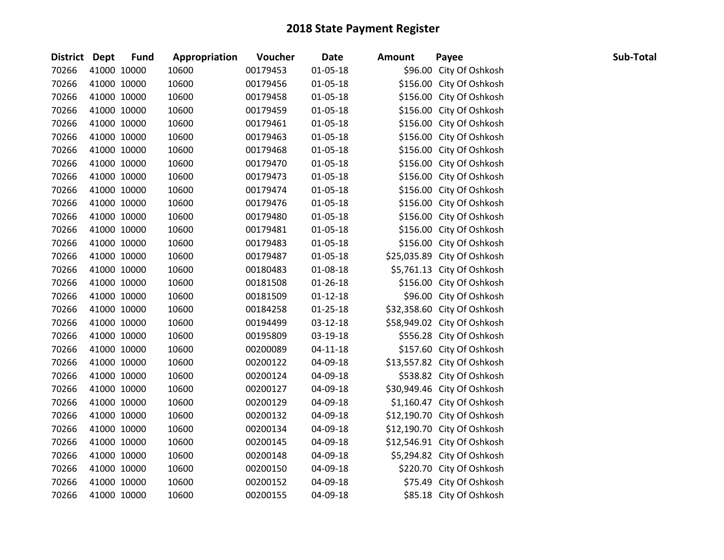| District Dept | <b>Fund</b> | Appropriation | Voucher  | <b>Date</b>    | <b>Amount</b> | Payee                       | Sub-Total |
|---------------|-------------|---------------|----------|----------------|---------------|-----------------------------|-----------|
| 70266         | 41000 10000 | 10600         | 00179453 | $01 - 05 - 18$ |               | \$96.00 City Of Oshkosh     |           |
| 70266         | 41000 10000 | 10600         | 00179456 | $01 - 05 - 18$ |               | \$156.00 City Of Oshkosh    |           |
| 70266         | 41000 10000 | 10600         | 00179458 | 01-05-18       |               | \$156.00 City Of Oshkosh    |           |
| 70266         | 41000 10000 | 10600         | 00179459 | 01-05-18       |               | \$156.00 City Of Oshkosh    |           |
| 70266         | 41000 10000 | 10600         | 00179461 | 01-05-18       |               | \$156.00 City Of Oshkosh    |           |
| 70266         | 41000 10000 | 10600         | 00179463 | $01 - 05 - 18$ |               | \$156.00 City Of Oshkosh    |           |
| 70266         | 41000 10000 | 10600         | 00179468 | 01-05-18       |               | \$156.00 City Of Oshkosh    |           |
| 70266         | 41000 10000 | 10600         | 00179470 | $01 - 05 - 18$ |               | \$156.00 City Of Oshkosh    |           |
| 70266         | 41000 10000 | 10600         | 00179473 | 01-05-18       |               | \$156.00 City Of Oshkosh    |           |
| 70266         | 41000 10000 | 10600         | 00179474 | $01 - 05 - 18$ |               | \$156.00 City Of Oshkosh    |           |
| 70266         | 41000 10000 | 10600         | 00179476 | 01-05-18       |               | \$156.00 City Of Oshkosh    |           |
| 70266         | 41000 10000 | 10600         | 00179480 | 01-05-18       |               | \$156.00 City Of Oshkosh    |           |
| 70266         | 41000 10000 | 10600         | 00179481 | 01-05-18       |               | \$156.00 City Of Oshkosh    |           |
| 70266         | 41000 10000 | 10600         | 00179483 | $01 - 05 - 18$ |               | \$156.00 City Of Oshkosh    |           |
| 70266         | 41000 10000 | 10600         | 00179487 | 01-05-18       |               | \$25,035.89 City Of Oshkosh |           |
| 70266         | 41000 10000 | 10600         | 00180483 | 01-08-18       |               | \$5,761.13 City Of Oshkosh  |           |
| 70266         | 41000 10000 | 10600         | 00181508 | $01 - 26 - 18$ |               | \$156.00 City Of Oshkosh    |           |
| 70266         | 41000 10000 | 10600         | 00181509 | $01 - 12 - 18$ |               | \$96.00 City Of Oshkosh     |           |
| 70266         | 41000 10000 | 10600         | 00184258 | $01 - 25 - 18$ |               | \$32,358.60 City Of Oshkosh |           |
| 70266         | 41000 10000 | 10600         | 00194499 | 03-12-18       |               | \$58,949.02 City Of Oshkosh |           |
| 70266         | 41000 10000 | 10600         | 00195809 | 03-19-18       |               | \$556.28 City Of Oshkosh    |           |
| 70266         | 41000 10000 | 10600         | 00200089 | $04 - 11 - 18$ |               | \$157.60 City Of Oshkosh    |           |
| 70266         | 41000 10000 | 10600         | 00200122 | 04-09-18       |               | \$13,557.82 City Of Oshkosh |           |
| 70266         | 41000 10000 | 10600         | 00200124 | 04-09-18       |               | \$538.82 City Of Oshkosh    |           |
| 70266         | 41000 10000 | 10600         | 00200127 | 04-09-18       |               | \$30,949.46 City Of Oshkosh |           |
| 70266         | 41000 10000 | 10600         | 00200129 | 04-09-18       |               | \$1,160.47 City Of Oshkosh  |           |
| 70266         | 41000 10000 | 10600         | 00200132 | 04-09-18       |               | \$12,190.70 City Of Oshkosh |           |
| 70266         | 41000 10000 | 10600         | 00200134 | 04-09-18       |               | \$12,190.70 City Of Oshkosh |           |
| 70266         | 41000 10000 | 10600         | 00200145 | 04-09-18       |               | \$12,546.91 City Of Oshkosh |           |
| 70266         | 41000 10000 | 10600         | 00200148 | 04-09-18       |               | \$5,294.82 City Of Oshkosh  |           |
| 70266         | 41000 10000 | 10600         | 00200150 | 04-09-18       |               | \$220.70 City Of Oshkosh    |           |
| 70266         | 41000 10000 | 10600         | 00200152 | 04-09-18       |               | \$75.49 City Of Oshkosh     |           |
| 70266         | 41000 10000 | 10600         | 00200155 | 04-09-18       |               | \$85.18 City Of Oshkosh     |           |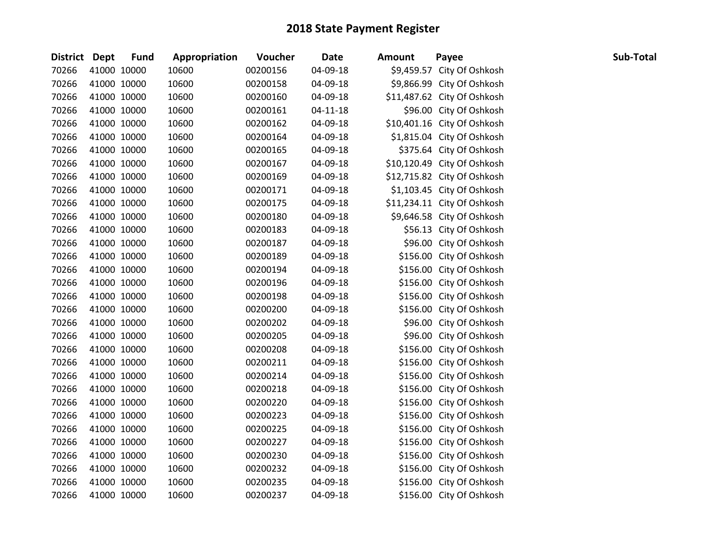| <b>District Dept</b> | <b>Fund</b> | Appropriation | Voucher  | <b>Date</b>    | <b>Amount</b> | Payee                       | Sub-Total |
|----------------------|-------------|---------------|----------|----------------|---------------|-----------------------------|-----------|
| 70266                | 41000 10000 | 10600         | 00200156 | 04-09-18       |               | \$9,459.57 City Of Oshkosh  |           |
| 70266                | 41000 10000 | 10600         | 00200158 | 04-09-18       |               | \$9,866.99 City Of Oshkosh  |           |
| 70266                | 41000 10000 | 10600         | 00200160 | 04-09-18       |               | \$11,487.62 City Of Oshkosh |           |
| 70266                | 41000 10000 | 10600         | 00200161 | $04 - 11 - 18$ |               | \$96.00 City Of Oshkosh     |           |
| 70266                | 41000 10000 | 10600         | 00200162 | 04-09-18       |               | \$10,401.16 City Of Oshkosh |           |
| 70266                | 41000 10000 | 10600         | 00200164 | 04-09-18       |               | \$1,815.04 City Of Oshkosh  |           |
| 70266                | 41000 10000 | 10600         | 00200165 | 04-09-18       |               | \$375.64 City Of Oshkosh    |           |
| 70266                | 41000 10000 | 10600         | 00200167 | 04-09-18       |               | \$10,120.49 City Of Oshkosh |           |
| 70266                | 41000 10000 | 10600         | 00200169 | 04-09-18       |               | \$12,715.82 City Of Oshkosh |           |
| 70266                | 41000 10000 | 10600         | 00200171 | 04-09-18       |               | \$1,103.45 City Of Oshkosh  |           |
| 70266                | 41000 10000 | 10600         | 00200175 | 04-09-18       |               | \$11,234.11 City Of Oshkosh |           |
| 70266                | 41000 10000 | 10600         | 00200180 | 04-09-18       |               | \$9,646.58 City Of Oshkosh  |           |
| 70266                | 41000 10000 | 10600         | 00200183 | 04-09-18       |               | \$56.13 City Of Oshkosh     |           |
| 70266                | 41000 10000 | 10600         | 00200187 | 04-09-18       |               | \$96.00 City Of Oshkosh     |           |
| 70266                | 41000 10000 | 10600         | 00200189 | 04-09-18       |               | \$156.00 City Of Oshkosh    |           |
| 70266                | 41000 10000 | 10600         | 00200194 | 04-09-18       |               | \$156.00 City Of Oshkosh    |           |
| 70266                | 41000 10000 | 10600         | 00200196 | 04-09-18       |               | \$156.00 City Of Oshkosh    |           |
| 70266                | 41000 10000 | 10600         | 00200198 | 04-09-18       |               | \$156.00 City Of Oshkosh    |           |
| 70266                | 41000 10000 | 10600         | 00200200 | 04-09-18       |               | \$156.00 City Of Oshkosh    |           |
| 70266                | 41000 10000 | 10600         | 00200202 | 04-09-18       |               | \$96.00 City Of Oshkosh     |           |
| 70266                | 41000 10000 | 10600         | 00200205 | 04-09-18       |               | \$96.00 City Of Oshkosh     |           |
| 70266                | 41000 10000 | 10600         | 00200208 | 04-09-18       |               | \$156.00 City Of Oshkosh    |           |
| 70266                | 41000 10000 | 10600         | 00200211 | 04-09-18       |               | \$156.00 City Of Oshkosh    |           |
| 70266                | 41000 10000 | 10600         | 00200214 | 04-09-18       |               | \$156.00 City Of Oshkosh    |           |
| 70266                | 41000 10000 | 10600         | 00200218 | 04-09-18       |               | \$156.00 City Of Oshkosh    |           |
| 70266                | 41000 10000 | 10600         | 00200220 | 04-09-18       |               | \$156.00 City Of Oshkosh    |           |
| 70266                | 41000 10000 | 10600         | 00200223 | 04-09-18       |               | \$156.00 City Of Oshkosh    |           |
| 70266                | 41000 10000 | 10600         | 00200225 | 04-09-18       |               | \$156.00 City Of Oshkosh    |           |
| 70266                | 41000 10000 | 10600         | 00200227 | 04-09-18       |               | \$156.00 City Of Oshkosh    |           |
| 70266                | 41000 10000 | 10600         | 00200230 | 04-09-18       |               | \$156.00 City Of Oshkosh    |           |
| 70266                | 41000 10000 | 10600         | 00200232 | 04-09-18       |               | \$156.00 City Of Oshkosh    |           |
| 70266                | 41000 10000 | 10600         | 00200235 | 04-09-18       |               | \$156.00 City Of Oshkosh    |           |
| 70266                | 41000 10000 | 10600         | 00200237 | 04-09-18       |               | \$156.00 City Of Oshkosh    |           |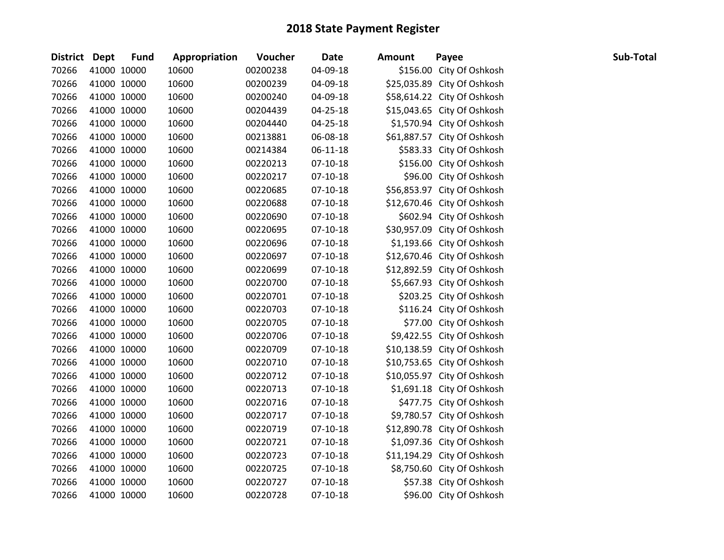| <b>District Dept</b> |             | <b>Fund</b> | Appropriation | Voucher  | <b>Date</b>    | <b>Amount</b> | Payee                       | Sub-Total |
|----------------------|-------------|-------------|---------------|----------|----------------|---------------|-----------------------------|-----------|
| 70266                |             | 41000 10000 | 10600         | 00200238 | 04-09-18       |               | \$156.00 City Of Oshkosh    |           |
| 70266                |             | 41000 10000 | 10600         | 00200239 | 04-09-18       |               | \$25,035.89 City Of Oshkosh |           |
| 70266                |             | 41000 10000 | 10600         | 00200240 | 04-09-18       |               | \$58,614.22 City Of Oshkosh |           |
| 70266                | 41000 10000 |             | 10600         | 00204439 | 04-25-18       |               | \$15,043.65 City Of Oshkosh |           |
| 70266                |             | 41000 10000 | 10600         | 00204440 | 04-25-18       |               | \$1,570.94 City Of Oshkosh  |           |
| 70266                |             | 41000 10000 | 10600         | 00213881 | 06-08-18       |               | \$61,887.57 City Of Oshkosh |           |
| 70266                |             | 41000 10000 | 10600         | 00214384 | $06 - 11 - 18$ |               | \$583.33 City Of Oshkosh    |           |
| 70266                |             | 41000 10000 | 10600         | 00220213 | $07-10-18$     |               | \$156.00 City Of Oshkosh    |           |
| 70266                |             | 41000 10000 | 10600         | 00220217 | $07-10-18$     |               | \$96.00 City Of Oshkosh     |           |
| 70266                |             | 41000 10000 | 10600         | 00220685 | $07-10-18$     |               | \$56,853.97 City Of Oshkosh |           |
| 70266                |             | 41000 10000 | 10600         | 00220688 | $07-10-18$     |               | \$12,670.46 City Of Oshkosh |           |
| 70266                |             | 41000 10000 | 10600         | 00220690 | $07-10-18$     |               | \$602.94 City Of Oshkosh    |           |
| 70266                |             | 41000 10000 | 10600         | 00220695 | $07-10-18$     |               | \$30,957.09 City Of Oshkosh |           |
| 70266                |             | 41000 10000 | 10600         | 00220696 | $07-10-18$     |               | \$1,193.66 City Of Oshkosh  |           |
| 70266                |             | 41000 10000 | 10600         | 00220697 | $07-10-18$     |               | \$12,670.46 City Of Oshkosh |           |
| 70266                |             | 41000 10000 | 10600         | 00220699 | $07-10-18$     |               | \$12,892.59 City Of Oshkosh |           |
| 70266                |             | 41000 10000 | 10600         | 00220700 | $07-10-18$     |               | \$5,667.93 City Of Oshkosh  |           |
| 70266                |             | 41000 10000 | 10600         | 00220701 | $07-10-18$     |               | \$203.25 City Of Oshkosh    |           |
| 70266                |             | 41000 10000 | 10600         | 00220703 | $07-10-18$     |               | \$116.24 City Of Oshkosh    |           |
| 70266                |             | 41000 10000 | 10600         | 00220705 | $07-10-18$     |               | \$77.00 City Of Oshkosh     |           |
| 70266                |             | 41000 10000 | 10600         | 00220706 | $07-10-18$     |               | \$9,422.55 City Of Oshkosh  |           |
| 70266                |             | 41000 10000 | 10600         | 00220709 | $07-10-18$     |               | \$10,138.59 City Of Oshkosh |           |
| 70266                | 41000 10000 |             | 10600         | 00220710 | $07 - 10 - 18$ |               | \$10,753.65 City Of Oshkosh |           |
| 70266                |             | 41000 10000 | 10600         | 00220712 | $07-10-18$     |               | \$10,055.97 City Of Oshkosh |           |
| 70266                |             | 41000 10000 | 10600         | 00220713 | $07-10-18$     |               | \$1,691.18 City Of Oshkosh  |           |
| 70266                |             | 41000 10000 | 10600         | 00220716 | $07 - 10 - 18$ |               | \$477.75 City Of Oshkosh    |           |
| 70266                |             | 41000 10000 | 10600         | 00220717 | $07-10-18$     |               | \$9,780.57 City Of Oshkosh  |           |
| 70266                |             | 41000 10000 | 10600         | 00220719 | $07 - 10 - 18$ |               | \$12,890.78 City Of Oshkosh |           |
| 70266                |             | 41000 10000 | 10600         | 00220721 | $07-10-18$     |               | \$1,097.36 City Of Oshkosh  |           |
| 70266                |             | 41000 10000 | 10600         | 00220723 | $07-10-18$     |               | \$11,194.29 City Of Oshkosh |           |
| 70266                |             | 41000 10000 | 10600         | 00220725 | $07-10-18$     |               | \$8,750.60 City Of Oshkosh  |           |
| 70266                |             | 41000 10000 | 10600         | 00220727 | $07 - 10 - 18$ |               | \$57.38 City Of Oshkosh     |           |
| 70266                |             | 41000 10000 | 10600         | 00220728 | $07 - 10 - 18$ |               | \$96.00 City Of Oshkosh     |           |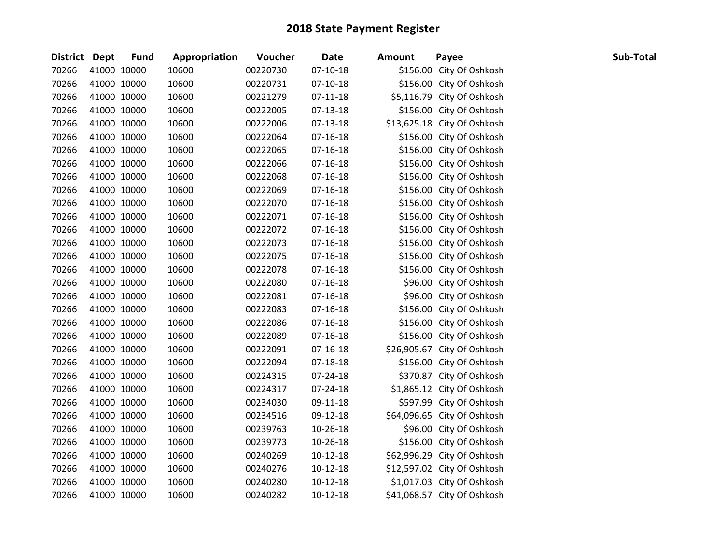| District Dept | <b>Fund</b> | Appropriation | Voucher  | <b>Date</b>    | Amount | Payee                       | Sub-Total |
|---------------|-------------|---------------|----------|----------------|--------|-----------------------------|-----------|
| 70266         | 41000 10000 | 10600         | 00220730 | $07-10-18$     |        | \$156.00 City Of Oshkosh    |           |
| 70266         | 41000 10000 | 10600         | 00220731 | $07-10-18$     |        | \$156.00 City Of Oshkosh    |           |
| 70266         | 41000 10000 | 10600         | 00221279 | $07-11-18$     |        | \$5,116.79 City Of Oshkosh  |           |
| 70266         | 41000 10000 | 10600         | 00222005 | 07-13-18       |        | \$156.00 City Of Oshkosh    |           |
| 70266         | 41000 10000 | 10600         | 00222006 | 07-13-18       |        | \$13,625.18 City Of Oshkosh |           |
| 70266         | 41000 10000 | 10600         | 00222064 | $07-16-18$     |        | \$156.00 City Of Oshkosh    |           |
| 70266         | 41000 10000 | 10600         | 00222065 | $07-16-18$     |        | \$156.00 City Of Oshkosh    |           |
| 70266         | 41000 10000 | 10600         | 00222066 | $07-16-18$     |        | \$156.00 City Of Oshkosh    |           |
| 70266         | 41000 10000 | 10600         | 00222068 | $07-16-18$     |        | \$156.00 City Of Oshkosh    |           |
| 70266         | 41000 10000 | 10600         | 00222069 | $07-16-18$     |        | \$156.00 City Of Oshkosh    |           |
| 70266         | 41000 10000 | 10600         | 00222070 | $07-16-18$     |        | \$156.00 City Of Oshkosh    |           |
| 70266         | 41000 10000 | 10600         | 00222071 | $07-16-18$     |        | \$156.00 City Of Oshkosh    |           |
| 70266         | 41000 10000 | 10600         | 00222072 | $07 - 16 - 18$ |        | \$156.00 City Of Oshkosh    |           |
| 70266         | 41000 10000 | 10600         | 00222073 | $07-16-18$     |        | \$156.00 City Of Oshkosh    |           |
| 70266         | 41000 10000 | 10600         | 00222075 | $07-16-18$     |        | \$156.00 City Of Oshkosh    |           |
| 70266         | 41000 10000 | 10600         | 00222078 | $07-16-18$     |        | \$156.00 City Of Oshkosh    |           |
| 70266         | 41000 10000 | 10600         | 00222080 | $07 - 16 - 18$ |        | \$96.00 City Of Oshkosh     |           |
| 70266         | 41000 10000 | 10600         | 00222081 | $07-16-18$     |        | \$96.00 City Of Oshkosh     |           |
| 70266         | 41000 10000 | 10600         | 00222083 | $07-16-18$     |        | \$156.00 City Of Oshkosh    |           |
| 70266         | 41000 10000 | 10600         | 00222086 | $07-16-18$     |        | \$156.00 City Of Oshkosh    |           |
| 70266         | 41000 10000 | 10600         | 00222089 | $07 - 16 - 18$ |        | \$156.00 City Of Oshkosh    |           |
| 70266         | 41000 10000 | 10600         | 00222091 | $07-16-18$     |        | \$26,905.67 City Of Oshkosh |           |
| 70266         | 41000 10000 | 10600         | 00222094 | $07 - 18 - 18$ |        | \$156.00 City Of Oshkosh    |           |
| 70266         | 41000 10000 | 10600         | 00224315 | 07-24-18       |        | \$370.87 City Of Oshkosh    |           |
| 70266         | 41000 10000 | 10600         | 00224317 | 07-24-18       |        | \$1,865.12 City Of Oshkosh  |           |
| 70266         | 41000 10000 | 10600         | 00234030 | 09-11-18       |        | \$597.99 City Of Oshkosh    |           |
| 70266         | 41000 10000 | 10600         | 00234516 | 09-12-18       |        | \$64,096.65 City Of Oshkosh |           |
| 70266         | 41000 10000 | 10600         | 00239763 | 10-26-18       |        | \$96.00 City Of Oshkosh     |           |
| 70266         | 41000 10000 | 10600         | 00239773 | 10-26-18       |        | \$156.00 City Of Oshkosh    |           |
| 70266         | 41000 10000 | 10600         | 00240269 | $10-12-18$     |        | \$62,996.29 City Of Oshkosh |           |
| 70266         | 41000 10000 | 10600         | 00240276 | $10-12-18$     |        | \$12,597.02 City Of Oshkosh |           |
| 70266         | 41000 10000 | 10600         | 00240280 | $10-12-18$     |        | \$1,017.03 City Of Oshkosh  |           |
| 70266         | 41000 10000 | 10600         | 00240282 | 10-12-18       |        | \$41,068.57 City Of Oshkosh |           |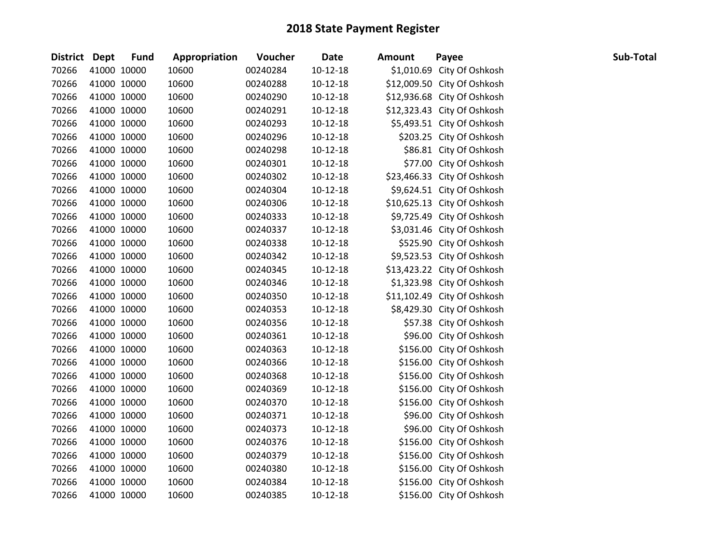| <b>District Dept</b> | <b>Fund</b> | Appropriation | Voucher  | <b>Date</b>    | <b>Amount</b> | Payee                       | Sub-Total |
|----------------------|-------------|---------------|----------|----------------|---------------|-----------------------------|-----------|
| 70266                | 41000 10000 | 10600         | 00240284 | $10-12-18$     |               | \$1,010.69 City Of Oshkosh  |           |
| 70266                | 41000 10000 | 10600         | 00240288 | $10-12-18$     |               | \$12,009.50 City Of Oshkosh |           |
| 70266                | 41000 10000 | 10600         | 00240290 | $10-12-18$     |               | \$12,936.68 City Of Oshkosh |           |
| 70266                | 41000 10000 | 10600         | 00240291 | $10-12-18$     |               | \$12,323.43 City Of Oshkosh |           |
| 70266                | 41000 10000 | 10600         | 00240293 | 10-12-18       |               | \$5,493.51 City Of Oshkosh  |           |
| 70266                | 41000 10000 | 10600         | 00240296 | $10-12-18$     |               | \$203.25 City Of Oshkosh    |           |
| 70266                | 41000 10000 | 10600         | 00240298 | $10-12-18$     |               | \$86.81 City Of Oshkosh     |           |
| 70266                | 41000 10000 | 10600         | 00240301 | $10-12-18$     |               | \$77.00 City Of Oshkosh     |           |
| 70266                | 41000 10000 | 10600         | 00240302 | $10 - 12 - 18$ |               | \$23,466.33 City Of Oshkosh |           |
| 70266                | 41000 10000 | 10600         | 00240304 | $10-12-18$     |               | \$9,624.51 City Of Oshkosh  |           |
| 70266                | 41000 10000 | 10600         | 00240306 | $10-12-18$     |               | \$10,625.13 City Of Oshkosh |           |
| 70266                | 41000 10000 | 10600         | 00240333 | $10-12-18$     |               | \$9,725.49 City Of Oshkosh  |           |
| 70266                | 41000 10000 | 10600         | 00240337 | $10-12-18$     |               | \$3,031.46 City Of Oshkosh  |           |
| 70266                | 41000 10000 | 10600         | 00240338 | $10-12-18$     |               | \$525.90 City Of Oshkosh    |           |
| 70266                | 41000 10000 | 10600         | 00240342 | $10-12-18$     |               | \$9,523.53 City Of Oshkosh  |           |
| 70266                | 41000 10000 | 10600         | 00240345 | $10-12-18$     |               | \$13,423.22 City Of Oshkosh |           |
| 70266                | 41000 10000 | 10600         | 00240346 | $10-12-18$     |               | \$1,323.98 City Of Oshkosh  |           |
| 70266                | 41000 10000 | 10600         | 00240350 | $10-12-18$     |               | \$11,102.49 City Of Oshkosh |           |
| 70266                | 41000 10000 | 10600         | 00240353 | $10-12-18$     |               | \$8,429.30 City Of Oshkosh  |           |
| 70266                | 41000 10000 | 10600         | 00240356 | $10-12-18$     |               | \$57.38 City Of Oshkosh     |           |
| 70266                | 41000 10000 | 10600         | 00240361 | $10-12-18$     |               | \$96.00 City Of Oshkosh     |           |
| 70266                | 41000 10000 | 10600         | 00240363 | $10-12-18$     |               | \$156.00 City Of Oshkosh    |           |
| 70266                | 41000 10000 | 10600         | 00240366 | $10-12-18$     |               | \$156.00 City Of Oshkosh    |           |
| 70266                | 41000 10000 | 10600         | 00240368 | $10 - 12 - 18$ |               | \$156.00 City Of Oshkosh    |           |
| 70266                | 41000 10000 | 10600         | 00240369 | $10-12-18$     |               | \$156.00 City Of Oshkosh    |           |
| 70266                | 41000 10000 | 10600         | 00240370 | $10-12-18$     |               | \$156.00 City Of Oshkosh    |           |
| 70266                | 41000 10000 | 10600         | 00240371 | $10-12-18$     |               | \$96.00 City Of Oshkosh     |           |
| 70266                | 41000 10000 | 10600         | 00240373 | $10-12-18$     |               | \$96.00 City Of Oshkosh     |           |
| 70266                | 41000 10000 | 10600         | 00240376 | $10-12-18$     |               | \$156.00 City Of Oshkosh    |           |
| 70266                | 41000 10000 | 10600         | 00240379 | $10-12-18$     |               | \$156.00 City Of Oshkosh    |           |
| 70266                | 41000 10000 | 10600         | 00240380 | $10-12-18$     |               | \$156.00 City Of Oshkosh    |           |
| 70266                | 41000 10000 | 10600         | 00240384 | $10-12-18$     |               | \$156.00 City Of Oshkosh    |           |
| 70266                | 41000 10000 | 10600         | 00240385 | $10-12-18$     |               | \$156.00 City Of Oshkosh    |           |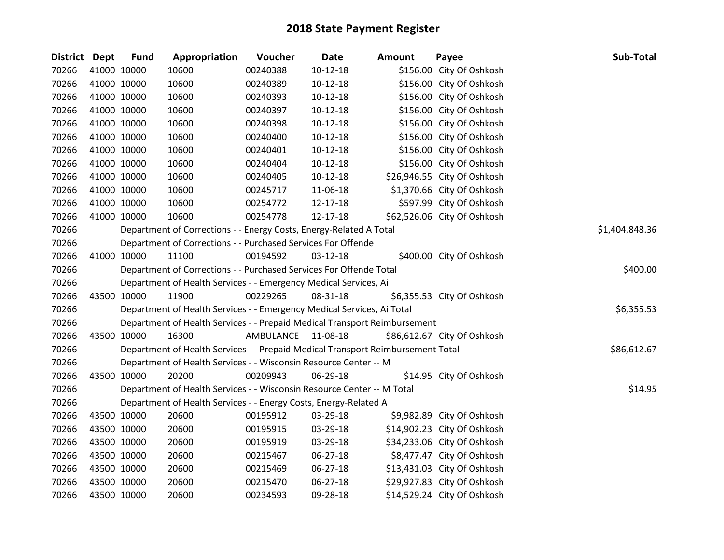| District Dept | <b>Fund</b> | Appropriation                                                                   | Voucher   | <b>Date</b>    | <b>Amount</b> | Payee                       | Sub-Total      |
|---------------|-------------|---------------------------------------------------------------------------------|-----------|----------------|---------------|-----------------------------|----------------|
| 70266         | 41000 10000 | 10600                                                                           | 00240388  | $10-12-18$     |               | \$156.00 City Of Oshkosh    |                |
| 70266         | 41000 10000 | 10600                                                                           | 00240389  | $10-12-18$     |               | \$156.00 City Of Oshkosh    |                |
| 70266         | 41000 10000 | 10600                                                                           | 00240393  | $10-12-18$     |               | \$156.00 City Of Oshkosh    |                |
| 70266         | 41000 10000 | 10600                                                                           | 00240397  | $10-12-18$     |               | \$156.00 City Of Oshkosh    |                |
| 70266         | 41000 10000 | 10600                                                                           | 00240398  | $10-12-18$     |               | \$156.00 City Of Oshkosh    |                |
| 70266         | 41000 10000 | 10600                                                                           | 00240400  | $10-12-18$     |               | \$156.00 City Of Oshkosh    |                |
| 70266         | 41000 10000 | 10600                                                                           | 00240401  | $10-12-18$     |               | \$156.00 City Of Oshkosh    |                |
| 70266         | 41000 10000 | 10600                                                                           | 00240404  | $10-12-18$     |               | \$156.00 City Of Oshkosh    |                |
| 70266         | 41000 10000 | 10600                                                                           | 00240405  | $10-12-18$     |               | \$26,946.55 City Of Oshkosh |                |
| 70266         | 41000 10000 | 10600                                                                           | 00245717  | 11-06-18       |               | \$1,370.66 City Of Oshkosh  |                |
| 70266         | 41000 10000 | 10600                                                                           | 00254772  | 12-17-18       |               | \$597.99 City Of Oshkosh    |                |
| 70266         | 41000 10000 | 10600                                                                           | 00254778  | 12-17-18       |               | \$62,526.06 City Of Oshkosh |                |
| 70266         |             | Department of Corrections - - Energy Costs, Energy-Related A Total              |           |                |               |                             | \$1,404,848.36 |
| 70266         |             | Department of Corrections - - Purchased Services For Offende                    |           |                |               |                             |                |
| 70266         | 41000 10000 | 11100                                                                           | 00194592  | 03-12-18       |               | \$400.00 City Of Oshkosh    |                |
| 70266         |             | Department of Corrections - - Purchased Services For Offende Total              |           |                |               |                             | \$400.00       |
| 70266         |             | Department of Health Services - - Emergency Medical Services, Ai                |           |                |               |                             |                |
| 70266         | 43500 10000 | 11900                                                                           | 00229265  | 08-31-18       |               | \$6,355.53 City Of Oshkosh  |                |
| 70266         |             | Department of Health Services - - Emergency Medical Services, Ai Total          |           |                |               |                             | \$6,355.53     |
| 70266         |             | Department of Health Services - - Prepaid Medical Transport Reimbursement       |           |                |               |                             |                |
| 70266         | 43500 10000 | 16300                                                                           | AMBULANCE | 11-08-18       |               | \$86,612.67 City Of Oshkosh |                |
| 70266         |             | Department of Health Services - - Prepaid Medical Transport Reimbursement Total |           |                |               |                             | \$86,612.67    |
| 70266         |             | Department of Health Services - - Wisconsin Resource Center -- M                |           |                |               |                             |                |
| 70266         | 43500 10000 | 20200                                                                           | 00209943  | 06-29-18       |               | \$14.95 City Of Oshkosh     |                |
| 70266         |             | Department of Health Services - - Wisconsin Resource Center -- M Total          |           |                |               |                             | \$14.95        |
| 70266         |             | Department of Health Services - - Energy Costs, Energy-Related A                |           |                |               |                             |                |
| 70266         | 43500 10000 | 20600                                                                           | 00195912  | 03-29-18       |               | \$9,982.89 City Of Oshkosh  |                |
| 70266         | 43500 10000 | 20600                                                                           | 00195915  | 03-29-18       |               | \$14,902.23 City Of Oshkosh |                |
| 70266         | 43500 10000 | 20600                                                                           | 00195919  | 03-29-18       |               | \$34,233.06 City Of Oshkosh |                |
| 70266         | 43500 10000 | 20600                                                                           | 00215467  | 06-27-18       |               | \$8,477.47 City Of Oshkosh  |                |
| 70266         | 43500 10000 | 20600                                                                           | 00215469  | 06-27-18       |               | \$13,431.03 City Of Oshkosh |                |
| 70266         | 43500 10000 | 20600                                                                           | 00215470  | $06 - 27 - 18$ |               | \$29,927.83 City Of Oshkosh |                |
| 70266         | 43500 10000 | 20600                                                                           | 00234593  | 09-28-18       |               | \$14,529.24 City Of Oshkosh |                |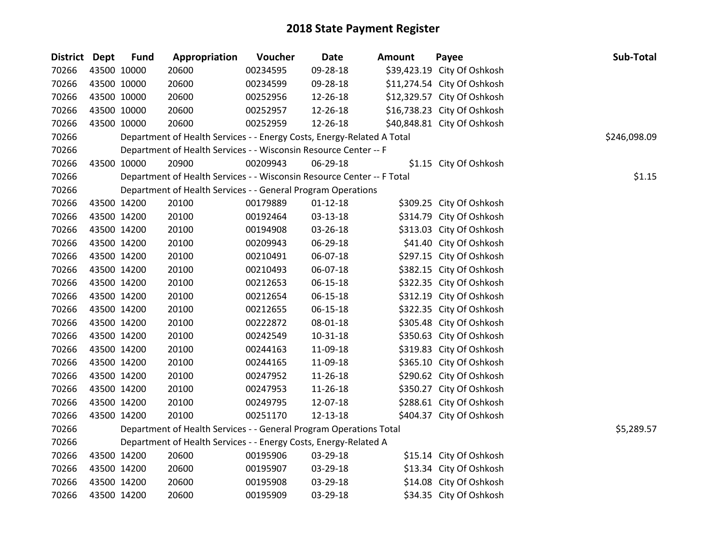| District Dept | <b>Fund</b> | Appropriation                                                          | Voucher  | Date           | <b>Amount</b> | Payee                       | Sub-Total    |
|---------------|-------------|------------------------------------------------------------------------|----------|----------------|---------------|-----------------------------|--------------|
| 70266         | 43500 10000 | 20600                                                                  | 00234595 | 09-28-18       |               | \$39,423.19 City Of Oshkosh |              |
| 70266         | 43500 10000 | 20600                                                                  | 00234599 | 09-28-18       |               | \$11,274.54 City Of Oshkosh |              |
| 70266         | 43500 10000 | 20600                                                                  | 00252956 | 12-26-18       |               | \$12,329.57 City Of Oshkosh |              |
| 70266         | 43500 10000 | 20600                                                                  | 00252957 | 12-26-18       |               | \$16,738.23 City Of Oshkosh |              |
| 70266         | 43500 10000 | 20600                                                                  | 00252959 | 12-26-18       |               | \$40,848.81 City Of Oshkosh |              |
| 70266         |             | Department of Health Services - - Energy Costs, Energy-Related A Total |          |                |               |                             | \$246,098.09 |
| 70266         |             | Department of Health Services - - Wisconsin Resource Center -- F       |          |                |               |                             |              |
| 70266         | 43500 10000 | 20900                                                                  | 00209943 | 06-29-18       |               | \$1.15 City Of Oshkosh      |              |
| 70266         |             | Department of Health Services - - Wisconsin Resource Center -- F Total |          |                |               |                             | \$1.15       |
| 70266         |             | Department of Health Services - - General Program Operations           |          |                |               |                             |              |
| 70266         | 43500 14200 | 20100                                                                  | 00179889 | $01 - 12 - 18$ |               | \$309.25 City Of Oshkosh    |              |
| 70266         | 43500 14200 | 20100                                                                  | 00192464 | 03-13-18       |               | \$314.79 City Of Oshkosh    |              |
| 70266         | 43500 14200 | 20100                                                                  | 00194908 | 03-26-18       |               | \$313.03 City Of Oshkosh    |              |
| 70266         | 43500 14200 | 20100                                                                  | 00209943 | 06-29-18       |               | \$41.40 City Of Oshkosh     |              |
| 70266         | 43500 14200 | 20100                                                                  | 00210491 | 06-07-18       |               | \$297.15 City Of Oshkosh    |              |
| 70266         | 43500 14200 | 20100                                                                  | 00210493 | 06-07-18       |               | \$382.15 City Of Oshkosh    |              |
| 70266         | 43500 14200 | 20100                                                                  | 00212653 | $06 - 15 - 18$ |               | \$322.35 City Of Oshkosh    |              |
| 70266         | 43500 14200 | 20100                                                                  | 00212654 | 06-15-18       |               | \$312.19 City Of Oshkosh    |              |
| 70266         | 43500 14200 | 20100                                                                  | 00212655 | 06-15-18       |               | \$322.35 City Of Oshkosh    |              |
| 70266         | 43500 14200 | 20100                                                                  | 00222872 | 08-01-18       |               | \$305.48 City Of Oshkosh    |              |
| 70266         | 43500 14200 | 20100                                                                  | 00242549 | $10 - 31 - 18$ |               | \$350.63 City Of Oshkosh    |              |
| 70266         | 43500 14200 | 20100                                                                  | 00244163 | 11-09-18       |               | \$319.83 City Of Oshkosh    |              |
| 70266         | 43500 14200 | 20100                                                                  | 00244165 | 11-09-18       |               | \$365.10 City Of Oshkosh    |              |
| 70266         | 43500 14200 | 20100                                                                  | 00247952 | 11-26-18       |               | \$290.62 City Of Oshkosh    |              |
| 70266         | 43500 14200 | 20100                                                                  | 00247953 | 11-26-18       |               | \$350.27 City Of Oshkosh    |              |
| 70266         | 43500 14200 | 20100                                                                  | 00249795 | 12-07-18       |               | \$288.61 City Of Oshkosh    |              |
| 70266         | 43500 14200 | 20100                                                                  | 00251170 | 12-13-18       |               | \$404.37 City Of Oshkosh    |              |
| 70266         |             | Department of Health Services - - General Program Operations Total     |          |                |               |                             | \$5,289.57   |
| 70266         |             | Department of Health Services - - Energy Costs, Energy-Related A       |          |                |               |                             |              |
| 70266         | 43500 14200 | 20600                                                                  | 00195906 | 03-29-18       |               | \$15.14 City Of Oshkosh     |              |
| 70266         | 43500 14200 | 20600                                                                  | 00195907 | 03-29-18       |               | \$13.34 City Of Oshkosh     |              |
| 70266         | 43500 14200 | 20600                                                                  | 00195908 | 03-29-18       |               | \$14.08 City Of Oshkosh     |              |
| 70266         | 43500 14200 | 20600                                                                  | 00195909 | 03-29-18       |               | \$34.35 City Of Oshkosh     |              |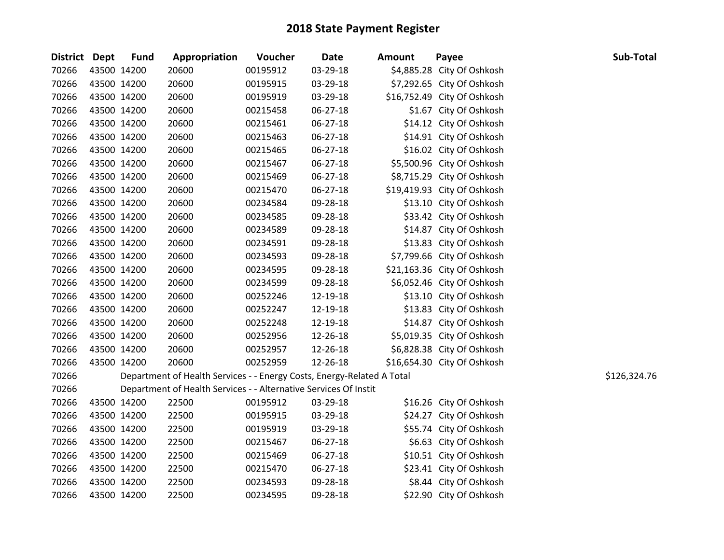| <b>District Dept</b> |             | <b>Fund</b> | Appropriation                                                          | Voucher  | <b>Date</b>    | <b>Amount</b> | Payee                       | Sub-Total    |
|----------------------|-------------|-------------|------------------------------------------------------------------------|----------|----------------|---------------|-----------------------------|--------------|
| 70266                | 43500 14200 |             | 20600                                                                  | 00195912 | 03-29-18       |               | \$4,885.28 City Of Oshkosh  |              |
| 70266                |             | 43500 14200 | 20600                                                                  | 00195915 | 03-29-18       |               | \$7,292.65 City Of Oshkosh  |              |
| 70266                |             | 43500 14200 | 20600                                                                  | 00195919 | 03-29-18       |               | \$16,752.49 City Of Oshkosh |              |
| 70266                | 43500 14200 |             | 20600                                                                  | 00215458 | 06-27-18       |               | \$1.67 City Of Oshkosh      |              |
| 70266                | 43500 14200 |             | 20600                                                                  | 00215461 | 06-27-18       |               | \$14.12 City Of Oshkosh     |              |
| 70266                | 43500 14200 |             | 20600                                                                  | 00215463 | $06 - 27 - 18$ |               | \$14.91 City Of Oshkosh     |              |
| 70266                |             | 43500 14200 | 20600                                                                  | 00215465 | 06-27-18       |               | \$16.02 City Of Oshkosh     |              |
| 70266                |             | 43500 14200 | 20600                                                                  | 00215467 | 06-27-18       |               | \$5,500.96 City Of Oshkosh  |              |
| 70266                |             | 43500 14200 | 20600                                                                  | 00215469 | $06 - 27 - 18$ |               | \$8,715.29 City Of Oshkosh  |              |
| 70266                |             | 43500 14200 | 20600                                                                  | 00215470 | 06-27-18       |               | \$19,419.93 City Of Oshkosh |              |
| 70266                |             | 43500 14200 | 20600                                                                  | 00234584 | 09-28-18       |               | \$13.10 City Of Oshkosh     |              |
| 70266                | 43500 14200 |             | 20600                                                                  | 00234585 | 09-28-18       |               | \$33.42 City Of Oshkosh     |              |
| 70266                |             | 43500 14200 | 20600                                                                  | 00234589 | 09-28-18       |               | \$14.87 City Of Oshkosh     |              |
| 70266                | 43500 14200 |             | 20600                                                                  | 00234591 | 09-28-18       |               | \$13.83 City Of Oshkosh     |              |
| 70266                | 43500 14200 |             | 20600                                                                  | 00234593 | 09-28-18       |               | \$7,799.66 City Of Oshkosh  |              |
| 70266                | 43500 14200 |             | 20600                                                                  | 00234595 | 09-28-18       |               | \$21,163.36 City Of Oshkosh |              |
| 70266                | 43500 14200 |             | 20600                                                                  | 00234599 | 09-28-18       |               | \$6,052.46 City Of Oshkosh  |              |
| 70266                |             | 43500 14200 | 20600                                                                  | 00252246 | 12-19-18       |               | \$13.10 City Of Oshkosh     |              |
| 70266                |             | 43500 14200 | 20600                                                                  | 00252247 | 12-19-18       |               | \$13.83 City Of Oshkosh     |              |
| 70266                |             | 43500 14200 | 20600                                                                  | 00252248 | 12-19-18       |               | \$14.87 City Of Oshkosh     |              |
| 70266                |             | 43500 14200 | 20600                                                                  | 00252956 | 12-26-18       |               | \$5,019.35 City Of Oshkosh  |              |
| 70266                | 43500 14200 |             | 20600                                                                  | 00252957 | 12-26-18       |               | \$6,828.38 City Of Oshkosh  |              |
| 70266                | 43500 14200 |             | 20600                                                                  | 00252959 | 12-26-18       |               | \$16,654.30 City Of Oshkosh |              |
| 70266                |             |             | Department of Health Services - - Energy Costs, Energy-Related A Total |          |                |               |                             | \$126,324.76 |
| 70266                |             |             | Department of Health Services - - Alternative Services Of Instit       |          |                |               |                             |              |
| 70266                |             | 43500 14200 | 22500                                                                  | 00195912 | 03-29-18       |               | \$16.26 City Of Oshkosh     |              |
| 70266                | 43500 14200 |             | 22500                                                                  | 00195915 | 03-29-18       |               | \$24.27 City Of Oshkosh     |              |
| 70266                |             | 43500 14200 | 22500                                                                  | 00195919 | 03-29-18       |               | \$55.74 City Of Oshkosh     |              |
| 70266                |             | 43500 14200 | 22500                                                                  | 00215467 | $06 - 27 - 18$ |               | \$6.63 City Of Oshkosh      |              |
| 70266                |             | 43500 14200 | 22500                                                                  | 00215469 | 06-27-18       |               | \$10.51 City Of Oshkosh     |              |
| 70266                |             | 43500 14200 | 22500                                                                  | 00215470 | 06-27-18       |               | \$23.41 City Of Oshkosh     |              |
| 70266                |             | 43500 14200 | 22500                                                                  | 00234593 | 09-28-18       |               | \$8.44 City Of Oshkosh      |              |
| 70266                | 43500 14200 |             | 22500                                                                  | 00234595 | 09-28-18       |               | \$22.90 City Of Oshkosh     |              |
|                      |             |             |                                                                        |          |                |               |                             |              |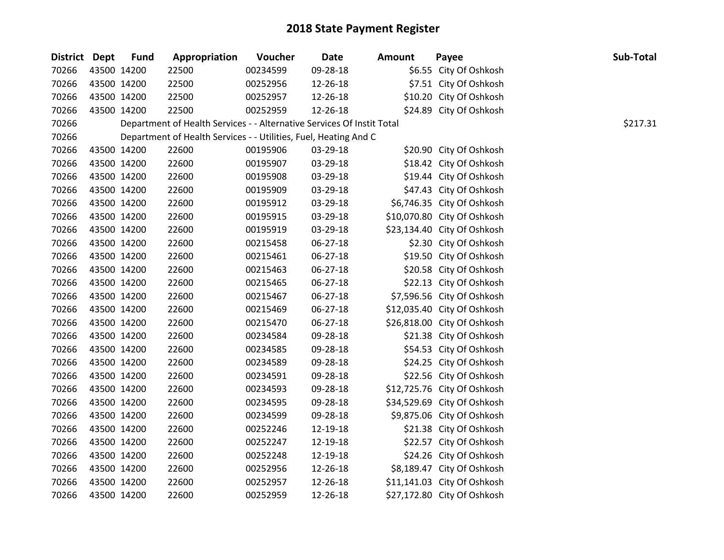| <b>District Dept</b> | <b>Fund</b> | Appropriation                                                          | Voucher  | <b>Date</b> | <b>Amount</b> | Payee                       | Sub-Total |
|----------------------|-------------|------------------------------------------------------------------------|----------|-------------|---------------|-----------------------------|-----------|
| 70266                | 43500 14200 | 22500                                                                  | 00234599 | 09-28-18    |               | \$6.55 City Of Oshkosh      |           |
| 70266                | 43500 14200 | 22500                                                                  | 00252956 | 12-26-18    |               | \$7.51 City Of Oshkosh      |           |
| 70266                | 43500 14200 | 22500                                                                  | 00252957 | 12-26-18    |               | \$10.20 City Of Oshkosh     |           |
| 70266                | 43500 14200 | 22500                                                                  | 00252959 | 12-26-18    |               | \$24.89 City Of Oshkosh     |           |
| 70266                |             | Department of Health Services - - Alternative Services Of Instit Total |          |             |               |                             | \$217.31  |
| 70266                |             | Department of Health Services - - Utilities, Fuel, Heating And C       |          |             |               |                             |           |
| 70266                | 43500 14200 | 22600                                                                  | 00195906 | 03-29-18    |               | \$20.90 City Of Oshkosh     |           |
| 70266                | 43500 14200 | 22600                                                                  | 00195907 | 03-29-18    |               | \$18.42 City Of Oshkosh     |           |
| 70266                | 43500 14200 | 22600                                                                  | 00195908 | 03-29-18    |               | \$19.44 City Of Oshkosh     |           |
| 70266                | 43500 14200 | 22600                                                                  | 00195909 | 03-29-18    |               | \$47.43 City Of Oshkosh     |           |
| 70266                | 43500 14200 | 22600                                                                  | 00195912 | 03-29-18    |               | \$6,746.35 City Of Oshkosh  |           |
| 70266                | 43500 14200 | 22600                                                                  | 00195915 | 03-29-18    |               | \$10,070.80 City Of Oshkosh |           |
| 70266                | 43500 14200 | 22600                                                                  | 00195919 | 03-29-18    |               | \$23,134.40 City Of Oshkosh |           |
| 70266                | 43500 14200 | 22600                                                                  | 00215458 | 06-27-18    |               | \$2.30 City Of Oshkosh      |           |
| 70266                | 43500 14200 | 22600                                                                  | 00215461 | 06-27-18    |               | \$19.50 City Of Oshkosh     |           |
| 70266                | 43500 14200 | 22600                                                                  | 00215463 | 06-27-18    |               | \$20.58 City Of Oshkosh     |           |
| 70266                | 43500 14200 | 22600                                                                  | 00215465 | 06-27-18    |               | \$22.13 City Of Oshkosh     |           |
| 70266                | 43500 14200 | 22600                                                                  | 00215467 | 06-27-18    |               | \$7,596.56 City Of Oshkosh  |           |
| 70266                | 43500 14200 | 22600                                                                  | 00215469 | 06-27-18    |               | \$12,035.40 City Of Oshkosh |           |
| 70266                | 43500 14200 | 22600                                                                  | 00215470 | 06-27-18    |               | \$26,818.00 City Of Oshkosh |           |
| 70266                | 43500 14200 | 22600                                                                  | 00234584 | 09-28-18    |               | \$21.38 City Of Oshkosh     |           |
| 70266                | 43500 14200 | 22600                                                                  | 00234585 | 09-28-18    |               | \$54.53 City Of Oshkosh     |           |
| 70266                | 43500 14200 | 22600                                                                  | 00234589 | 09-28-18    |               | \$24.25 City Of Oshkosh     |           |
| 70266                | 43500 14200 | 22600                                                                  | 00234591 | 09-28-18    |               | \$22.56 City Of Oshkosh     |           |
| 70266                | 43500 14200 | 22600                                                                  | 00234593 | 09-28-18    |               | \$12,725.76 City Of Oshkosh |           |
| 70266                | 43500 14200 | 22600                                                                  | 00234595 | 09-28-18    |               | \$34,529.69 City Of Oshkosh |           |
| 70266                | 43500 14200 | 22600                                                                  | 00234599 | 09-28-18    |               | \$9,875.06 City Of Oshkosh  |           |
| 70266                | 43500 14200 | 22600                                                                  | 00252246 | 12-19-18    |               | \$21.38 City Of Oshkosh     |           |
| 70266                | 43500 14200 | 22600                                                                  | 00252247 | 12-19-18    |               | \$22.57 City Of Oshkosh     |           |
| 70266                | 43500 14200 | 22600                                                                  | 00252248 | 12-19-18    |               | \$24.26 City Of Oshkosh     |           |
| 70266                | 43500 14200 | 22600                                                                  | 00252956 | 12-26-18    |               | \$8,189.47 City Of Oshkosh  |           |
| 70266                | 43500 14200 | 22600                                                                  | 00252957 | 12-26-18    |               | \$11,141.03 City Of Oshkosh |           |
| 70266                | 43500 14200 | 22600                                                                  | 00252959 | 12-26-18    |               | \$27,172.80 City Of Oshkosh |           |
|                      |             |                                                                        |          |             |               |                             |           |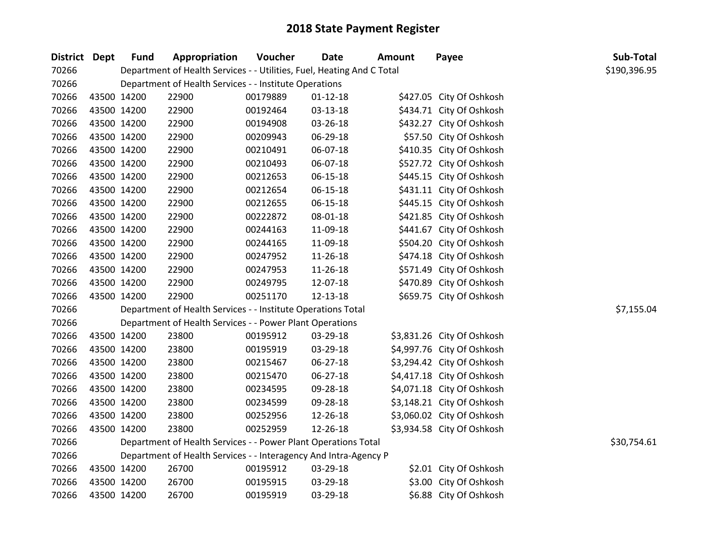| District Dept | <b>Fund</b> | Appropriation                                                          | Voucher  | <b>Date</b>    | Amount | Payee                      | Sub-Total    |
|---------------|-------------|------------------------------------------------------------------------|----------|----------------|--------|----------------------------|--------------|
| 70266         |             | Department of Health Services - - Utilities, Fuel, Heating And C Total |          |                |        |                            | \$190,396.95 |
| 70266         |             | Department of Health Services - - Institute Operations                 |          |                |        |                            |              |
| 70266         | 43500 14200 | 22900                                                                  | 00179889 | $01 - 12 - 18$ |        | \$427.05 City Of Oshkosh   |              |
| 70266         | 43500 14200 | 22900                                                                  | 00192464 | 03-13-18       |        | \$434.71 City Of Oshkosh   |              |
| 70266         | 43500 14200 | 22900                                                                  | 00194908 | 03-26-18       |        | \$432.27 City Of Oshkosh   |              |
| 70266         | 43500 14200 | 22900                                                                  | 00209943 | 06-29-18       |        | \$57.50 City Of Oshkosh    |              |
| 70266         | 43500 14200 | 22900                                                                  | 00210491 | 06-07-18       |        | \$410.35 City Of Oshkosh   |              |
| 70266         | 43500 14200 | 22900                                                                  | 00210493 | 06-07-18       |        | \$527.72 City Of Oshkosh   |              |
| 70266         | 43500 14200 | 22900                                                                  | 00212653 | $06 - 15 - 18$ |        | \$445.15 City Of Oshkosh   |              |
| 70266         | 43500 14200 | 22900                                                                  | 00212654 | 06-15-18       |        | \$431.11 City Of Oshkosh   |              |
| 70266         | 43500 14200 | 22900                                                                  | 00212655 | 06-15-18       |        | \$445.15 City Of Oshkosh   |              |
| 70266         | 43500 14200 | 22900                                                                  | 00222872 | 08-01-18       |        | \$421.85 City Of Oshkosh   |              |
| 70266         | 43500 14200 | 22900                                                                  | 00244163 | 11-09-18       |        | \$441.67 City Of Oshkosh   |              |
| 70266         | 43500 14200 | 22900                                                                  | 00244165 | 11-09-18       |        | \$504.20 City Of Oshkosh   |              |
| 70266         | 43500 14200 | 22900                                                                  | 00247952 | 11-26-18       |        | \$474.18 City Of Oshkosh   |              |
| 70266         | 43500 14200 | 22900                                                                  | 00247953 | 11-26-18       |        | \$571.49 City Of Oshkosh   |              |
| 70266         | 43500 14200 | 22900                                                                  | 00249795 | 12-07-18       |        | \$470.89 City Of Oshkosh   |              |
| 70266         | 43500 14200 | 22900                                                                  | 00251170 | 12-13-18       |        | \$659.75 City Of Oshkosh   |              |
| 70266         |             | Department of Health Services - - Institute Operations Total           |          |                |        |                            | \$7,155.04   |
| 70266         |             | Department of Health Services - - Power Plant Operations               |          |                |        |                            |              |
| 70266         | 43500 14200 | 23800                                                                  | 00195912 | 03-29-18       |        | \$3,831.26 City Of Oshkosh |              |
| 70266         | 43500 14200 | 23800                                                                  | 00195919 | 03-29-18       |        | \$4,997.76 City Of Oshkosh |              |
| 70266         | 43500 14200 | 23800                                                                  | 00215467 | 06-27-18       |        | \$3,294.42 City Of Oshkosh |              |
| 70266         | 43500 14200 | 23800                                                                  | 00215470 | 06-27-18       |        | \$4,417.18 City Of Oshkosh |              |
| 70266         | 43500 14200 | 23800                                                                  | 00234595 | 09-28-18       |        | \$4,071.18 City Of Oshkosh |              |
| 70266         | 43500 14200 | 23800                                                                  | 00234599 | 09-28-18       |        | \$3,148.21 City Of Oshkosh |              |
| 70266         | 43500 14200 | 23800                                                                  | 00252956 | 12-26-18       |        | \$3,060.02 City Of Oshkosh |              |
| 70266         | 43500 14200 | 23800                                                                  | 00252959 | 12-26-18       |        | \$3,934.58 City Of Oshkosh |              |
| 70266         |             | Department of Health Services - - Power Plant Operations Total         |          |                |        |                            | \$30,754.61  |
| 70266         |             | Department of Health Services - - Interagency And Intra-Agency P       |          |                |        |                            |              |
| 70266         | 43500 14200 | 26700                                                                  | 00195912 | 03-29-18       |        | \$2.01 City Of Oshkosh     |              |
| 70266         | 43500 14200 | 26700                                                                  | 00195915 | 03-29-18       |        | \$3.00 City Of Oshkosh     |              |
| 70266         | 43500 14200 | 26700                                                                  | 00195919 | 03-29-18       |        | \$6.88 City Of Oshkosh     |              |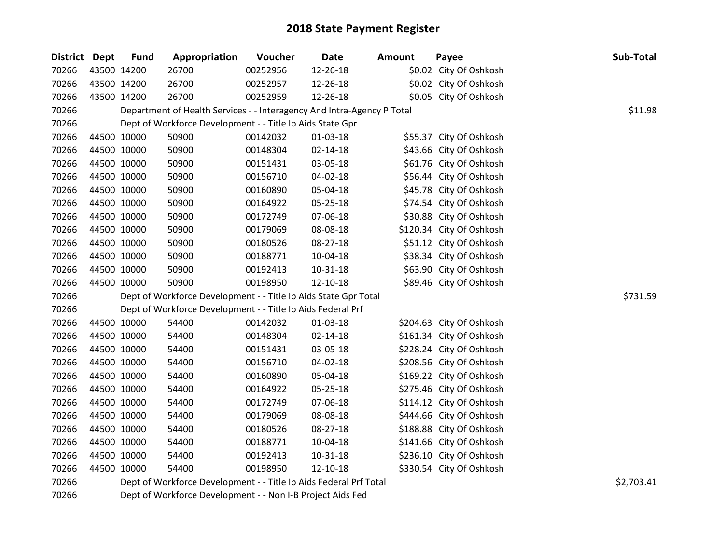| District Dept | <b>Fund</b> | Appropriation                                                          | Voucher  | <b>Date</b>    | <b>Amount</b> | Payee                    | Sub-Total  |
|---------------|-------------|------------------------------------------------------------------------|----------|----------------|---------------|--------------------------|------------|
| 70266         | 43500 14200 | 26700                                                                  | 00252956 | 12-26-18       |               | \$0.02 City Of Oshkosh   |            |
| 70266         | 43500 14200 | 26700                                                                  | 00252957 | 12-26-18       |               | \$0.02 City Of Oshkosh   |            |
| 70266         | 43500 14200 | 26700                                                                  | 00252959 | 12-26-18       |               | \$0.05 City Of Oshkosh   |            |
| 70266         |             | Department of Health Services - - Interagency And Intra-Agency P Total |          |                |               |                          | \$11.98    |
| 70266         |             | Dept of Workforce Development - - Title Ib Aids State Gpr              |          |                |               |                          |            |
| 70266         | 44500 10000 | 50900                                                                  | 00142032 | $01 - 03 - 18$ |               | \$55.37 City Of Oshkosh  |            |
| 70266         | 44500 10000 | 50900                                                                  | 00148304 | $02 - 14 - 18$ |               | \$43.66 City Of Oshkosh  |            |
| 70266         | 44500 10000 | 50900                                                                  | 00151431 | 03-05-18       |               | \$61.76 City Of Oshkosh  |            |
| 70266         | 44500 10000 | 50900                                                                  | 00156710 | 04-02-18       |               | \$56.44 City Of Oshkosh  |            |
| 70266         | 44500 10000 | 50900                                                                  | 00160890 | 05-04-18       |               | \$45.78 City Of Oshkosh  |            |
| 70266         | 44500 10000 | 50900                                                                  | 00164922 | 05-25-18       |               | \$74.54 City Of Oshkosh  |            |
| 70266         | 44500 10000 | 50900                                                                  | 00172749 | 07-06-18       |               | \$30.88 City Of Oshkosh  |            |
| 70266         | 44500 10000 | 50900                                                                  | 00179069 | 08-08-18       |               | \$120.34 City Of Oshkosh |            |
| 70266         | 44500 10000 | 50900                                                                  | 00180526 | 08-27-18       |               | \$51.12 City Of Oshkosh  |            |
| 70266         | 44500 10000 | 50900                                                                  | 00188771 | 10-04-18       |               | \$38.34 City Of Oshkosh  |            |
| 70266         | 44500 10000 | 50900                                                                  | 00192413 | $10 - 31 - 18$ |               | \$63.90 City Of Oshkosh  |            |
| 70266         | 44500 10000 | 50900                                                                  | 00198950 | 12-10-18       |               | \$89.46 City Of Oshkosh  |            |
| 70266         |             | Dept of Workforce Development - - Title Ib Aids State Gpr Total        |          |                |               |                          | \$731.59   |
| 70266         |             | Dept of Workforce Development - - Title Ib Aids Federal Prf            |          |                |               |                          |            |
| 70266         | 44500 10000 | 54400                                                                  | 00142032 | $01-03-18$     |               | \$204.63 City Of Oshkosh |            |
| 70266         | 44500 10000 | 54400                                                                  | 00148304 | $02 - 14 - 18$ |               | \$161.34 City Of Oshkosh |            |
| 70266         | 44500 10000 | 54400                                                                  | 00151431 | 03-05-18       |               | \$228.24 City Of Oshkosh |            |
| 70266         | 44500 10000 | 54400                                                                  | 00156710 | 04-02-18       |               | \$208.56 City Of Oshkosh |            |
| 70266         | 44500 10000 | 54400                                                                  | 00160890 | 05-04-18       |               | \$169.22 City Of Oshkosh |            |
| 70266         | 44500 10000 | 54400                                                                  | 00164922 | 05-25-18       |               | \$275.46 City Of Oshkosh |            |
| 70266         | 44500 10000 | 54400                                                                  | 00172749 | 07-06-18       |               | \$114.12 City Of Oshkosh |            |
| 70266         | 44500 10000 | 54400                                                                  | 00179069 | 08-08-18       |               | \$444.66 City Of Oshkosh |            |
| 70266         | 44500 10000 | 54400                                                                  | 00180526 | 08-27-18       |               | \$188.88 City Of Oshkosh |            |
| 70266         | 44500 10000 | 54400                                                                  | 00188771 | 10-04-18       |               | \$141.66 City Of Oshkosh |            |
| 70266         | 44500 10000 | 54400                                                                  | 00192413 | $10 - 31 - 18$ |               | \$236.10 City Of Oshkosh |            |
| 70266         | 44500 10000 | 54400                                                                  | 00198950 | 12-10-18       |               | \$330.54 City Of Oshkosh |            |
| 70266         |             | Dept of Workforce Development - - Title Ib Aids Federal Prf Total      |          |                |               |                          | \$2,703.41 |
| 70266         |             | Dept of Workforce Development - - Non I-B Project Aids Fed             |          |                |               |                          |            |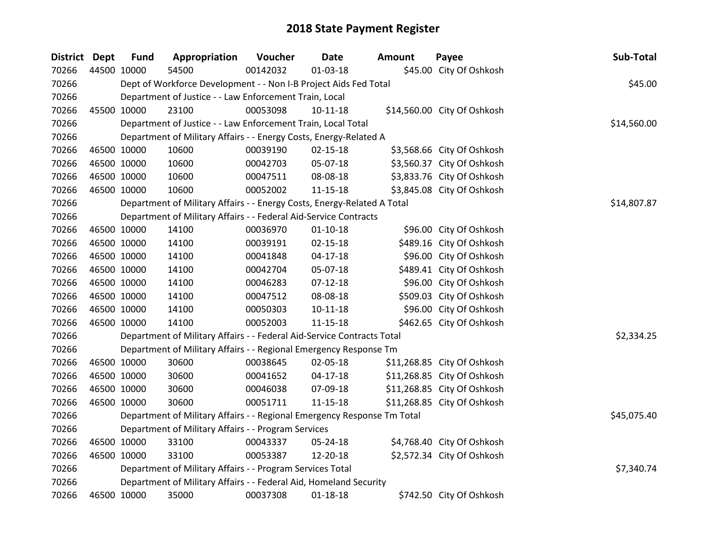| District Dept | <b>Fund</b> | Appropriation                                                           | Voucher  | <b>Date</b>    | <b>Amount</b> | Payee                       | Sub-Total   |
|---------------|-------------|-------------------------------------------------------------------------|----------|----------------|---------------|-----------------------------|-------------|
| 70266         | 44500 10000 | 54500                                                                   | 00142032 | $01 - 03 - 18$ |               | \$45.00 City Of Oshkosh     |             |
| 70266         |             | Dept of Workforce Development - - Non I-B Project Aids Fed Total        |          |                |               |                             | \$45.00     |
| 70266         |             | Department of Justice - - Law Enforcement Train, Local                  |          |                |               |                             |             |
| 70266         | 45500 10000 | 23100                                                                   | 00053098 | $10-11-18$     |               | \$14,560.00 City Of Oshkosh |             |
| 70266         |             | Department of Justice - - Law Enforcement Train, Local Total            |          |                |               |                             | \$14,560.00 |
| 70266         |             | Department of Military Affairs - - Energy Costs, Energy-Related A       |          |                |               |                             |             |
| 70266         | 46500 10000 | 10600                                                                   | 00039190 | $02 - 15 - 18$ |               | \$3,568.66 City Of Oshkosh  |             |
| 70266         | 46500 10000 | 10600                                                                   | 00042703 | 05-07-18       |               | \$3,560.37 City Of Oshkosh  |             |
| 70266         | 46500 10000 | 10600                                                                   | 00047511 | 08-08-18       |               | \$3,833.76 City Of Oshkosh  |             |
| 70266         | 46500 10000 | 10600                                                                   | 00052002 | 11-15-18       |               | \$3,845.08 City Of Oshkosh  |             |
| 70266         |             | Department of Military Affairs - - Energy Costs, Energy-Related A Total |          |                |               |                             | \$14,807.87 |
| 70266         |             | Department of Military Affairs - - Federal Aid-Service Contracts        |          |                |               |                             |             |
| 70266         | 46500 10000 | 14100                                                                   | 00036970 | $01 - 10 - 18$ |               | \$96.00 City Of Oshkosh     |             |
| 70266         | 46500 10000 | 14100                                                                   | 00039191 | $02 - 15 - 18$ |               | \$489.16 City Of Oshkosh    |             |
| 70266         | 46500 10000 | 14100                                                                   | 00041848 | $04-17-18$     |               | \$96.00 City Of Oshkosh     |             |
| 70266         | 46500 10000 | 14100                                                                   | 00042704 | 05-07-18       |               | \$489.41 City Of Oshkosh    |             |
| 70266         | 46500 10000 | 14100                                                                   | 00046283 | $07 - 12 - 18$ |               | \$96.00 City Of Oshkosh     |             |
| 70266         | 46500 10000 | 14100                                                                   | 00047512 | 08-08-18       |               | \$509.03 City Of Oshkosh    |             |
| 70266         | 46500 10000 | 14100                                                                   | 00050303 | $10 - 11 - 18$ |               | \$96.00 City Of Oshkosh     |             |
| 70266         | 46500 10000 | 14100                                                                   | 00052003 | $11 - 15 - 18$ |               | \$462.65 City Of Oshkosh    |             |
| 70266         |             | Department of Military Affairs - - Federal Aid-Service Contracts Total  |          |                |               |                             | \$2,334.25  |
| 70266         |             | Department of Military Affairs - - Regional Emergency Response Tm       |          |                |               |                             |             |
| 70266         | 46500 10000 | 30600                                                                   | 00038645 | 02-05-18       |               | \$11,268.85 City Of Oshkosh |             |
| 70266         | 46500 10000 | 30600                                                                   | 00041652 | $04-17-18$     |               | \$11,268.85 City Of Oshkosh |             |
| 70266         | 46500 10000 | 30600                                                                   | 00046038 | 07-09-18       |               | \$11,268.85 City Of Oshkosh |             |
| 70266         | 46500 10000 | 30600                                                                   | 00051711 | 11-15-18       |               | \$11,268.85 City Of Oshkosh |             |
| 70266         |             | Department of Military Affairs - - Regional Emergency Response Tm Total |          |                |               |                             | \$45,075.40 |
| 70266         |             | Department of Military Affairs - - Program Services                     |          |                |               |                             |             |
| 70266         | 46500 10000 | 33100                                                                   | 00043337 | 05-24-18       |               | \$4,768.40 City Of Oshkosh  |             |
| 70266         | 46500 10000 | 33100                                                                   | 00053387 | 12-20-18       |               | \$2,572.34 City Of Oshkosh  |             |
| 70266         |             | Department of Military Affairs - - Program Services Total               |          |                |               |                             | \$7,340.74  |
| 70266         |             | Department of Military Affairs - - Federal Aid, Homeland Security       |          |                |               |                             |             |
| 70266         | 46500 10000 | 35000                                                                   | 00037308 | $01 - 18 - 18$ |               | \$742.50 City Of Oshkosh    |             |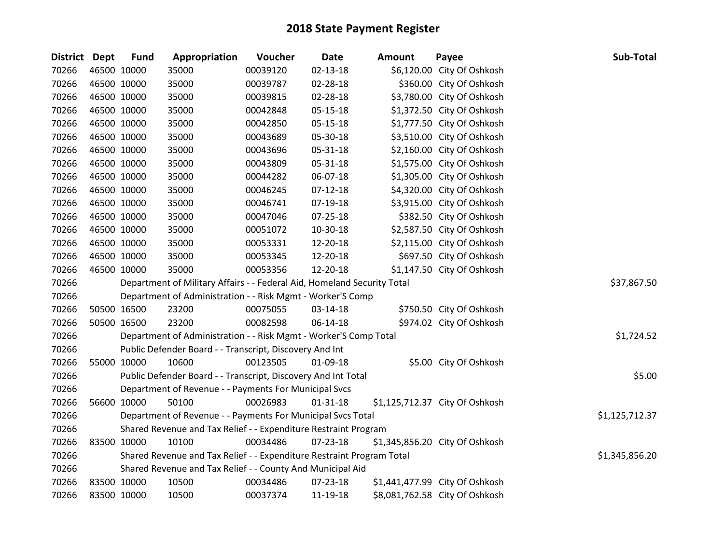## **2018 State Payment Register**

| District Dept |             | <b>Fund</b>                                                             | Appropriation  | Voucher  | <b>Date</b>    | <b>Amount</b> | Payee                          | Sub-Total |
|---------------|-------------|-------------------------------------------------------------------------|----------------|----------|----------------|---------------|--------------------------------|-----------|
| 70266         |             | 46500 10000                                                             | 35000          | 00039120 | 02-13-18       |               | \$6,120.00 City Of Oshkosh     |           |
| 70266         |             | 46500 10000                                                             | 35000          | 00039787 | 02-28-18       |               | \$360.00 City Of Oshkosh       |           |
| 70266         | 46500 10000 |                                                                         | 35000          | 00039815 | 02-28-18       |               | \$3,780.00 City Of Oshkosh     |           |
| 70266         | 46500 10000 |                                                                         | 35000          | 00042848 | 05-15-18       |               | \$1,372.50 City Of Oshkosh     |           |
| 70266         |             | 46500 10000                                                             | 35000          | 00042850 | $05 - 15 - 18$ |               | \$1,777.50 City Of Oshkosh     |           |
| 70266         |             | 46500 10000                                                             | 35000          | 00043689 | 05-30-18       |               | \$3,510.00 City Of Oshkosh     |           |
| 70266         |             | 46500 10000                                                             | 35000          | 00043696 | 05-31-18       |               | \$2,160.00 City Of Oshkosh     |           |
| 70266         |             | 46500 10000                                                             | 35000          | 00043809 | 05-31-18       |               | \$1,575.00 City Of Oshkosh     |           |
| 70266         |             | 46500 10000                                                             | 35000          | 00044282 | 06-07-18       |               | \$1,305.00 City Of Oshkosh     |           |
| 70266         |             | 46500 10000                                                             | 35000          | 00046245 | $07 - 12 - 18$ |               | \$4,320.00 City Of Oshkosh     |           |
| 70266         |             | 46500 10000                                                             | 35000          | 00046741 | 07-19-18       |               | \$3,915.00 City Of Oshkosh     |           |
| 70266         |             | 46500 10000                                                             | 35000          | 00047046 | $07 - 25 - 18$ |               | \$382.50 City Of Oshkosh       |           |
| 70266         | 46500 10000 |                                                                         | 35000          | 00051072 | 10-30-18       |               | \$2,587.50 City Of Oshkosh     |           |
| 70266         |             | 46500 10000                                                             | 35000          | 00053331 | 12-20-18       |               | \$2,115.00 City Of Oshkosh     |           |
| 70266         |             | 46500 10000                                                             | 35000          | 00053345 | 12-20-18       |               | \$697.50 City Of Oshkosh       |           |
| 70266         |             | 46500 10000                                                             | 35000          | 00053356 | 12-20-18       |               | \$1,147.50 City Of Oshkosh     |           |
| 70266         |             | Department of Military Affairs - - Federal Aid, Homeland Security Total | \$37,867.50    |          |                |               |                                |           |
| 70266         |             | Department of Administration - - Risk Mgmt - Worker'S Comp              |                |          |                |               |                                |           |
| 70266         |             | 50500 16500                                                             | 23200          | 00075055 | 03-14-18       |               | \$750.50 City Of Oshkosh       |           |
| 70266         |             | 50500 16500                                                             | 23200          | 00082598 | 06-14-18       |               | \$974.02 City Of Oshkosh       |           |
| 70266         |             | Department of Administration - - Risk Mgmt - Worker'S Comp Total        | \$1,724.52     |          |                |               |                                |           |
| 70266         |             | Public Defender Board - - Transcript, Discovery And Int                 |                |          |                |               |                                |           |
| 70266         |             | 55000 10000                                                             | 10600          | 00123505 | 01-09-18       |               | \$5.00 City Of Oshkosh         |           |
| 70266         |             | Public Defender Board - - Transcript, Discovery And Int Total           | \$5.00         |          |                |               |                                |           |
| 70266         |             | Department of Revenue - - Payments For Municipal Svcs                   |                |          |                |               |                                |           |
| 70266         |             | 56600 10000                                                             | 50100          | 00026983 | $01 - 31 - 18$ |               | \$1,125,712.37 City Of Oshkosh |           |
| 70266         |             | Department of Revenue - - Payments For Municipal Svcs Total             | \$1,125,712.37 |          |                |               |                                |           |
| 70266         |             | Shared Revenue and Tax Relief - - Expenditure Restraint Program         |                |          |                |               |                                |           |
| 70266         | 83500 10000 |                                                                         | 10100          | 00034486 | 07-23-18       |               | \$1,345,856.20 City Of Oshkosh |           |
| 70266         |             | Shared Revenue and Tax Relief - - Expenditure Restraint Program Total   | \$1,345,856.20 |          |                |               |                                |           |
| 70266         |             | Shared Revenue and Tax Relief - - County And Municipal Aid              |                |          |                |               |                                |           |
| 70266         |             | 83500 10000                                                             | 10500          | 00034486 | 07-23-18       |               | \$1,441,477.99 City Of Oshkosh |           |
| 70266         | 83500 10000 |                                                                         | 10500          | 00037374 | 11-19-18       |               | \$8,081,762.58 City Of Oshkosh |           |